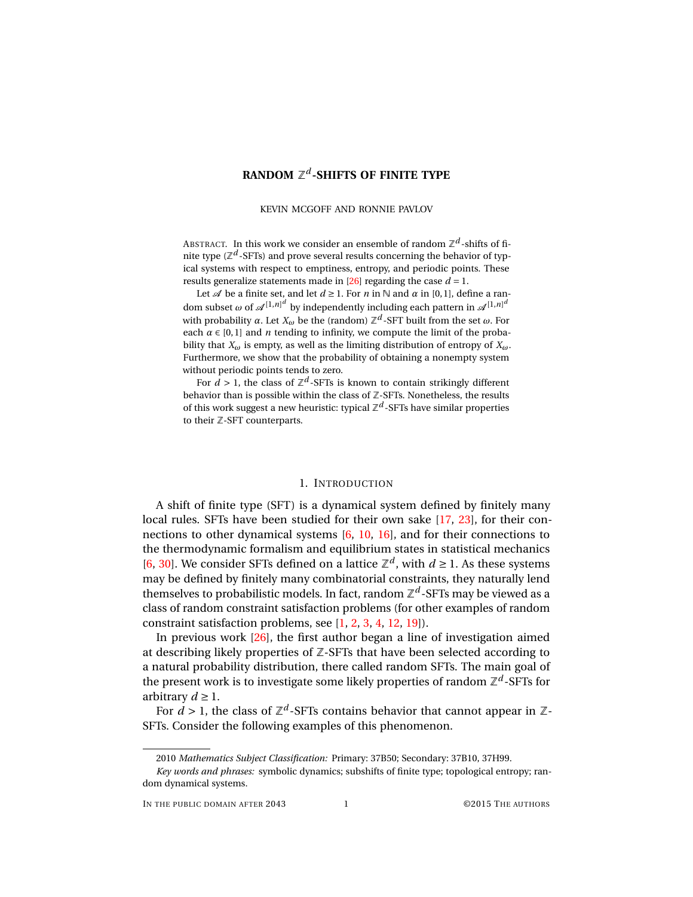# **RANDOM** Z *d* **-SHIFTS OF FINITE TYPE**

#### KEVIN MCGOFF AND RONNIE PAVLOV

ABSTRACT. In this work we consider an ensemble of random  $\mathbb{Z}^d$ -shifts of finite type ( $\mathbb{Z}^d$ -SFTs) and prove several results concerning the behavior of typical systems with respect to emptiness, entropy, and periodic points. These results generalize statements made in  $[26]$  regarding the case  $d = 1$ .

Let  $\mathcal A$  be a finite set, and let  $d \ge 1$ . For *n* in N and  $\alpha$  in [0,1], define a random subset  $\omega$  of  $\mathscr{A}^{[1,n]^d}$  by independently including each pattern in  $\mathscr{A}^{[1,n]^d}$ with probability  $\alpha$ . Let  $X_\omega$  be the (random)  $\mathbb{Z}^d$ -SFT built from the set  $\omega$ . For each  $\alpha \in [0,1]$  and *n* tending to infinity, we compute the limit of the probability that  $X_\omega$  is empty, as well as the limiting distribution of entropy of  $X_\omega$ . Furthermore, we show that the probability of obtaining a nonempty system without periodic points tends to zero.

For  $d > 1$ , the class of  $\mathbb{Z}^d$ -SFTs is known to contain strikingly different behavior than is possible within the class of  $Z$ -SFTs. Nonetheless, the results of this work suggest a new heuristic: typical  $\mathbb{Z}^d$  -SFTs have similar properties to their Z-SFT counterparts.

# 1. INTRODUCTION

A shift of finite type (SFT) is a dynamical system defined by finitely many local rules. SFTs have been studied for their own sake [\[17,](#page-43-1) [23\]](#page-43-2), for their connections to other dynamical systems [\[6,](#page-42-0) [10,](#page-42-1) [16\]](#page-43-3), and for their connections to the thermodynamic formalism and equilibrium states in statistical mechanics [\[6,](#page-42-0) [30\]](#page-43-4). We consider SFTs defined on a lattice  $\mathbb{Z}^d$ , with  $d \geq 1$ . As these systems may be defined by finitely many combinatorial constraints, they naturally lend themselves to probabilistic models. In fact, random  $\mathbb{Z}^d$ -SFTs may be viewed as a class of random constraint satisfaction problems (for other examples of random constraint satisfaction problems, see [\[1,](#page-42-2) [2,](#page-42-3) [3,](#page-42-4) [4,](#page-42-5) [12,](#page-42-6) [19\]](#page-43-5)).

In previous work [\[26\]](#page-43-0), the first author began a line of investigation aimed at describing likely properties of  $Z$ -SFTs that have been selected according to a natural probability distribution, there called random SFTs. The main goal of the present work is to investigate some likely properties of random  $\mathbb{Z}^d$ -SFTs for arbitrary  $d \geq 1$ .

For  $d > 1$ , the class of  $\mathbb{Z}^d$ -SFTs contains behavior that cannot appear in  $\mathbb{Z}$ -SFTs. Consider the following examples of this phenomenon.

<sup>2010</sup> *Mathematics Subject Classification:* Primary: 37B50; Secondary: 37B10, 37H99.

*Key words and phrases:* symbolic dynamics; subshifts of finite type; topological entropy; random dynamical systems.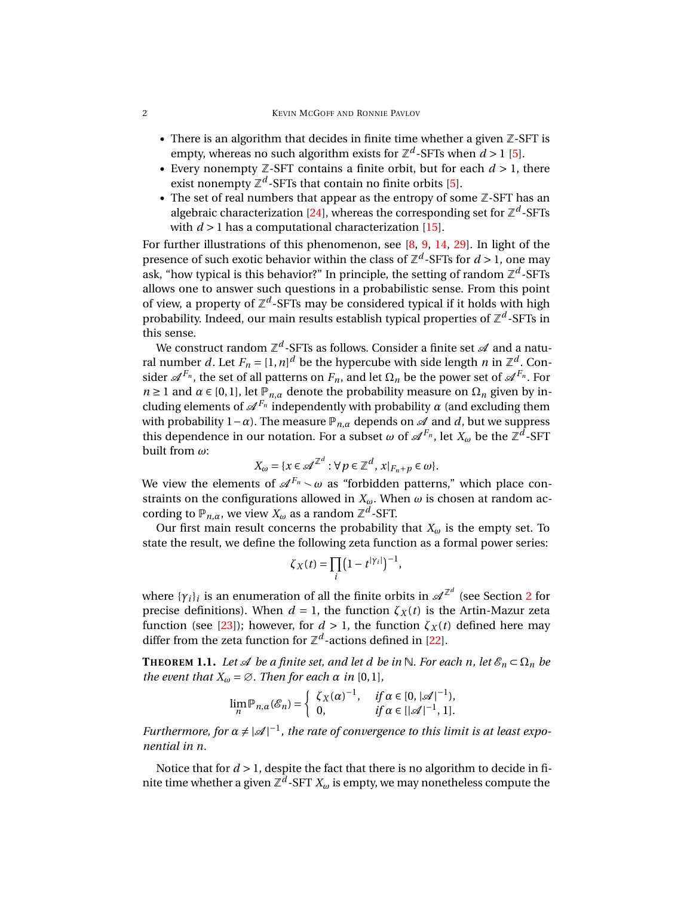- There is an algorithm that decides in finite time whether a given  $Z$ -SFT is empty, whereas no such algorithm exists for  $\mathbb{Z}^d$ -SFTs when  $d > 1$  [\[5\]](#page-42-7).
- Every nonempty  $\mathbb{Z}$ -SFT contains a finite orbit, but for each  $d > 1$ , there exist nonempty  $\mathbb{Z}^d$ -SFTs that contain no finite orbits [\[5\]](#page-42-7).
- The set of real numbers that appear as the entropy of some  $Z$ -SFT has an algebraic characterization [\[24\]](#page-43-6), whereas the corresponding set for  $\mathbb{Z}^d$ -SFTs with  $d > 1$  has a computational characterization [\[15\]](#page-43-7).

For further illustrations of this phenomenon, see  $[8, 9, 14, 29]$  $[8, 9, 14, 29]$  $[8, 9, 14, 29]$  $[8, 9, 14, 29]$  $[8, 9, 14, 29]$  $[8, 9, 14, 29]$  $[8, 9, 14, 29]$ . In light of the presence of such exotic behavior within the class of  $\mathbb{Z}^d$ -SFTs for  $d >$  1, one may ask, "how typical is this behavior?" In principle, the setting of random ℤ<sup>d</sup>-SFTs allows one to answer such questions in a probabilistic sense. From this point of view, a property of  $\mathbb{Z}^d$ -SFTs may be considered typical if it holds with high probability. Indeed, our main results establish typical properties of  $\mathbb{Z}^d$ -SFTs in this sense.

We construct random  $\mathbb{Z}^d$ -SFTs as follows. Consider a finite set  $\mathscr A$  and a natural number *d*. Let  $F_n = [1,n]^d$  be the hypercube with side length *n* in  $\mathbb{Z}^d$ . Consider  $\mathscr{A}^{F_n}$ , the set of all patterns on  $F_n$ , and let  $\Omega_n$  be the power set of  $\mathscr{A}^{F_n}$ . For *n* ≥ 1 and *a* ∈ [0,1], let  $\mathbb{P}_{n,\alpha}$  denote the probability measure on  $\Omega_n$  given by including elements of  $\mathscr{A}^{F_n}$  independently with probability  $\alpha$  (and excluding them with probability  $1-\alpha$ ). The measure  $\mathbb{P}_{n,\alpha}$  depends on  $\mathcal A$  and  $d$ , but we suppress this dependence in our notation. For a subset  $\omega$  of  $\mathscr{A}^{F_n}$ , let  $X_\omega$  be the  $\mathbb{Z}^d$ -SFT built from *ω*:

$$
X_{\omega} = \{x \in \mathscr{A}^{\mathbb{Z}^d} : \forall p \in \mathbb{Z}^d, x|_{F_n + p} \in \omega\}.
$$

We view the elements of  $\mathscr{A}^{F_n} \sim \omega$  as "forbidden patterns," which place constraints on the configurations allowed in  $X_{\omega}$ . When  $\omega$  is chosen at random according to  $\mathbb{P}_{n,\alpha}$ , we view  $X_\omega$  as a random  $\mathbb{Z}^d$ -SFT.

Our first main result concerns the probability that  $X_\omega$  is the empty set. To state the result, we define the following zeta function as a formal power series:

$$
\zeta_X(t) = \prod_i \left(1 - t^{|\gamma_i|}\right)^{-1},
$$

where  $\{\gamma_i\}_i$  is an enumeration of all the finite orbits in  $\mathscr{A}^{\mathbb{Z}^d}$  (see Section [2](#page-3-0) for precise definitions). When  $d = 1$ , the function  $\zeta_X(t)$  is the Artin-Mazur zeta function (see [\[23\]](#page-43-2)); however, for  $d > 1$ , the function  $\zeta_X(t)$  defined here may differ from the zeta function for  $\mathbb{Z}^d$ -actions defined in [\[22\]](#page-43-10).

<span id="page-1-0"></span>**THEOREM 1.1.** *Let*  $\mathcal{A}$  *be a finite set, and let d be in*  $\mathbb{N}$ *. For each n, let*  $\mathcal{E}_n \subset \Omega_n$  *be the event that*  $X_\omega = \emptyset$ *. Then for each*  $\alpha$  *in* [0, 1]*,* 

$$
\lim_n \mathbb{P}_{n,\alpha}(\mathcal{E}_n) = \begin{cases} \zeta_X(\alpha)^{-1}, & \text{if } \alpha \in [0, |\mathcal{A}|^{-1}), \\ 0, & \text{if } \alpha \in [\mathcal{A}]^{-1}, 1]. \end{cases}
$$

*Furthermore, for*  $\alpha \neq |\mathcal{A}|^{-1}$ , the rate of convergence to this limit is at least expo*nential in n.*

Notice that for  $d > 1$ , despite the fact that there is no algorithm to decide in finite time whether a given  $\mathbb{Z}^d$ -SFT  $X_\omega$  is empty, we may nonetheless compute the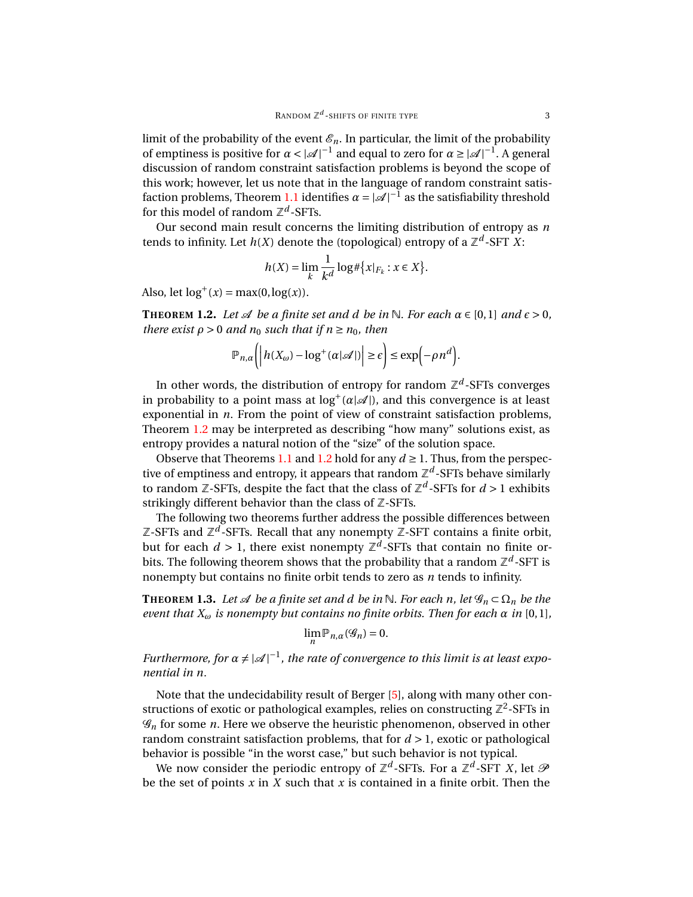limit of the probability of the event  $\mathcal{E}_n$ . In particular, the limit of the probability of emptiness is positive for  $\alpha < |\mathcal{A}|^{-1}$  and equal to zero for  $\alpha \ge |\mathcal{A}|^{-1}$ . A general discussion of random constraint satisfaction problems is beyond the scope of this work; however, let us note that in the language of random constraint satis-faction problems, Theorem [1.1](#page-1-0) identifies  $\alpha = |\mathcal{A}|^{-1}$  as the satisfiability threshold for this model of random  $\mathbb{Z}^d$ -SFTs.

Our second main result concerns the limiting distribution of entropy as *n* tends to infinity. Let  $h(X)$  denote the (topological) entropy of a  $\mathbb{Z}^d\text{-}\mathsf{SFT}~X\text{:}$ 

$$
h(X) = \lim_{k} \frac{1}{k^d} \log \#\{x|_{F_k} : x \in X\}.
$$

Also, let  $log^+(x) = max(0, log(x)).$ 

<span id="page-2-0"></span>**THEOREM** 1.2. *Let*  $\mathcal A$  *be a finite set and d be in* N*. For each*  $\alpha \in [0,1]$  *and*  $\epsilon > 0$ *, there exist*  $\rho > 0$  *and*  $n_0$  *such that if*  $n \ge n_0$ *, then* 

$$
\mathbb{P}_{n,\alpha}\bigg(\bigg|h(X_{\omega})-\log^{+}(\alpha|\mathscr{A}|)\bigg|\geq \varepsilon\bigg)\leq \exp\bigg(-\rho n^d\bigg).
$$

In other words, the distribution of entropy for random  $\mathbb{Z}^d$ -SFTs converges in probability to a point mass at  $log^+(\alpha|\mathcal{A}|)$ , and this convergence is at least exponential in *n*. From the point of view of constraint satisfaction problems, Theorem [1.2](#page-2-0) may be interpreted as describing "how many" solutions exist, as entropy provides a natural notion of the "size" of the solution space.

Observe that Theorems [1.1](#page-1-0) and [1.2](#page-2-0) hold for any  $d \ge 1$ . Thus, from the perspective of emptiness and entropy, it appears that random  $\mathbb{Z}^d$ -SFTs behave similarly to random Z-SFTs, despite the fact that the class of  $\mathbb{Z}^d$ -SFTs for  $d>1$  exhibits strikingly different behavior than the class of  $Z$ -SFTs.

The following two theorems further address the possible differences between Z-SFTs and  $\mathbb{Z}^d$ -SFTs. Recall that any nonempty Z-SFT contains a finite orbit, but for each  $d > 1$ , there exist nonempty  $\mathbb{Z}^d$ -SFTs that contain no finite orbits. The following theorem shows that the probability that a random  $\mathbb{Z}^d$ -SFT is nonempty but contains no finite orbit tends to zero as *n* tends to infinity.

<span id="page-2-1"></span>**THEOREM 1.3.** *Let*  $\mathcal{A}$  *be a finite set and d be in*  $\mathbb{N}$ *. For each n, let*  $\mathcal{G}_n \subset \Omega_n$  *be the event that*  $X_{\omega}$  *is nonempty but contains no finite orbits. Then for each*  $\alpha$  *in* [0,1],

$$
\lim_n \mathbb{P}_{n,\alpha}(\mathscr{G}_n) = 0.
$$

*Furthermore, for*  $\alpha \neq |\mathcal{A}|^{-1}$ , the rate of convergence to this limit is at least expo*nential in n.*

Note that the undecidability result of Berger [\[5\]](#page-42-7), along with many other constructions of exotic or pathological examples, relies on constructing  $\mathbb{Z}^2$ -SFTs in G*<sup>n</sup>* for some *n*. Here we observe the heuristic phenomenon, observed in other random constraint satisfaction problems, that for *d* > 1, exotic or pathological behavior is possible "in the worst case," but such behavior is not typical.

We now consider the periodic entropy of  $\mathbb{Z}^d$ -SFTs. For a  $\mathbb{Z}^d$ -SFT *X*, let  $\mathscr{P}$ be the set of points *x* in *X* such that *x* is contained in a finite orbit. Then the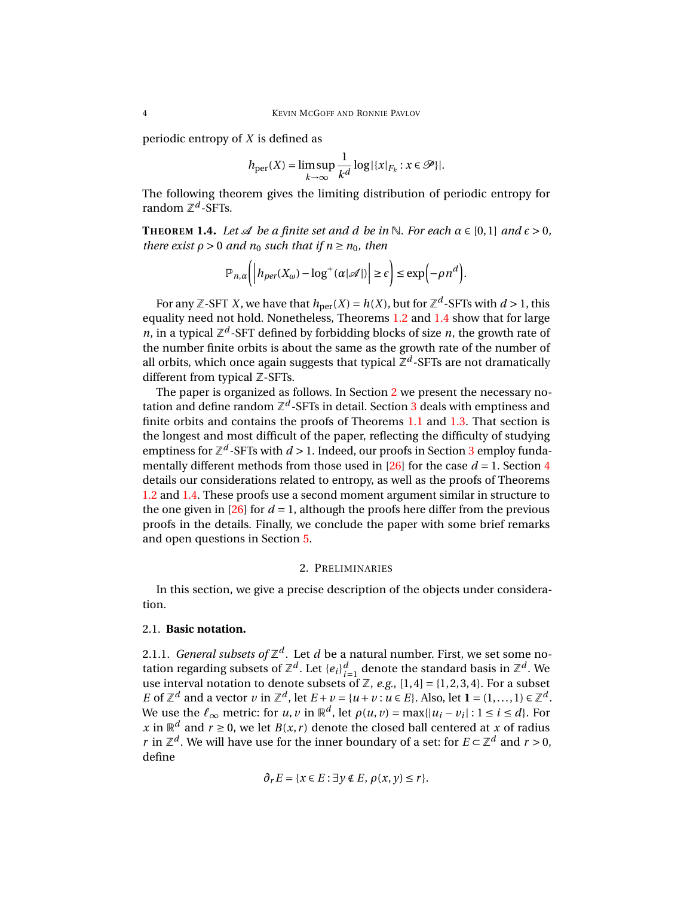periodic entropy of *X* is defined as

$$
h_{\text{per}}(X) = \limsup_{k \to \infty} \frac{1}{k^d} \log |\{x|_{F_k} : x \in \mathcal{P}\}|.
$$

The following theorem gives the limiting distribution of periodic entropy for random  $\mathbb{Z}^d$ -SFTs.

<span id="page-3-1"></span>**THEOREM** 1.4. *Let*  $\mathcal A$  *be a finite set and d be in* N*. For each*  $\alpha \in [0,1]$  *and*  $\epsilon > 0$ *, there exist*  $\rho > 0$  *and*  $n_0$  *such that if*  $n \ge n_0$ *, then* 

$$
\mathbb{P}_{n,\alpha}\bigg(\bigg| h_{per}(X_{\omega}) - \log^+(\alpha|\mathscr{A}|) \bigg| \ge \epsilon\bigg) \le \exp\bigg(-\rho n^d\bigg).
$$

For any Z-SFT *X*, we have that  $h_{\text{per}}(X) = h(X)$ , but for  $\mathbb{Z}^d$ -SFTs with  $d > 1$ , this equality need not hold. Nonetheless, Theorems [1.2](#page-2-0) and [1.4](#page-3-1) show that for large *n*, in a typical  $\mathbb{Z}^d$ -SFT defined by forbidding blocks of size *n*, the growth rate of the number finite orbits is about the same as the growth rate of the number of all orbits, which once again suggests that typical  $\mathbb{Z}^d$ -SFTs are not dramatically different from typical Z-SFTs.

The paper is organized as follows. In Section [2](#page-3-0) we present the necessary notation and define random  $\mathbb{Z}^d$ -SFTs in detail. Section [3](#page-8-0) deals with emptiness and finite orbits and contains the proofs of Theorems [1.1](#page-1-0) and [1.3.](#page-2-1) That section is the longest and most difficult of the paper, reflecting the difficulty of studying emptiness for  $\mathbb{Z}^d$ -SFTs with  $d > 1$ . Indeed, our proofs in Section [3](#page-8-0) employ funda-mentally different methods from those used in [\[26\]](#page-43-0) for the case  $d = 1$ . Section [4](#page-30-0) details our considerations related to entropy, as well as the proofs of Theorems [1.2](#page-2-0) and [1.4.](#page-3-1) These proofs use a second moment argument similar in structure to the one given in  $[26]$  for  $d = 1$ , although the proofs here differ from the previous proofs in the details. Finally, we conclude the paper with some brief remarks and open questions in Section [5.](#page-41-0)

# 2. PRELIMINARIES

<span id="page-3-0"></span>In this section, we give a precise description of the objects under consideration.

# 2.1. **Basic notation.**

2.1.1. *General subsets of*  $\mathbb{Z}^d$  . Let  $d$  be a natural number. First, we set some notation regarding subsets of  $\mathbb{Z}^d$ . Let  $\{e_i\}_{i=1}^d$  denote the standard basis in  $\mathbb{Z}^d$ . We use interval notation to denote subsets of  $\mathbb{Z}$ , e.g.,  $[1,4] = \{1,2,3,4\}$ . For a subset *E* of  $\mathbb{Z}^d$  and a vector *v* in  $\mathbb{Z}^d$ , let  $E + v = \{u + v : u \in E\}$ . Also, let  $\mathbf{1} = (1, \ldots, 1) \in \mathbb{Z}^d$ . We use the  $\ell_{\infty}$  metric: for *u*, *v* in  $\mathbb{R}^d$ , let  $\rho(u, v) = \max\{|u_i - v_i| : 1 \le i \le d\}$ . For *x* in  $\mathbb{R}^d$  and  $r \ge 0$ , we let *B*(*x*, *r*) denote the closed ball centered at *x* of radius *r* in  $\mathbb{Z}^d$ . We will have use for the inner boundary of a set: for  $E \subset \mathbb{Z}^d$  and  $r > 0$ , define

$$
\partial_r E = \{x \in E : \exists y \notin E, \rho(x, y) \le r\}.
$$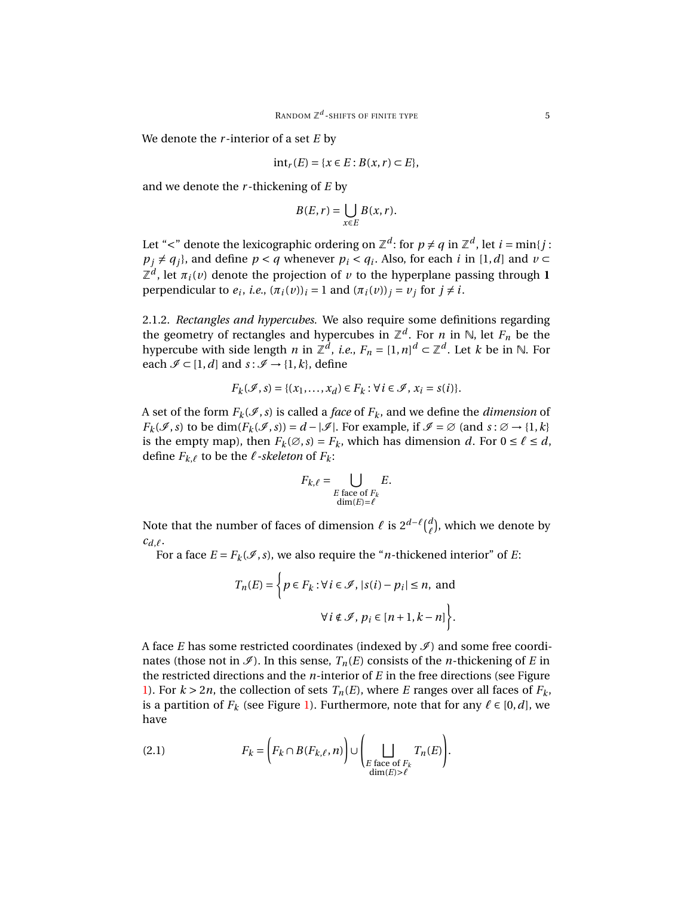We denote the *r* -interior of a set *E* by

$$
int_r(E) = \{x \in E : B(x, r) \subset E\},\
$$

and we denote the *r* -thickening of *E* by

$$
B(E,r)=\bigcup_{x\in E}B(x,r).
$$

Let "<" denote the lexicographic ordering on  $\mathbb{Z}^d$ : for  $p \neq q$  in  $\mathbb{Z}^d$ , let  $i = \min\{j :$  $p_j \neq q_j$ , and define *p* < *q* whenever *p*<sub>*i*</sub> < *q*<sub>*i*</sub>. Also, for each *i* in [1, *d*] and *v* ⊂  $\mathbb{Z}^d$ , let  $\pi_i(v)$  denote the projection of *v* to the hyperplane passing through **1** perpendicular to  $e_i$ , *i.e.*,  $(\pi_i(v))_i = 1$  and  $(\pi_i(v))_j = v_j$  for  $j \neq i$ .

<span id="page-4-0"></span>2.1.2. *Rectangles and hypercubes.* We also require some definitions regarding the geometry of rectangles and hypercubes in  $\mathbb{Z}^d$ . For *n* in N, let  $F_n$  be the hypercube with side length  $n$  in  $\mathbb{Z}^d$ , *i.e.*,  $F_n = [1, n]^d \subset \mathbb{Z}^d$ . Let  $k$  be in  $\mathbb N$ . For each  $\mathcal{I} \subset [1, d]$  and  $s : \mathcal{I} \to \{1, k\}$ , define

$$
F_k(\mathcal{I}, s) = \{(x_1, \ldots, x_d) \in F_k : \forall i \in \mathcal{I}, x_i = s(i)\}.
$$

A set of the form  $F_k(\mathcal{I}, s)$  is called a *face* of  $F_k$ , and we define the *dimension* of  $F_k(\mathscr{I}, s)$  to be dim $(F_k(\mathscr{I}, s)) = d - |\mathscr{I}|$ . For example, if  $\mathscr{I} = \emptyset$  (and  $s : \emptyset \to \{1, k\}$ is the empty map), then  $F_k(\emptyset, s) = F_k$ , which has dimension *d*. For  $0 \le \ell \le d$ , define  $F_{k,\ell}$  to be the  $\ell$ -skeleton of  $F_k$ :

$$
F_{k,\ell} = \bigcup_{\substack{E \text{ face of } F_k \\ \dim(E) = \ell}} E.
$$

Note that the number of faces of dimension  $\ell$  is  $2^{d-\ell} \binom{d}{\ell}$  $^{\alpha}_{\ell}$ ), which we denote by  $c_{d,\ell}$ .

For a face  $E = F_k(\mathcal{I}, s)$ , we also require the "*n*-thickened interior" of *E*:

$$
T_n(E) = \left\{ p \in F_k : \forall i \in \mathcal{I}, |s(i) - p_i| \le n, \text{ and}
$$

$$
\forall i \notin \mathcal{I}, p_i \in [n+1, k-n] \right\}.
$$

A face *E* has some restricted coordinates (indexed by  $\mathcal{I}$ ) and some free coordinates (those not in  $\mathcal{I}$ ). In this sense,  $T_n(E)$  consists of the *n*-thickening of *E* in the restricted directions and the *n*-interior of *E* in the free directions (see Figure [1\)](#page-5-0). For  $k > 2n$ , the collection of sets  $T_n(E)$ , where *E* ranges over all faces of  $F_k$ , is a partition of  $F_k$  (see Figure [1\)](#page-5-0). Furthermore, note that for any  $\ell \in [0, d]$ , we have

<span id="page-4-1"></span>(2.1) 
$$
F_k = \left(F_k \cap B(F_{k,\ell}, n)\right) \cup \left(\bigsqcup_{\substack{E \text{ face of } F_k \\ \dim(E) > \ell}} T_n(E)\right).
$$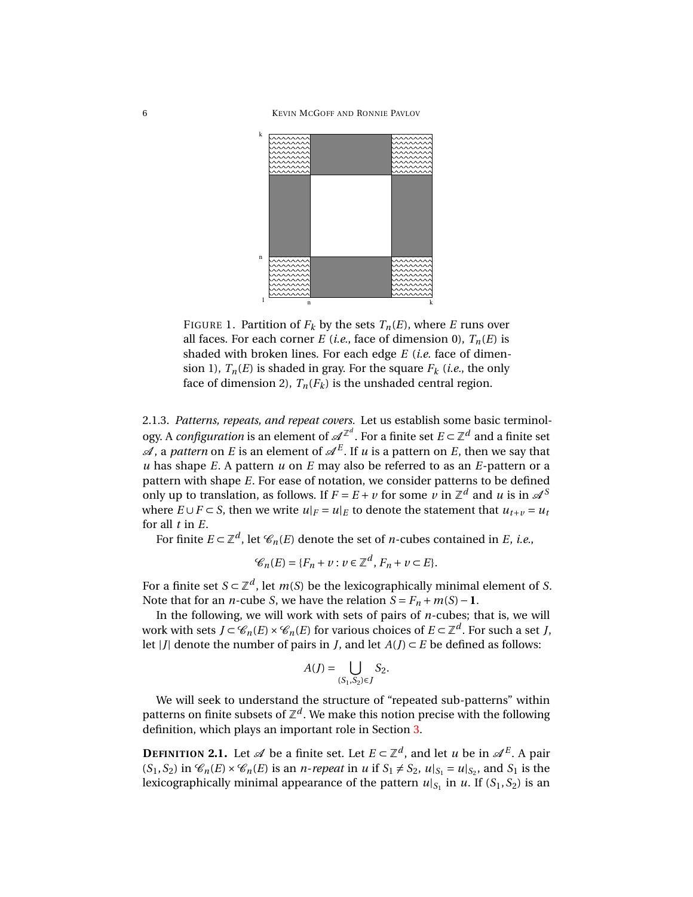6 KEVIN MCGOFF AND RONNIE PAVLOV



<span id="page-5-0"></span>FIGURE 1. Partition of  $F_k$  by the sets  $T_n(E)$ , where *E* runs over all faces. For each corner *E* (*i.e.*, face of dimension 0),  $T_n(E)$  is shaded with broken lines. For each edge *E* (*i.e.* face of dimension 1),  $T_n(E)$  is shaded in gray. For the square  $F_k$  (*i.e.*, the only face of dimension 2),  $T_n(F_k)$  is the unshaded central region.

<span id="page-5-1"></span>2.1.3. *Patterns, repeats, and repeat covers.* Let us establish some basic terminology. A *configuration* is an element of  $\mathscr{A}^{\mathbb{Z}^d}.$  For a finite set  $E \subset \mathbb{Z}^d$  and a finite set  $\mathscr A$ , a *pattern* on  $E$  is an element of  $\mathscr A^E.$  If  $u$  is a pattern on  $E$ , then we say that *u* has shape *E*. A pattern *u* on *E* may also be referred to as an *E*-pattern or a pattern with shape *E*. For ease of notation, we consider patterns to be defined only up to translation, as follows. If  $F = E + v$  for some  $v$  in  $\mathbb{Z}^d$  and  $u$  is in  $\mathcal{A}^S$ where  $E \cup F \subset S$ , then we write  $u|_F = u|_E$  to denote the statement that  $u_{t+v} = u_t$ for all *t* in *E*.

For finite  $E \subset \mathbb{Z}^d$ , let  $\mathscr{C}_n(E)$  denote the set of *n*-cubes contained in *E*, *i.e.*,

$$
\mathcal{C}_n(E) = \{F_n + \nu : \nu \in \mathbb{Z}^d, F_n + \nu \subset E\}.
$$

For a finite set  $S \subset \mathbb{Z}^d$ , let  $m(S)$  be the lexicographically minimal element of *S*. Note that for an *n*-cube *S*, we have the relation  $S = F_n + m(S) - 1$ .

In the following, we will work with sets of pairs of *n*-cubes; that is, we will work with sets  $J \subset \mathscr{C}_n(E) \times \mathscr{C}_n(E)$  for various choices of  $E \subset \mathbb{Z}^d$ . For such a set *J*, let |*J*| denote the number of pairs in *J*, and let  $A$ (*J*) ⊂ *E* be defined as follows:

$$
A(J) = \bigcup_{(S_1, S_2) \in J} S_2.
$$

We will seek to understand the structure of "repeated sub-patterns" within patterns on finite subsets of  $\mathbb{Z}^d.$  We make this notion precise with the following definition, which plays an important role in Section [3.](#page-8-0)

**DEFINITION 2.1.** Let  $\mathscr A$  be a finite set. Let  $E \subset \mathbb Z^d$ , and let *u* be in  $\mathscr A^E$ . A pair  $(S_1, S_2)$  in  $\mathcal{C}_n(E) \times \mathcal{C}_n(E)$  is an *n*-*repeat* in *u* if  $S_1 \neq S_2$ ,  $u|_{S_1} = u|_{S_2}$ , and  $S_1$  is the lexicographically minimal appearance of the pattern  $u|_{S_1}$  in  $u$ . If  $(S_1, S_2)$  is an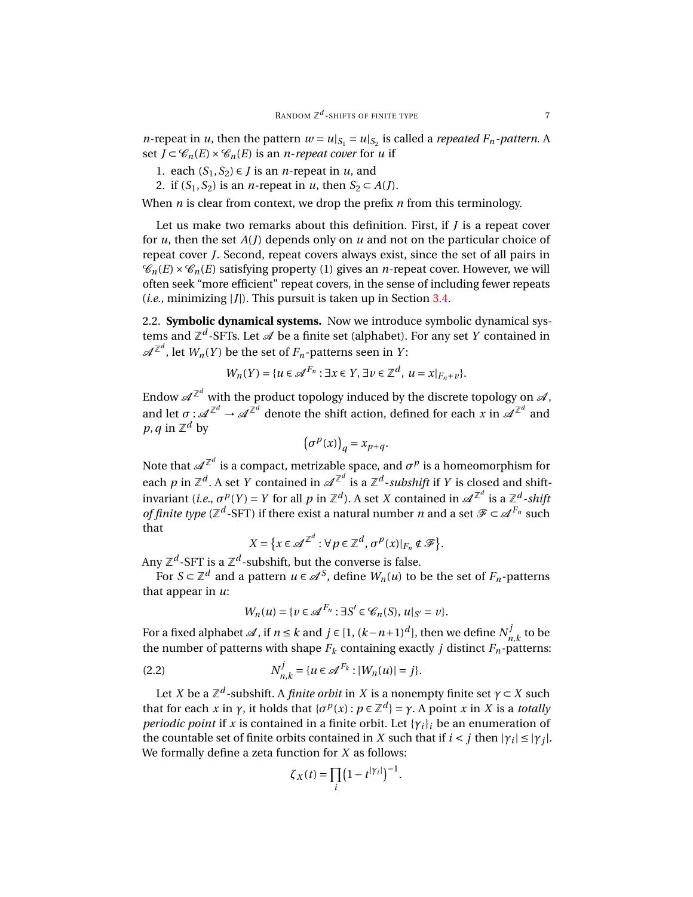*n*-repeat in *u*, then the pattern  $w = u|_{S_1} = u|_{S_2}$  is called a *repeated*  $F_n$ -pattern. A set  $J \subset \mathcal{C}_n(E) \times \mathcal{C}_n(E)$  is an *n*-*repeat cover* for *u* if

- 1. each  $(S_1, S_2)$  ∈ *J* is an *n*-repeat in *u*, and
- 2. if  $(S_1, S_2)$  is an *n*-repeat in *u*, then  $S_2 \subset A(J)$ .

When *n* is clear from context, we drop the prefix *n* from this terminology.

Let us make two remarks about this definition. First, if *J* is a repeat cover for *u*, then the set *A*(*J*) depends only on *u* and not on the particular choice of repeat cover *J*. Second, repeat covers always exist, since the set of all pairs in  $\mathcal{C}_n(E) \times \mathcal{C}_n(E)$  satisfying property (1) gives an *n*-repeat cover. However, we will often seek "more efficient" repeat covers, in the sense of including fewer repeats  $(i.e.,$  minimizing  $|J|$ ). This pursuit is taken up in Section [3.4.](#page-17-0)

2.2. **Symbolic dynamical systems.** Now we introduce symbolic dynamical systems and Z<sup>d</sup>-SFTs. Let A be a finite set (alphabet). For any set *Y* contained in  $\mathscr{A}^{\mathbb{Z}^d}$ , let  $W_n(Y)$  be the set of  $F_n$ -patterns seen in  $Y$ :

$$
W_n(Y) = \{u \in \mathcal{A}^{F_n} : \exists x \in Y, \exists v \in \mathbb{Z}^d, u = x|_{F_n + v}\}.
$$

Endow  $\mathscr{A}^{\mathbb{Z}^d}$  with the product topology induced by the discrete topology on  $\mathscr{A},$ and let  $\sigma$  :  $\mathscr{A}^{\mathbb{Z}^d}\to \mathscr{A}^{\mathbb{Z}^d}$  denote the shift action, defined for each  $x$  in  $\mathscr{A}^{\mathbb{Z}^d}$  and  $p, q$  in  $\mathbb{Z}^d$  by

$$
\left(\sigma^p(x)\right)_q = x_{p+q}.
$$

Note that  $\mathscr{A}^{\mathbb{Z}^d}$  is a compact, metrizable space, and  $\sigma^p$  is a homeomorphism for each  $p$  in  $\mathbb{Z}^d$ . A set  $Y$  contained in  $\mathscr{A}^{\mathbb{Z}^d}$  is a  $\mathbb{Z}^d$ *-subshift* if  $Y$  is closed and shiftinvariant (*i.e.,*  $\sigma^p(Y) = Y$  *for all*  $p$  *in*  $\mathbb{Z}^d$ ). A set  $X$  contained in  $\mathscr{A}^{\mathbb{Z}^d}$  is a  $\mathbb{Z}^d$ *-shift of finite type* ( $\mathbb{Z}^d$ -SFT) if there exist a natural number *n* and a set  $\mathscr{F} \subset \mathscr{A}^{F_n}$  such that

$$
X = \{x \in \mathscr{A}^{\mathbb{Z}^d} : \forall p \in \mathbb{Z}^d, \sigma^p(x)|_{F_n} \notin \mathscr{F}\}.
$$

Any  $\mathbb{Z}^d$ -SFT is a  $\mathbb{Z}^d$ -subshift, but the converse is false.

For  $S \subset \mathbb{Z}^d$  and a pattern  $u \in \mathcal{A}^S$ , define  $W_n(u)$  to be the set of  $F_n$ -patterns that appear in *u*:

$$
W_n(u) = \{v \in \mathcal{A}^{F_n} : \exists S' \in \mathcal{C}_n(S), u|_{S'} = v\}.
$$

For a fixed alphabet  $\mathscr A$ , if  $n \leq k$  and  $j \in [1, (k-n+1)^d]$ , then we define  $N_n^j$  $n_{n,k}^{\prime}$  to be the number of patterns with shape  $F_k$  containing exactly *j* distinct  $F_n$ -patterns:

<span id="page-6-0"></span>(2.2) 
$$
N_{n,k}^j = \{u \in \mathcal{A}^{F_k} : |W_n(u)| = j\}.
$$

Let *X* be a  $\mathbb{Z}^d$ -subshift. A *finite orbit* in *X* is a nonempty finite set  $\gamma \subset X$  such that for each *x* in *γ*, it holds that  $\{\sigma^p(x) : p \in \mathbb{Z}^d\} = \gamma$ . A point *x* in *X* is a *totally periodic point* if *x* is contained in a finite orbit. Let  $\{\gamma_i\}_i$  be an enumeration of the countable set of finite orbits contained in *X* such that if  $i < j$  then  $|\gamma_i| \leq |\gamma_j|$ . We formally define a zeta function for *X* as follows:

$$
\zeta_X(t) = \prod_i \left(1 - t^{|\gamma_i|}\right)^{-1}.
$$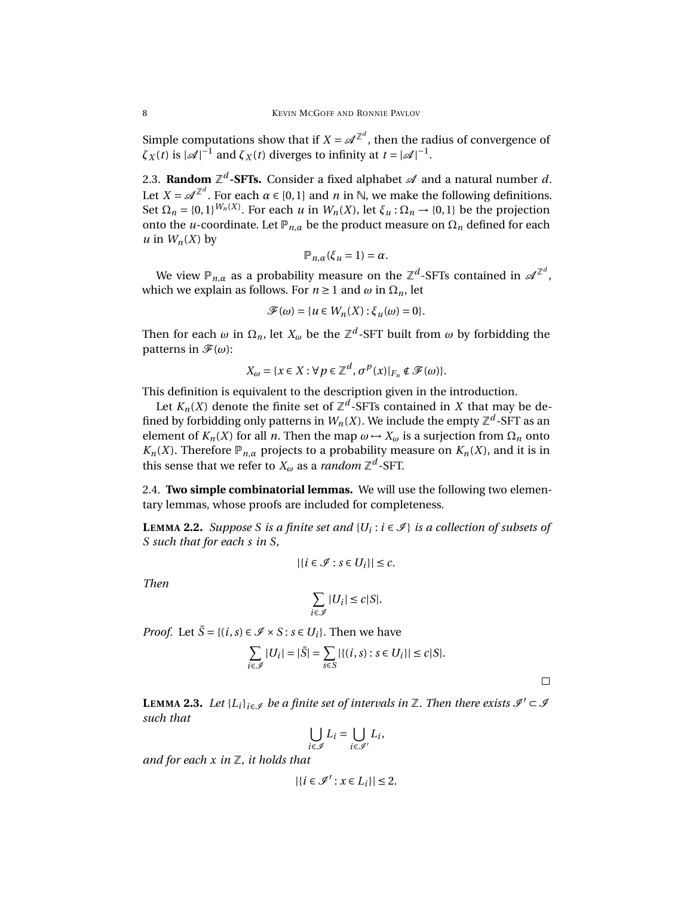Simple computations show that if  $X = \mathscr{A}^{\mathbb{Z}^d}$  , then the radius of convergence of  $\zeta_X(t)$  is  $|\mathcal{A}|^{-1}$  and  $\zeta_X(t)$  diverges to infinity at  $t = |\mathcal{A}|^{-1}$ .

2.3. **Random**  $\mathbb{Z}^d$ -SFTs. Consider a fixed alphabet  $\mathscr{A}$  and a natural number  $d$ . Let  $X = \mathscr{A}^{\mathbb{Z}^d}$ . For each  $\alpha \in [0,1]$  and  $n$  in  $\mathbb{N}$ , we make the following definitions. Set  $\Omega_n = \{0,1\}^{W_n(X)}$ . For each *u* in  $W_n(X)$ , let  $\xi_u : \Omega_n \to \{0,1\}$  be the projection onto the *u*-coordinate. Let  $\mathbb{P}_{n,\alpha}$  be the product measure on  $\Omega_n$  defined for each  $u$  in  $W_n(X)$  by

$$
\mathbb{P}_{n,\alpha}(\xi_u=1)=\alpha.
$$

We view  $\mathbb{P}_{n,\alpha}$  as a probability measure on the  $\mathbb{Z}^d$ -SFTs contained in  $\mathscr{A}^{\mathbb{Z}^d}$ , which we explain as follows. For  $n \ge 1$  and  $\omega$  in  $\Omega_n$ , let

$$
\mathscr{F}(\omega) = \{ u \in W_n(X) : \xi_u(\omega) = 0 \}.
$$

Then for each  $\omega$  in  $\Omega_n$ , let  $X_\omega$  be the  $\mathbb{Z}^d$ -SFT built from  $\omega$  by forbidding the patterns in  $\mathcal{F}(\omega)$ :

$$
X_{\omega} = \{x \in X : \forall p \in \mathbb{Z}^d, \sigma^p(x)|_{F_n} \notin \mathcal{F}(\omega)\}.
$$

This definition is equivalent to the description given in the introduction.

Let  $K_n(X)$  denote the finite set of  $\mathbb{Z}^d$ -SFTs contained in  $X$  that may be defined by forbidding only patterns in  $W_n(X)$ . We include the empty  $\mathbb{Z}^d$ -SFT as an element of  $K_n(X)$  for all *n*. Then the map  $\omega \mapsto X_\omega$  is a surjection from  $\Omega_n$  onto *K<sub>n</sub>*(*X*). Therefore  $\mathbb{P}_{n,\alpha}$  projects to a probability measure on *K<sub>n</sub>*(*X*), and it is in this sense that we refer to  $X_\omega$  as a *random*  $\mathbb{Z}^d$ -SFT.

2.4. **Two simple combinatorial lemmas.** We will use the following two elementary lemmas, whose proofs are included for completeness.

<span id="page-7-0"></span>**LEMMA 2.2.** *Suppose S is a finite set and*  $\{U_i : i \in \mathcal{I}\}\)$  *is a collection of subsets of S such that for each s in S,*

$$
|\{i\in\mathcal{I}:s\in U_i\}|\leq c.
$$

*Then*

$$
\sum_{i\in\mathcal{I}}|U_i|\leq c|S|.
$$

*Proof.* Let  $\tilde{S} = \{(i, s) \in \mathcal{I} \times S : s \in U_i\}$ . Then we have

$$
\sum_{i \in \mathcal{J}} |U_i| = |\tilde{S}| = \sum_{s \in S} |\{(i, s) : s \in U_i\}| \le c|S|.
$$

 $\Box$ 

<span id="page-7-1"></span>**LEMMA 2.3.** *Let*  $\{L_i\}_{i \in \mathcal{I}}$  *be a finite set of intervals in*  $\mathbb{Z}$ *. Then there exists*  $\mathcal{I}' \subset \mathcal{I}$ *such that*

$$
\bigcup_{i\in\mathscr{I}}L_i=\bigcup_{i\in\mathscr{I}'}L_i,
$$

*and for each x in* Z*, it holds that*

$$
|\{i\in\mathscr{I}':x\in L_i\}|\leq 2.
$$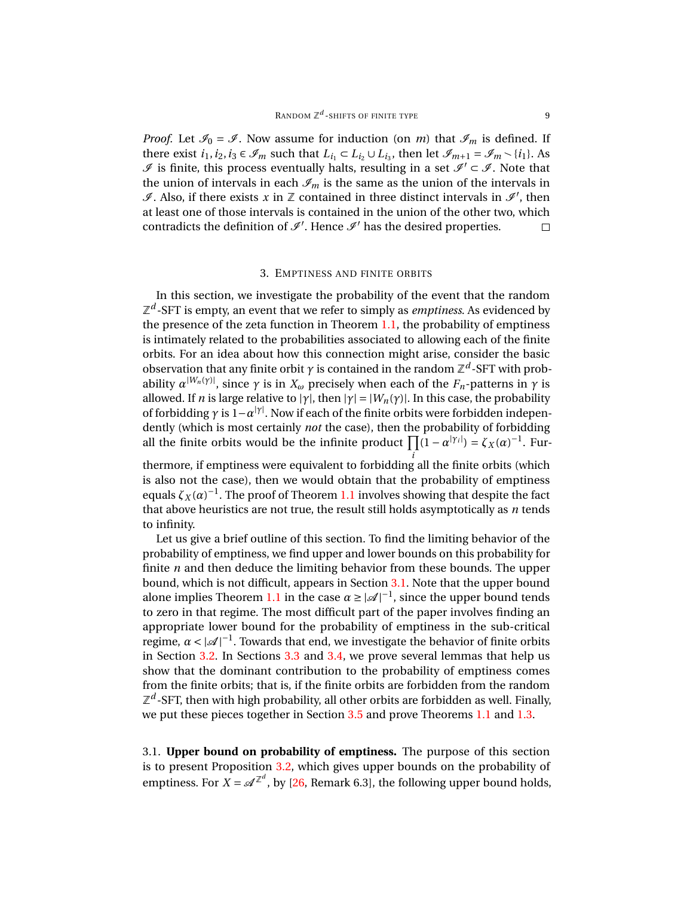*Proof.* Let  $\mathcal{I}_0 = \mathcal{I}$ . Now assume for induction (on *m*) that  $\mathcal{I}_m$  is defined. If there exist  $i_1, i_2, i_3 \in \mathcal{I}_m$  such that  $L_{i_1} \subset L_{i_2} \cup L_{i_3}$ , then let  $\mathcal{I}_{m+1} = \mathcal{I}_m \setminus \{i_1\}$ . As  $I$  is finite, this process eventually halts, resulting in a set  $I$ <sup> $\subset$ </sup>  $I$ . Note that the union of intervals in each  $\mathcal{I}_m$  is the same as the union of the intervals in  $\mathscr I$ . Also, if there exists  $x$  in  $\mathbb Z$  contained in three distinct intervals in  $\mathscr I'$ , then at least one of those intervals is contained in the union of the other two, which contradicts the definition of  $\mathcal{I}'$ . Hence  $\mathcal{I}'$  has the desired properties.  $\Box$ 

#### 3. EMPTINESS AND FINITE ORBITS

<span id="page-8-0"></span>In this section, we investigate the probability of the event that the random  $\mathbb{Z}^d$ -SFT is empty, an event that we refer to simply as *emptiness*. As evidenced by the presence of the zeta function in Theorem [1.1,](#page-1-0) the probability of emptiness is intimately related to the probabilities associated to allowing each of the finite orbits. For an idea about how this connection might arise, consider the basic observation that any finite orbit  $\gamma$  is contained in the random  $\mathbb{Z}^d$ -SFT with probability  $\alpha^{|W_n(\gamma)|}$ , since  $\gamma$  is in  $X_\omega$  precisely when each of the  $F_n$ -patterns in  $\gamma$  is allowed. If *n* is large relative to  $|\gamma|$ , then  $|\gamma| = |W_n(\gamma)|$ . In this case, the probability of forbidding  $\gamma$  is  $1-\alpha^{|\gamma|}$ . Now if each of the finite orbits were forbidden independently (which is most certainly *not* the case), then the probability of forbidding all the finite orbits would be the infinite product  $\prod (1 - \alpha^{|\gamma_i|}) = \zeta_X(\alpha)^{-1}$ . Fur-

*i* thermore, if emptiness were equivalent to forbidding all the finite orbits (which is also not the case), then we would obtain that the probability of emptiness equals  $\zeta_X(\alpha)^{-1}$ . The proof of Theorem [1.1](#page-1-0) involves showing that despite the fact that above heuristics are not true, the result still holds asymptotically as *n* tends to infinity.

Let us give a brief outline of this section. To find the limiting behavior of the probability of emptiness, we find upper and lower bounds on this probability for finite *n* and then deduce the limiting behavior from these bounds. The upper bound, which is not difficult, appears in Section [3.1.](#page-8-1) Note that the upper bound alone implies Theorem [1.1](#page-1-0) in the case  $\alpha \ge |\mathcal{A}|^{-1}$ , since the upper bound tends to zero in that regime. The most difficult part of the paper involves finding an appropriate lower bound for the probability of emptiness in the sub-critical regime,  $\alpha < |\mathcal{A}|^{-1}$ . Towards that end, we investigate the behavior of finite orbits in Section [3.2.](#page-11-0) In Sections [3.3](#page-14-0) and [3.4,](#page-17-0) we prove several lemmas that help us show that the dominant contribution to the probability of emptiness comes from the finite orbits; that is, if the finite orbits are forbidden from the random  $\mathbb{Z}^d$ -SFT, then with high probability, all other orbits are forbidden as well. Finally, we put these pieces together in Section [3.5](#page-26-0) and prove Theorems [1.1](#page-1-0) and [1.3.](#page-2-1)

<span id="page-8-1"></span>3.1. **Upper bound on probability of emptiness.** The purpose of this section is to present Proposition [3.2,](#page-9-0) which gives upper bounds on the probability of emptiness. For  $X = \mathcal{A}^{\mathbb{Z}^d}$ , by [\[26,](#page-43-0) Remark 6.3], the following upper bound holds,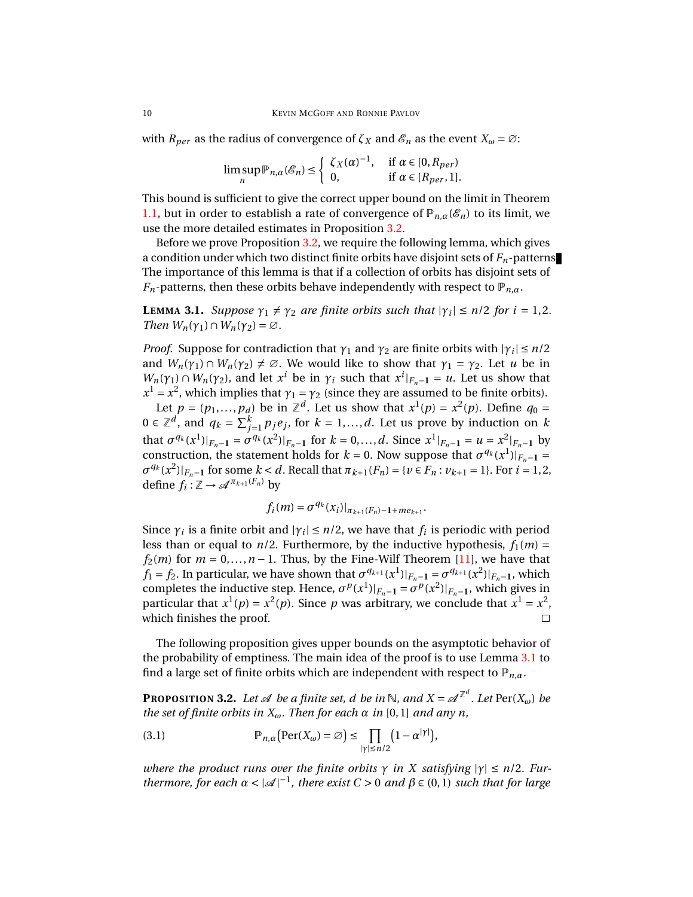with  $R_{per}$  as the radius of convergence of  $\zeta_X$  and  $\mathcal{E}_n$  as the event  $X_\omega = \varnothing$ :

$$
\limsup_n \mathbb{P}_{n,\alpha}(\mathcal{E}_n) \leq \begin{cases} \zeta_X(\alpha)^{-1}, & \text{if } \alpha \in [0,R_{per}) \\ 0, & \text{if } \alpha \in [R_{per},1]. \end{cases}
$$

This bound is sufficient to give the correct upper bound on the limit in Theorem [1.1,](#page-1-0) but in order to establish a rate of convergence of  $\mathbb{P}_{n,\alpha}(\mathscr{E}_n)$  to its limit, we use the more detailed estimates in Proposition [3.2.](#page-9-0)

Before we prove Proposition [3.2,](#page-9-0) we require the following lemma, which gives a condition under which two distinct finite orbits have disjoint sets of *Fn*-patterns. The importance of this lemma is that if a collection of orbits has disjoint sets of *F<sub>n</sub>*-patterns, then these orbits behave independently with respect to  $\mathbb{P}_{n,\alpha}$ .

<span id="page-9-1"></span>**LEMMA** 3.1. *Suppose*  $\gamma_1 \neq \gamma_2$  *are finite orbits such that*  $|\gamma_i| \leq n/2$  *for*  $i = 1, 2$ *. Then*  $W_n(\gamma_1) \cap W_n(\gamma_2) = \emptyset$ .

*Proof.* Suppose for contradiction that  $\gamma_1$  and  $\gamma_2$  are finite orbits with  $|\gamma_i| \leq n/2$ and  $W_n(\gamma_1) \cap W_n(\gamma_2) \neq \emptyset$ . We would like to show that  $\gamma_1 = \gamma_2$ . Let *u* be in  $W_n(\gamma_1) \cap W_n(\gamma_2)$ , and let  $x^i$  be in  $\gamma_i$  such that  $x^i|_{F_n-1} = u$ . Let us show that  $x^1 = x^2$ , which implies that  $\gamma_1 = \gamma_2$  (since they are assumed to be finite orbits).

Let  $p = (p_1, ..., p_d)$  be in  $\mathbb{Z}^d$ . Let us show that  $x^1(p) = x^2(p)$ . Define  $q_0 =$ 0 ∈  $\mathbb{Z}^d$ , and  $q_k = \sum_{j=1}^k p_j e_j$ , for  $k = 1,...,d$ . Let us prove by induction on  $k$ that  $\sigma^{q_k}(x^1)|_{F_n-1} = \sigma^{q_k}(x^2)|_{F_n-1}$  for  $k = 0, ..., d$ . Since  $x^1|_{F_n-1} = u = x^2|_{F_n-1}$  by construction, the statement holds for  $k = 0$ . Now suppose that  $\sigma^{q_k}(x^1)|_{F_n-1} =$  $\sigma^{q_k}(x^2)|_{F_n-1}$  for some  $k < d$ . Recall that  $\pi_{k+1}(F_n) = \{v \in F_n : v_{k+1} = 1\}$ . For  $i = 1, 2$ , define  $f_i : \mathbb{Z} \to \mathcal{A}^{\pi_{k+1}(F_n)}$  by

$$
f_i(m) = \sigma^{q_k}(x_i)|_{\pi_{k+1}(F_n)-1+me_{k+1}}.
$$

Since  $\gamma_i$  is a finite orbit and  $|\gamma_i| \leq n/2$ , we have that  $f_i$  is periodic with period less than or equal to  $n/2$ . Furthermore, by the inductive hypothesis,  $f_1(m)$  =  $f_2(m)$  for  $m = 0, \ldots, n - 1$ . Thus, by the Fine-Wilf Theorem [\[11\]](#page-42-10), we have that *f*<sub>1</sub> = *f*<sub>2</sub>. In particular, we have shown that  $\sigma^{q_{k+1}}(x^1)|_{F_n-1} = \sigma^{q_{k+1}}(x^2)|_{F_n-1}$ , which completes the inductive step. Hence,  $\sigma^p(x^1)|_{F_n-1} = \sigma^p(x^2)|_{F_n-1}$ , which gives in particular that  $x^1(p) = x^2(p)$ . Since p was arbitrary, we conclude that  $x^1 = x^2$ , which finishes the proof.  $\Box$ 

The following proposition gives upper bounds on the asymptotic behavior of the probability of emptiness. The main idea of the proof is to use Lemma [3.1](#page-9-1) to find a large set of finite orbits which are independent with respect to  $\mathbb{P}_{n,\alpha}$ .

<span id="page-9-0"></span>**PROPOSITION 3.2.** Let  $\mathscr A$  be a finite set,  $d$  be in  $\mathbb N$ , and  $X = \mathscr A^{\mathbb Z^d}$ . Let  $\text{Per}(X_\omega)$  be *the set of finite orbits in*  $X_\omega$ *. Then for each*  $\alpha$  *in* [0,1] *and any n*,

<span id="page-9-2"></span>(3.1) 
$$
\mathbb{P}_{n,\alpha}\big(\text{Per}(X_{\omega})=\varnothing\big)\leq \prod_{|\gamma|\leq n/2}\big(1-\alpha^{|\gamma|}\big),
$$

*where the product runs over the finite orbits*  $\gamma$  *in*  $X$  *satisfying*  $|\gamma| \leq n/2$ *. Furthermore, for each*  $\alpha < |\mathcal{A}|^{-1}$ , there exist  $C > 0$  and  $\beta \in (0,1)$  such that for large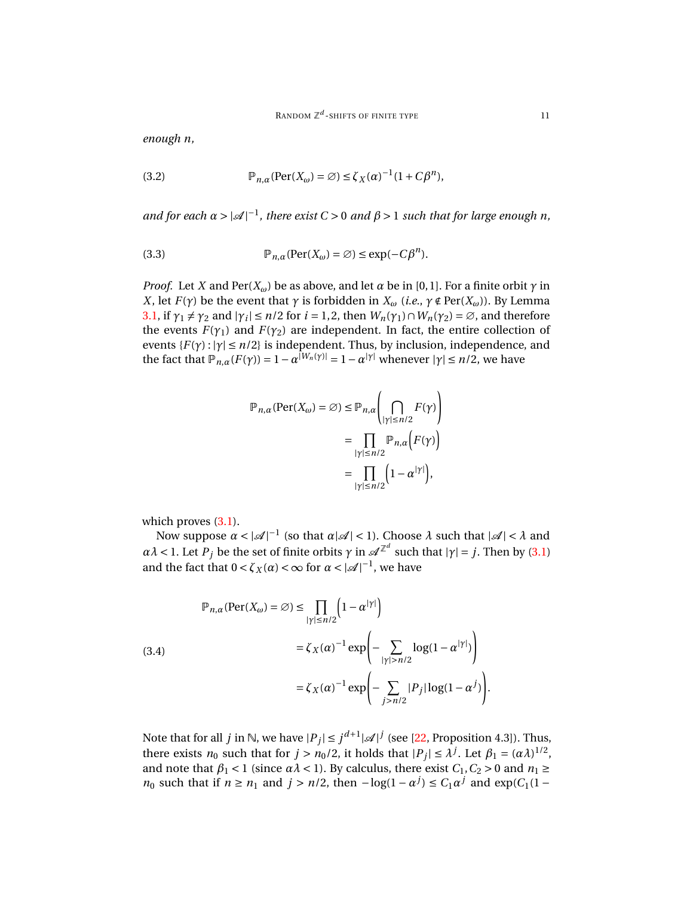*enough n,*

<span id="page-10-1"></span>(3.2) 
$$
\mathbb{P}_{n,\alpha}(\text{Per}(X_{\omega}) = \emptyset) \le \zeta_X(\alpha)^{-1}(1 + C\beta^n),
$$

*and for each*  $\alpha > |\mathcal{A}|^{-1}$ , there exist  $C > 0$  and  $\beta > 1$  such that for large enough n,

<span id="page-10-2"></span>(3.3) 
$$
\mathbb{P}_{n,\alpha}(\text{Per}(X_{\omega}) = \varnothing) \leq \exp(-C\beta^{n}).
$$

*Proof.* Let *X* and Per( $X_\omega$ ) be as above, and let  $\alpha$  be in [0,1]. For a finite orbit  $\gamma$  in *X*, let *F*(*γ*) be the event that *γ* is forbidden in  $X_\omega$  (*i.e.*,  $\gamma \notin \text{Per}(X_\omega)$ ). By Lemma [3.1,](#page-9-1) if  $\gamma_1 \neq \gamma_2$  and  $|\gamma_i| \leq n/2$  for  $i = 1, 2$ , then  $W_n(\gamma_1) \cap W_n(\gamma_2) = \emptyset$ , and therefore the events  $F(\gamma_1)$  and  $F(\gamma_2)$  are independent. In fact, the entire collection of events  $\{F(\gamma): |\gamma| \leq n/2\}$  is independent. Thus, by inclusion, independence, and the fact that  $\mathbb{P}_{n,\alpha}(F(\gamma)) = 1 - \alpha^{|W_n(\gamma)|} = 1 - \alpha^{|{\gamma}|}$  whenever  $|{\gamma}| \leq n/2$ , we have

$$
\mathbb{P}_{n,\alpha}(\text{Per}(X_{\omega}) = \varnothing) \le \mathbb{P}_{n,\alpha} \left( \bigcap_{|\gamma| \le n/2} F(\gamma) \right)
$$

$$
= \prod_{|\gamma| \le n/2} \mathbb{P}_{n,\alpha} \left( F(\gamma) \right)
$$

$$
= \prod_{|\gamma| \le n/2} \left( 1 - \alpha^{|\gamma|} \right),
$$

which proves  $(3.1)$ .

Now suppose  $\alpha < |\mathcal{A}|^{-1}$  (so that  $\alpha |\mathcal{A}| < 1$ ). Choose  $\lambda$  such that  $|\mathcal{A}| < \lambda$  and *αλ* < 1. Let *P<sub>j</sub>* be the set of finite orbits *γ* in  $\mathscr{A}^{\mathbb{Z}^d}$  such that  $|\gamma| = j$ . Then by [\(3.1\)](#page-9-2) and the fact that  $0 < \zeta_X(\alpha) < \infty$  for  $\alpha < |\mathcal{A}|^{-1}$ , we have

<span id="page-10-0"></span>(3.4)  
\n
$$
\mathbb{P}_{n,\alpha}(\text{Per}(X_{\omega}) = \varnothing) \le \prod_{|\gamma| \le n/2} \left(1 - \alpha^{|\gamma|}\right)
$$
\n
$$
= \zeta_X(\alpha)^{-1} \exp\left(-\sum_{|\gamma| > n/2} \log(1 - \alpha^{|\gamma|})\right)
$$
\n
$$
= \zeta_X(\alpha)^{-1} \exp\left(-\sum_{j > n/2} |P_j| \log(1 - \alpha^j)\right).
$$

Note that for all *j* in  $\mathbb{N}$ , we have  $|P_j| \leq j^{d+1} |\mathscr{A}|^j$  (see [\[22,](#page-43-10) Proposition 4.3]). Thus, there exists  $n_0$  such that for  $j > n_0/2$ , it holds that  $|P_j| \leq \lambda^j$ . Let  $\beta_1 = (\alpha \lambda)^{1/2}$ , and note that  $\beta_1 < 1$  (since  $\alpha \lambda < 1$ ). By calculus, there exist  $C_1, C_2 > 0$  and  $n_1 \ge$ *n*<sup>0</sup> such that if  $n \ge n_1$  and  $j > n/2$ , then  $-\log(1 - \alpha^j) \le C_1 \alpha^j$  and  $\exp(C_1(1 - \alpha^j))$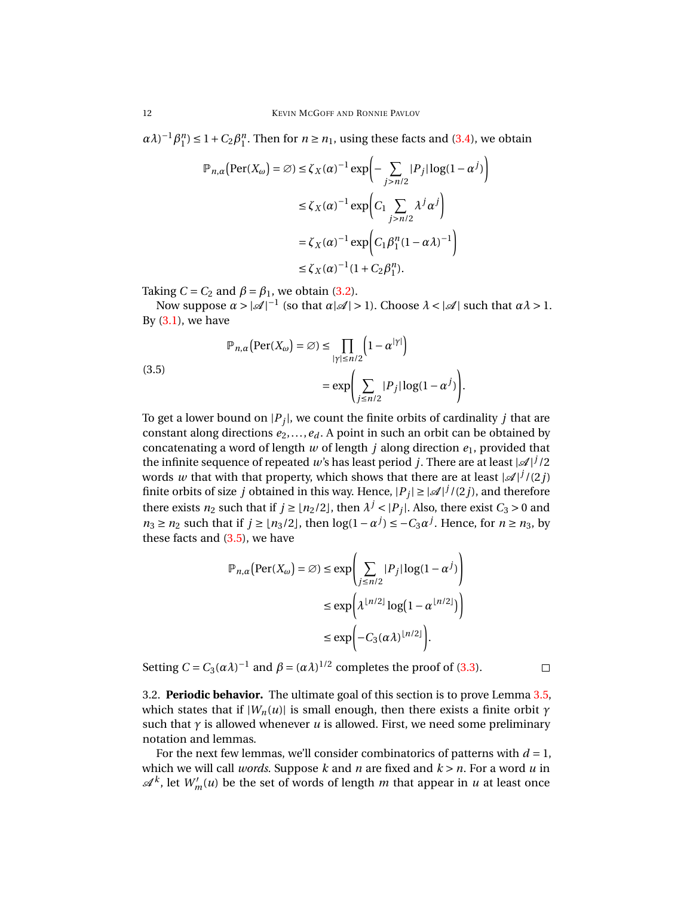$\alpha \lambda$ <sup>-1</sup> $\beta_1^n$ ) ≤ 1 +  $C_2 \beta_1^n$ . Then for  $n \ge n_1$ , using these facts and [\(3.4\)](#page-10-0), we obtain

$$
\mathbb{P}_{n,\alpha} \left( \text{Per}(X_{\omega}) = \varnothing \right) \le \zeta_X(\alpha)^{-1} \exp \left( - \sum_{j>n/2} |P_j| \log(1 - \alpha^j) \right)
$$
  

$$
\le \zeta_X(\alpha)^{-1} \exp \left( C_1 \sum_{j>n/2} \lambda^j \alpha^j \right)
$$
  

$$
= \zeta_X(\alpha)^{-1} \exp \left( C_1 \beta_1^n (1 - \alpha \lambda)^{-1} \right)
$$
  

$$
\le \zeta_X(\alpha)^{-1} (1 + C_2 \beta_1^n).
$$

Taking  $C = C_2$  and  $\beta = \beta_1$ , we obtain [\(3.2\)](#page-10-1).

Now suppose  $\alpha > |\mathcal{A}|^{-1}$  (so that  $\alpha |\mathcal{A}| > 1$ ). Choose  $\lambda < |\mathcal{A}|$  such that  $\alpha \lambda > 1$ . By  $(3.1)$ , we have

<span id="page-11-1"></span>(3.5)  
\n
$$
\mathbb{P}_{n,\alpha}(\text{Per}(X_{\omega}) = \varnothing) \le \prod_{|\gamma| \le n/2} \left(1 - \alpha^{|\gamma|}\right)
$$
\n
$$
= \exp\left(\sum_{j \le n/2} |P_j| \log(1 - \alpha^j)\right).
$$

To get a lower bound on  $|P_j|$ , we count the finite orbits of cardinality  $j$  that are constant along directions  $e_2$ ,..., $e_d$ . A point in such an orbit can be obtained by concatenating a word of length *w* of length *j* along direction *e*1, provided that the infinite sequence of repeated  $w$ 's has least period  $j$ . There are at least  $|\mathscr{A}|^j$  /2 words *w* that with that property, which shows that there are at least  $|\mathcal{A}|^{j}/(2j)$ finite orbits of size  $j$  obtained in this way. Hence,  $|P_j| \geq |\mathscr{A}|^j/(2j)$ , and therefore there exists  $n_2$  such that if  $j \geq \lfloor n_2/2 \rfloor$ , then  $\lambda^j < |P_j|$ . Also, there exist  $C_3 > 0$  and *n*<sub>3</sub> ≥ *n*<sub>2</sub> such that if *j* ≥  $\lfloor n_3/2 \rfloor$ , then  $\log(1 - \alpha^j) \le -C_3 \alpha^j$ . Hence, for *n* ≥ *n*<sub>3</sub>, by these facts and [\(3.5\)](#page-11-1), we have

$$
\mathbb{P}_{n,\alpha}(\text{Per}(X_{\omega}) = \varnothing) \le \exp\left(\sum_{j \le n/2} |P_j| \log(1 - \alpha^j)\right)
$$
  

$$
\le \exp\left(\lambda^{\lfloor n/2 \rfloor} \log(1 - \alpha^{\lfloor n/2 \rfloor})\right)
$$
  

$$
\le \exp\left(-C_3(\alpha \lambda)^{\lfloor n/2 \rfloor}\right).
$$

Setting  $C = C_3(\alpha \lambda)^{-1}$  and  $\beta = (\alpha \lambda)^{1/2}$  completes the proof of [\(3.3\)](#page-10-2).

<span id="page-11-0"></span>3.2. **Periodic behavior.** The ultimate goal of this section is to prove Lemma [3.5,](#page-13-0) which states that if  $|W_n(u)|$  is small enough, then there exists a finite orbit  $\gamma$ such that  $\gamma$  is allowed whenever *u* is allowed. First, we need some preliminary notation and lemmas.

For the next few lemmas, we'll consider combinatorics of patterns with  $d = 1$ , which we will call *words*. Suppose *k* and *n* are fixed and *k* > *n*. For a word *u* in  $\mathscr{A}^k$ , let  $W'_m(u)$  be the set of words of length *m* that appear in *u* at least once

 $\Box$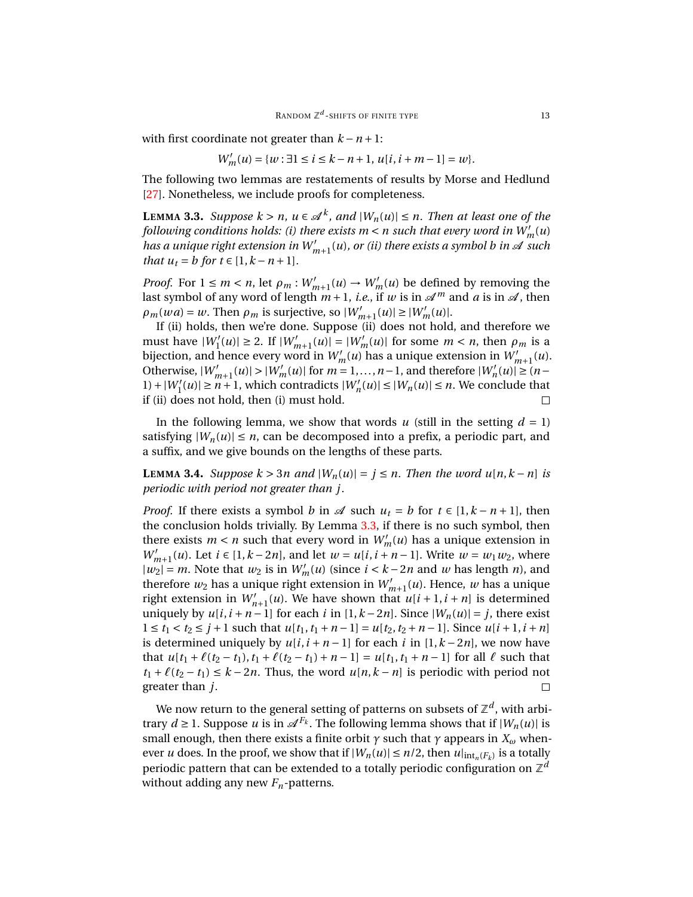with first coordinate not greater than  $k - n + 1$ :

$$
W'_{m}(u) = \{w : \exists 1 \le i \le k - n + 1, u[i, i + m - 1] = w\}.
$$

The following two lemmas are restatements of results by Morse and Hedlund [\[27\]](#page-43-11). Nonetheless, we include proofs for completeness.

<span id="page-12-0"></span>**LEMMA** 3.3. *Suppose*  $k > n$ ,  $u \in \mathcal{A}^k$ , and  $|W_n(u)| \leq n$ . Then at least one of the *following conditions holds: (i) there exists*  $m$  *<*  $n$  *such that every word in*  $W_m'(u)$ has a unique right extension in  $W_{m+1}^{\prime}(u)$ , or (ii) there exists a symbol  $b$  in  ${\mathscr A}$  such *that*  $u_t = b$  *for*  $t \in [1, k - n + 1]$ *.* 

*Proof.* For  $1 \le m < n$ , let  $\rho_m : W'_{m+1}(u) \to W'_{m}(u)$  be defined by removing the last symbol of any word of length  $m+1$ , *i.e.*, if w is in  $\mathcal{A}^m$  and a is in  $\mathcal{A}$ , then  $\rho_m(wa) = w$ . Then  $\rho_m$  is surjective, so  $|W'_{m+1}(u)| \ge |W'_m(u)|$ .

If (ii) holds, then we're done. Suppose (ii) does not hold, and therefore we  $\text{must have } |W_1'(u)| \geq 2. \text{ If } |W_{m+1}'(u)| = |W_m'(u)| \text{ for some } m < n \text{, then } \rho_m \text{ is a }$ bijection, and hence every word in  $W'_m(u)$  has a unique extension in  $W'_{m+1}(u)$ . Otherwise,  $|W'_{m+1}(u)| > |W'_{m}(u)|$  for  $m = 1,...,n-1$ , and therefore  $|W'_{n}(u)| \geq (n-1)$  $|W'_{1}(u)| \ge n+1$ , which contradicts  $|W'_{n}(u)| \le |W_{n}(u)| \le n$ . We conclude that if (ii) does not hold, then (i) must hold. П

In the following lemma, we show that words  $u$  (still in the setting  $d = 1$ ) satisfying  $|W_n(u)| \le n$ , can be decomposed into a prefix, a periodic part, and a suffix, and we give bounds on the lengths of these parts.

<span id="page-12-1"></span>**LEMMA** 3.4. *Suppose*  $k > 3n$  *and*  $|W_n(u)| = j \le n$ . *Then the word*  $u[n, k - n]$  *is periodic with period not greater than j.*

*Proof.* If there exists a symbol *b* in  $\mathcal A$  such  $u_t = b$  for  $t \in [1, k - n + 1]$ , then the conclusion holds trivially. By Lemma [3.3,](#page-12-0) if there is no such symbol, then there exists  $m < n$  such that every word in  $W'_m(u)$  has a unique extension in *W*<sup>*m*</sup><sub>*m*+1</sub>(*u*). Let *i* ∈ [1, *k* − 2*n*], and let *w* = *u*[*i*, *i* + *n* − 1]. Write *w* = *w*<sub>1</sub>*w*<sub>2</sub>, where  $|w_2| = m$ . Note that  $w_2$  is in  $W'_m(u)$  (since  $i < k - 2n$  and w has length *n*), and therefore  $w_2$  has a unique right extension in  $W'_{m+1}(u)$ . Hence, w has a unique right extension in  $W'_{n+1}(u)$ . We have shown that  $u[i+1, i+n]$  is determined uniquely by  $u[i, i + n − 1]$  for each *i* in  $[1, k - 2n]$ . Since  $|W_n(u)| = j$ , there exist 1 ≤ *t*<sub>1</sub> < *t*<sub>2</sub> ≤ *j* + 1 such that *u*[*t*<sub>1</sub>, *t*<sub>1</sub> + *n* − 1] = *u*[*t*<sub>2</sub>, *t*<sub>2</sub> + *n* − 1]. Since *u*[*i* + 1, *i* + *n*] is determined uniquely by  $u[i, i + n - 1]$  for each *i* in [1, $k - 2n$ ], we now have that  $u[t_1 + \ell(t_2 - t_1), t_1 + \ell(t_2 - t_1) + n - 1] = u[t_1, t_1 + n - 1]$  for all  $\ell$  such that *t*<sub>1</sub> +  $\ell$ (*t*<sub>2</sub> − *t*<sub>1</sub>) ≤ *k* − 2*n*. Thus, the word *u*[*n*,*k* − *n*] is periodic with period not greater than *j*.

We now return to the general setting of patterns on subsets of  $\mathbb{Z}^d$ , with arbitrary  $d \geq 1$ . Suppose  $u$  is in  $\mathscr{A}^{F_k}$ . The following lemma shows that if  $|W_n(u)|$  is small enough, then there exists a finite orbit *γ* such that *γ* appears in *X<sup>ω</sup>* whenever *u* does. In the proof, we show that if  $|W_n(u)| \le n/2$ , then  $u|_{int_n(F_k)}$  is a totally periodic pattern that can be extended to a totally periodic configuration on  $\mathbb{Z}^d$ without adding any new *Fn*-patterns.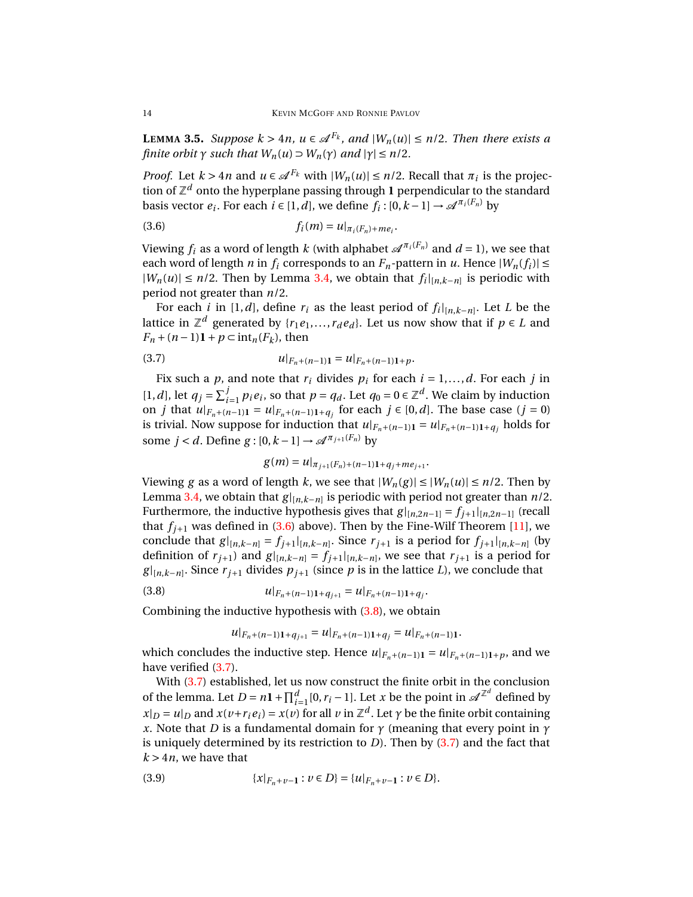<span id="page-13-0"></span>**LEMMA** 3.5. *Suppose*  $k > 4n$ ,  $u \in \mathcal{A}^{F_k}$ , and  $|W_n(u)| \leq n/2$ . Then there exists a *finite orbit*  $\gamma$  *such that*  $W_n(u) \supset W_n(\gamma)$  *and*  $|\gamma| \leq n/2$ *.* 

*Proof.* Let  $k > 4n$  and  $u \in \mathcal{A}^{F_k}$  with  $|W_n(u)| \le n/2$ . Recall that  $\pi_i$  is the projection of  $\mathbb{Z}^d$  onto the hyperplane passing through  $\boldsymbol{1}$  perpendicular to the standard basis vector  $e_i$ . For each  $i \in [1, d]$ , we define  $f_i : [0, k-1] \rightarrow \mathscr{A}^{\pi_i(F_n)}$  by

<span id="page-13-1"></span>(3.6) 
$$
f_i(m) = u|_{\pi_i(F_n) + me_i}.
$$

Viewing  $f_i$  as a word of length  $k$  (with alphabet  $\mathscr{A}^{\pi_i(F_n)}$  and  $d=1$ ), we see that each word of length *n* in  $f_i$  corresponds to an  $F_n$ -pattern in *u*. Hence  $|W_n(f_i)| \le$  $|W_n(u)|$  ≤ *n*/2. Then by Lemma [3.4,](#page-12-1) we obtain that  $f_i|_{[n,k-n]}$  is periodic with period not greater than *n*/2.

For each *i* in [1,*d*], define  $r_i$  as the least period of  $f_i|_{[n,k-n]}$ . Let *L* be the lattice in  $\mathbb{Z}^d$  generated by { $r_1e_1,\ldots,r_de_d$ }. Let us now show that if  $p\in L$  and  $F_n + (n-1)\mathbf{1} + p \subset \text{int}_n(F_k)$ , then

<span id="page-13-3"></span>(3.7) 
$$
u|_{F_n + (n-1)\mathbf{1}} = u|_{F_n + (n-1)\mathbf{1} + p}.
$$

Fix such a *p*, and note that  $r_i$  divides  $p_i$  for each  $i = 1, ..., d$ . For each *j* in [1, *d*], let  $q_j = \sum_{i=1}^j p_i e_i$ , so that  $p = q_d$ . Let  $q_0 = 0 \in \mathbb{Z}^d$ . We claim by induction on *j* that  $u|_{F_n+(n-1)1} = u|_{F_n+(n-1)1+q_j}$  for each *j* ∈ [0, *d*]. The base case (*j* = 0) is trivial. Now suppose for induction that  $u|_{F_n+(n-1)1} = u|_{F_n+(n-1)1+q_i}$  holds for some  $j < d$ . Define  $g : [0, k-1] \rightarrow \mathcal{A}^{\pi_{j+1}(F_n)}$  by

$$
g(m) = u|_{\pi_{j+1}(F_n) + (n-1)\mathbf{1} + q_j + me_{j+1}}.
$$

Viewing *g* as a word of length *k*, we see that  $|W_n(g)| \le |W_n(u)| \le n/2$ . Then by Lemma [3.4,](#page-12-1) we obtain that *g* |[*n*,*k*−*n*] is periodic with period not greater than *n*/2. Furthermore, the inductive hypothesis gives that  $g|_{[n,2n-1]} = f_{j+1}|_{[n,2n-1]}$  (recall that  $f_{i+1}$  was defined in [\(3.6\)](#page-13-1) above). Then by the Fine-Wilf Theorem [\[11\]](#page-42-10), we conclude that  $g|_{[n,k-n]} = f_{j+1}|_{[n,k-n]}$ . Since  $r_{j+1}$  is a period for  $f_{j+1}|_{[n,k-n]}$  (by definition of  $r_{j+1}$ ) and  $g|_{[n,k-n]} = f_{j+1}|_{[n,k-n]}$ , we see that  $r_{j+1}$  is a period for  $g|_{[n,k-n]}$ . Since  $r_{j+1}$  divides  $p_{j+1}$  (since  $p$  is in the lattice *L*), we conclude that

<span id="page-13-2"></span>(3.8) 
$$
u|_{F_n + (n-1)\mathbf{1} + q_{j+1}} = u|_{F_n + (n-1)\mathbf{1} + q_j}.
$$

Combining the inductive hypothesis with  $(3.8)$ , we obtain

$$
u|_{F_n + (n-1)\mathbf{1} + q_{j+1}} = u|_{F_n + (n-1)\mathbf{1} + q_j} = u|_{F_n + (n-1)\mathbf{1}}.
$$

which concludes the inductive step. Hence  $u|_{F_n+(n-1)1} = u|_{F_n+(n-1)1+p}$ , and we have verified  $(3.7)$ .

With [\(3.7\)](#page-13-3) established, let us now construct the finite orbit in the conclusion of the lemma. Let  $D = n\mathbf{1} + \prod_{i=1}^{d} [0, r_i - 1]$ . Let *x* be the point in  $\mathscr{A}^{\mathbb{Z}^d}$  defined by  $x|_D = u|_D$  and  $x(v+r_ie_i) = x(v)$  for all  $v$  in  $\mathbb{Z}^d$ . Let  $\gamma$  be the finite orbit containing *x*. Note that *D* is a fundamental domain for  $\gamma$  (meaning that every point in  $\gamma$ is uniquely determined by its restriction to *D*). Then by [\(3.7\)](#page-13-3) and the fact that  $k > 4n$ , we have that

<span id="page-13-4"></span>(3.9) 
$$
\{x|_{F_n+v-1} : v \in D\} = \{u|_{F_n+v-1} : v \in D\}.
$$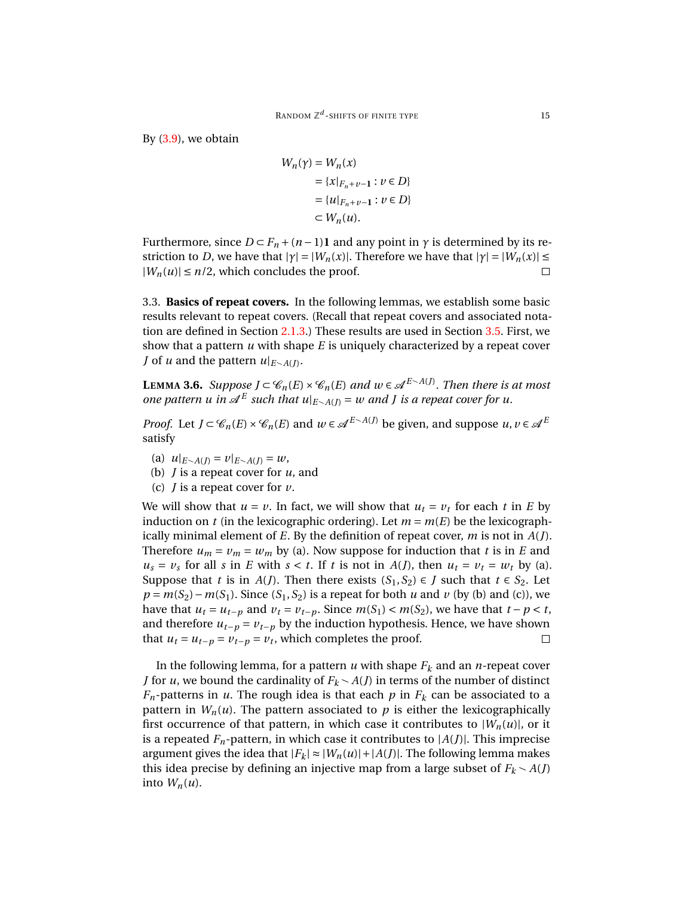By [\(3.9\)](#page-13-4), we obtain

$$
W_n(\gamma) = W_n(x)
$$
  
= {x| $F_n+v-1$  :  $v \in D$ }  
= {u| $F_n+v-1$  :  $v \in D$ }  
 $\subset W_n(u)$ .

Furthermore, since  $D \subset F_n + (n-1)$ **1** and any point in  $\gamma$  is determined by its restriction to *D*, we have that  $|\gamma| = |W_n(x)|$ . Therefore we have that  $|\gamma| = |W_n(x)| \le$  $|W_n(u)| \leq n/2$ , which concludes the proof.  $\Box$ 

<span id="page-14-0"></span>3.3. **Basics of repeat covers.** In the following lemmas, we establish some basic results relevant to repeat covers. (Recall that repeat covers and associated notation are defined in Section [2.1.3.](#page-5-1)) These results are used in Section [3.5.](#page-26-0) First, we show that a pattern *u* with shape *E* is uniquely characterized by a repeat cover *J* of *u* and the pattern  $u|_{E \setminus A(J)}$ .

<span id="page-14-1"></span>**LEMMA 3.6.** *Suppose J* ⊂  $\mathscr{C}_n(E) \times \mathscr{C}_n(E)$  *and*  $w \in \mathscr{A}^{E \sim A(f)}$ . *Then there is at most one pattern u in*  $\mathscr{A}^E$  such that  $u|_{E \setminus A(J)} = w$  and *J is a repeat cover for u.* 

*Proof.* Let  $J \subset \mathcal{C}_n(E) \times \mathcal{C}_n(E)$  and  $w \in \mathcal{A}^{E \setminus A(J)}$  be given, and suppose  $u, v \in \mathcal{A}^E$ satisfy

- (a)  $u|_{E \setminus A(J)} = v|_{E \setminus A(J)} = w$ ,
- (b) *J* is a repeat cover for *u*, and
- (c) *J* is a repeat cover for *v*.

We will show that  $u = v$ . In fact, we will show that  $u_t = v_t$  for each *t* in *E* by induction on *t* (in the lexicographic ordering). Let  $m = m(E)$  be the lexicographically minimal element of *E*. By the definition of repeat cover, *m* is not in *A*(*J*). Therefore  $u_m = v_m = w_m$  by (a). Now suppose for induction that *t* is in *E* and  $u_s = v_s$  for all *s* in *E* with  $s < t$ . If *t* is not in *A*(*J*), then  $u_t = v_t = w_t$  by (a). Suppose that *t* is in *A*(*J*). Then there exists  $(S_1, S_2) \in J$  such that  $t \in S_2$ . Let  $p = m(S_2) - m(S_1)$ . Since  $(S_1, S_2)$  is a repeat for both *u* and *v* (by (b) and (c)), we have that  $u_t = u_{t-p}$  and  $v_t = v_{t-p}$ . Since  $m(S_1) < m(S_2)$ , we have that  $t - p < t$ , and therefore  $u_{t-p} = v_{t-p}$  by the induction hypothesis. Hence, we have shown that  $u_t = u_{t-p} = v_{t-p} = v_t$ , which completes the proof.  $\Box$ 

In the following lemma, for a pattern  $u$  with shape  $F_k$  and an  $n$ -repeat cover *J* for *u*, we bound the cardinality of  $F_k \setminus A(J)$  in terms of the number of distinct  $F_n$ -patterns in *u*. The rough idea is that each *p* in  $F_k$  can be associated to a pattern in  $W_n(u)$ . The pattern associated to  $p$  is either the lexicographically first occurrence of that pattern, in which case it contributes to  $|W_n(u)|$ , or it is a repeated  $F_n$ -pattern, in which case it contributes to  $|A(J)|$ . This imprecise argument gives the idea that  $|F_k| \approx |W_n(u)| + |A(f)|$ . The following lemma makes this idea precise by defining an injective map from a large subset of  $F_k \sim A(J)$ into  $W_n(u)$ .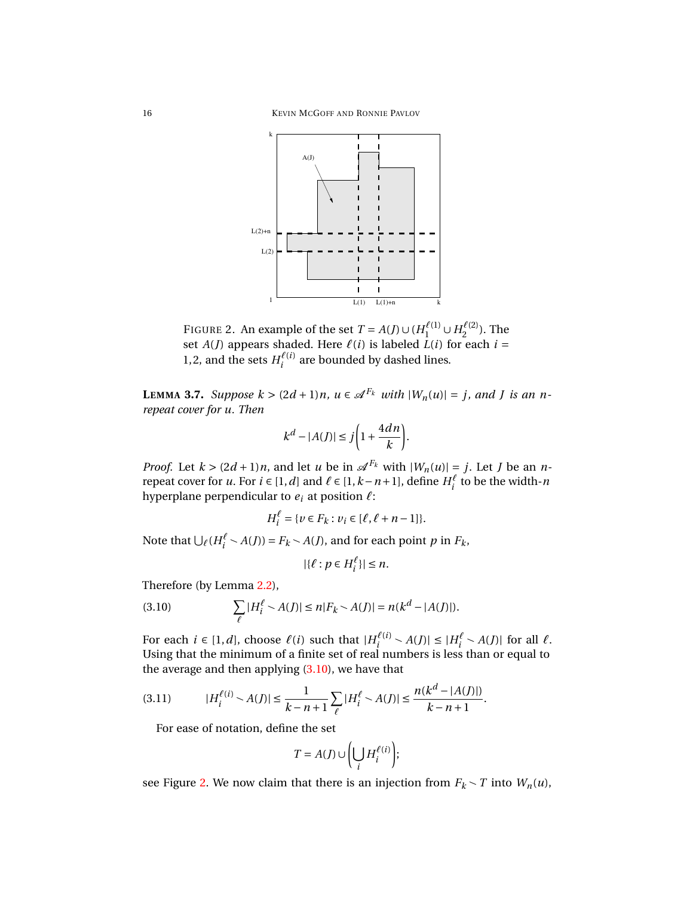

<span id="page-15-1"></span>FIGURE 2. An example of the set  $T = A(J) \cup (H_1^{\ell(1)} \cup H_2^{\ell(2)}$  $2^{\ell(2)}$ ). The set  $A(J)$  appears shaded. Here  $\ell(i)$  is labeled  $\overline{L}(i)$  for each  $i =$ 1,2, and the sets  $H_i^{\ell(i)}$  $\sum_{i}^{\ell(i)}$  are bounded by dashed lines.

<span id="page-15-3"></span>**LEMMA** 3.7. *Suppose*  $k > (2d+1)n$ ,  $u \in \mathcal{A}^{F_k}$  *with*  $|W_n(u)| = j$ , and *J is an nrepeat cover for u. Then*

$$
k^d - |A(J)| \le j\bigg(1 + \frac{4dn}{k}\bigg).
$$

*Proof.* Let  $k > (2d + 1)n$ , and let *u* be in  $\mathcal{A}^{F_k}$  with  $|W_n(u)| = j$ . Let *J* be an *n*repeat cover for *u*. For  $i \in [1, d]$  and  $\ell \in [1, k - n + 1]$ , define  $H_i^{\ell}$  to be the width-*n* hyperplane perpendicular to  $e_i$  at position  $\ell$ :

$$
H_i^{\ell} = \{ v \in F_k : v_i \in [\ell, \ell + n - 1] \}.
$$

Note that  $\bigcup_{\ell} (H_i^{\ell} \setminus A(J)) = F_k \setminus A(J)$ , and for each point *p* in  $F_k$ ,

$$
|\{\ell : p \in H_i^{\ell}\}| \leq n.
$$

Therefore (by Lemma [2.2\)](#page-7-0),

<span id="page-15-0"></span>(3.10) 
$$
\sum_{\ell} |H_i^{\ell} \setminus A(J)| \le n |F_k \setminus A(J)| = n(k^d - |A(J)|).
$$

For each  $i \in [1, d]$ , choose  $\ell(i)$  such that  $|H_i^{\ell(i)}|$  $\mathcal{A}(i) \setminus A(J)| \leq |H_i^{\ell} \setminus A(J)|$  for all  $\ell$ . Using that the minimum of a finite set of real numbers is less than or equal to the average and then applying  $(3.10)$ , we have that

<span id="page-15-2"></span>
$$
(3.11) \t\t |H_i^{\ell(i)} \sim A(J)| \leq \frac{1}{k - n + 1} \sum_{\ell} |H_i^{\ell} \sim A(J)| \leq \frac{n(k^d - |A(J)|)}{k - n + 1}.
$$

For ease of notation, define the set

$$
T = A(J) \cup \left(\bigcup_i H_i^{\ell(i)}\right);
$$

see Figure [2.](#page-15-1) We now claim that there is an injection from  $F_k \setminus T$  into  $W_n(u)$ ,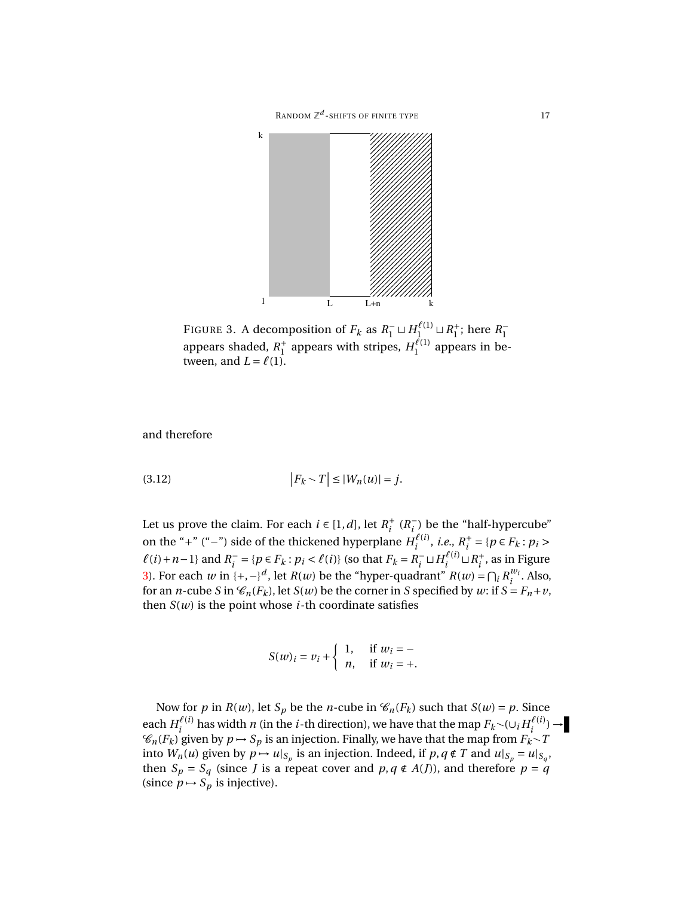

<span id="page-16-0"></span>FIGURE 3. A decomposition of  $F_k$  as  $R_1^- \sqcup H_1^{\ell(1)} \sqcup R_1^+$  $_1^+$ ; here  $R_1^-$ 1 appears shaded, *R* +  $_1^+$  appears with stripes,  $H_1^{\ell(1)}$  $i_1^{\ell(1)}$  appears in between, and  $L = \ell(1)$ .

and therefore

<span id="page-16-1"></span>
$$
(3.12)\qquad \qquad \left|F_k \setminus T\right| \leq |W_n(u)| = j.
$$

Let us prove the claim. For each  $i \in [1, d]$ , let  $R_i^+$ <sup>+</sup>  $(R_i^ \binom{1}{i}$  be the "half-hypercube" on the "+" ("−") side of the thickened hyperplane  $H_i^{(\ell(i))}$  $\hat{i}^{(\ell(i))}$ , *i.e.*,  $R_i^+$ *i*<sup>+</sup> = { $p ∈ F_k : p_i >$  $\ell(i) + n - 1$ } and  $R_i^$  $i = {p \in F_k : p_i < \ell(i)}$  (so that  $F_k = R_i^ \sum_i^ \sqcup$   $H_i^{\ell(i)}$  $\frac{d^{i}(i)}{i} \sqcup R_i^+$  $i<sub>i</sub>$ , as in Figure [3\)](#page-16-0). For each *w* in {+, -}<sup>*d*</sup>, let *R*(*w*) be the "hyper-quadrant" *R*(*w*) =  $\bigcap_i R_i^{w_i}$  $\int_i^{w_i}$ . Also, for an *n*-cube *S* in  $\mathcal{C}_n(F_k)$ , let *S*(*w*) be the corner in *S* specified by *w*: if  $S = F_n + v$ , then  $S(w)$  is the point whose *i*-th coordinate satisfies

$$
S(w)_i = v_i + \begin{cases} 1, & \text{if } w_i = -\\ n, & \text{if } w_i = + \end{cases}
$$

Now for *p* in *R*(*w*), let *S<sub>p</sub>* be the *n*-cube in  $\mathcal{C}_n(F_k)$  such that *S*(*w*) = *p*. Since each  $H_i^{\ell(i)}$  $\frac{f^{(i)}}{i}$  has width *n* (in the *i*-th direction), we have that the map  $F_k \setminus (U_i H_i^{\ell(i)})$  $\frac{\ell(i)}{i}$   $\rightarrow$  $\mathcal{C}_n(F_k)$  given by  $p \mapsto S_p$  is an injection. Finally, we have that the map from  $F_k \setminus T$ into  $W_n(u)$  given by  $p \mapsto u|_{S_p}$  is an injection. Indeed, if  $p, q \notin T$  and  $u|_{S_p} = u|_{S_q}$ , then  $S_p = S_q$  (since *J* is a repeat cover and  $p, q \notin A(J)$ ), and therefore  $p = q$ (since  $p \mapsto S_p$  is injective).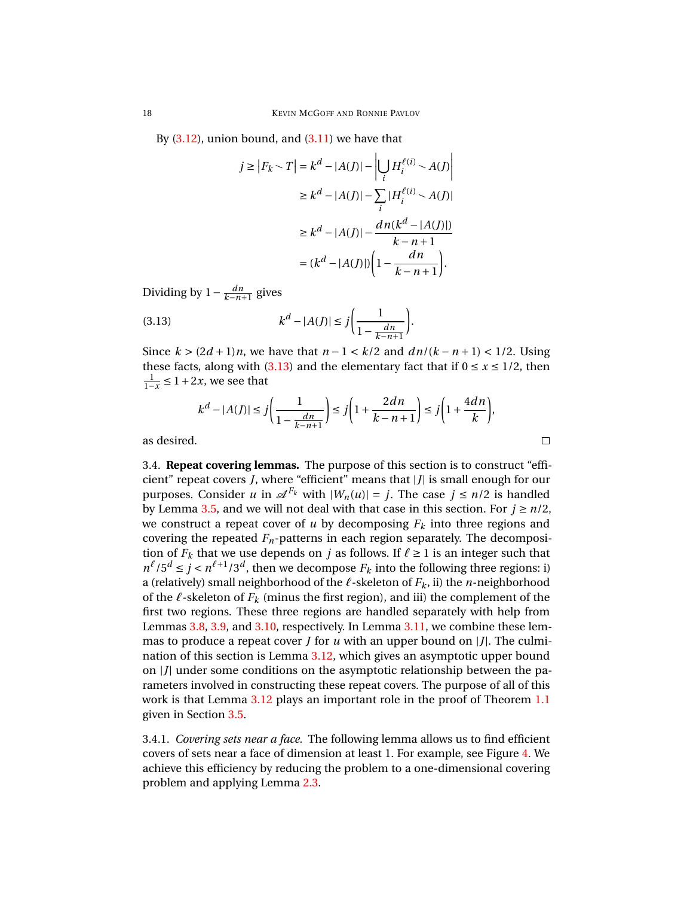By  $(3.12)$ , union bound, and  $(3.11)$  we have that

$$
j \ge |F_k \setminus T| = k^d - |A(J)| - \left| \bigcup_i H_i^{\ell(i)} \setminus A(J) \right|
$$
  

$$
\ge k^d - |A(J)| - \sum_i |H_i^{\ell(i)} \setminus A(J)|
$$
  

$$
\ge k^d - |A(J)| - \frac{dn(k^d - |A(J)|)}{k - n + 1}
$$
  

$$
= (k^d - |A(J)|) \left( 1 - \frac{dn}{k - n + 1} \right).
$$

Dividing by  $1 - \frac{dn}{k - n + 1}$  gives

<span id="page-17-1"></span>(3.13) 
$$
k^{d} - |A(J)| \leq j \bigg( \frac{1}{1 - \frac{dn}{k - n + 1}} \bigg).
$$

Since  $k > (2d+1)n$ , we have that  $n-1 < k/2$  and  $dn/(k-n+1) < 1/2$ . Using these facts, along with [\(3.13\)](#page-17-1) and the elementary fact that if  $0 \le x \le 1/2$ , then  $\frac{1}{1-x}$  ≤ 1 + 2*x*, we see that

$$
k^d - |A(J)| \le j\left(\frac{1}{1 - \frac{dn}{k - n + 1}}\right) \le j\left(1 + \frac{2dn}{k - n + 1}\right) \le j\left(1 + \frac{4dn}{k}\right),
$$

 $\Box$ 

as desired.

<span id="page-17-0"></span>3.4. **Repeat covering lemmas.** The purpose of this section is to construct "efficient" repeat covers *J*, where "efficient" means that |*J*| is small enough for our purposes. Consider *u* in  $\mathscr{A}^{F_k}$  with  $|W_n(u)| = j$ . The case  $j \leq n/2$  is handled by Lemma [3.5,](#page-13-0) and we will not deal with that case in this section. For  $j \ge n/2$ , we construct a repeat cover of  $u$  by decomposing  $F_k$  into three regions and covering the repeated  $F<sub>n</sub>$ -patterns in each region separately. The decomposition of  $F_k$  that we use depends on *j* as follows. If  $\ell \geq 1$  is an integer such that  $n^{\ell}/5^d \le j < n^{\ell+1}/3^d$ , then we decompose  $F_k$  into the following three regions: i) a (relatively) small neighborhood of the  $\ell$ -skeleton of  $F_k$ , ii) the *n*-neighborhood of the  $\ell$ -skeleton of  $F_k$  (minus the first region), and iii) the complement of the first two regions. These three regions are handled separately with help from Lemmas [3.8,](#page-18-0) [3.9,](#page-20-0) and [3.10,](#page-21-0) respectively. In Lemma [3.11,](#page-22-0) we combine these lemmas to produce a repeat cover *J* for *u* with an upper bound on |*J*|. The culmination of this section is Lemma [3.12,](#page-24-0) which gives an asymptotic upper bound on |*J*| under some conditions on the asymptotic relationship between the parameters involved in constructing these repeat covers. The purpose of all of this work is that Lemma [3.12](#page-24-0) plays an important role in the proof of Theorem [1.1](#page-1-0) given in Section [3.5.](#page-26-0)

<span id="page-17-2"></span>3.4.1. *Covering sets near a face.* The following lemma allows us to find efficient covers of sets near a face of dimension at least 1. For example, see Figure [4.](#page-18-1) We achieve this efficiency by reducing the problem to a one-dimensional covering problem and applying Lemma [2.3.](#page-7-1)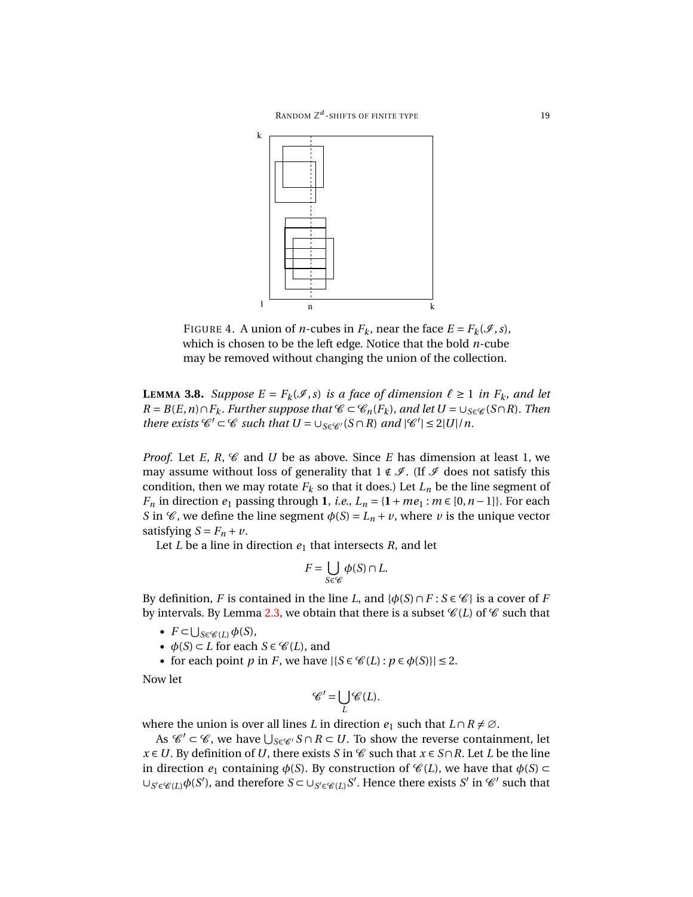

<span id="page-18-1"></span>FIGURE 4. A union of *n*-cubes in  $F_k$ , near the face  $E = F_k(\mathcal{I}, s)$ , which is chosen to be the left edge. Notice that the bold *n*-cube may be removed without changing the union of the collection.

<span id="page-18-0"></span>**LEMMA** 3.8. Suppose  $E = F_k(\mathcal{I}, s)$  *is a face of dimension*  $\ell \ge 1$  *in*  $F_k$ *, and let R* = *B*(*E*,*n*)∩*F*<sub>*k*</sub>. Further suppose that  $\mathcal{C} \subset \mathcal{C}_n(F_k)$ , and let  $U = \cup_{S \in \mathcal{C}}(S \cap R)$ . Then *there exists*  $\mathcal{C}' \subset \mathcal{C}$  *such that*  $U = \bigcup_{S \in \mathcal{C}'} (S \cap R)$  *and*  $|\mathcal{C}'| \leq 2|U|/n$ .

*Proof.* Let *E*,  $R$ ,  $\mathcal{C}$  and *U* be as above. Since *E* has dimension at least 1, we may assume without loss of generality that  $1 \notin \mathcal{I}$ . (If  $\mathcal{I}$  does not satisfy this condition, then we may rotate  $F_k$  so that it does.) Let  $L_n$  be the line segment of *F<sub>n</sub>* in direction  $e_1$  passing through **1**, *i.e.*,  $L_n = \{1 + me_1 : m \in [0, n-1]\}$ . For each *S* in  $\mathcal{C}$ , we define the line segment  $\phi(S) = L_n + v$ , where *v* is the unique vector satisfying  $S = F_n + v$ .

Let *L* be a line in direction  $e_1$  that intersects *R*, and let

$$
F = \bigcup_{S \in \mathscr{C}} \phi(S) \cap L.
$$

By definition, *F* is contained in the line *L*, and  $\{\phi(S) \cap F : S \in \mathcal{C}\}\$  is a cover of *F* by intervals. By Lemma [2.3,](#page-7-1) we obtain that there is a subset  $\mathcal{C}(L)$  of  $\mathcal{C}$  such that

- $F \subset \bigcup_{S \in \mathscr{C}(L)} \phi(S)$ ,
- $\phi(S) \subset L$  for each  $S \in \mathcal{C}(L)$ , and
- for each point *p* in *F*, we have  $|\{S \in \mathcal{C}(L) : p \in \phi(S)\}| \leq 2$ .

Now let

$$
\mathscr{C}'=\bigcup_{L}\mathscr{C}(L).
$$

where the union is over all lines *L* in direction  $e_1$  such that  $L \cap R \neq \emptyset$ .

As  $\mathscr{C}' \subset \mathscr{C}$ , we have  $\bigcup_{S \in \mathscr{C}'} S \cap R \subset U$ . To show the reverse containment, let *x* ∈ *U*. By definition of *U*, there exists *S* in  $\mathcal C$  such that *x* ∈ *S*∩*R*. Let *L* be the line in direction  $e_1$  containing  $\phi(S)$ . By construction of  $\mathcal{C}(L)$ , we have that  $\phi(S) \subset$  $∪_{S' \in \mathcal{C}(L)}$ φ(*S'*), and therefore *S* ⊂ ∪<sub>*S'*∈  $\mathcal{C}(L)$ </sub>*S'*. Hence there exists *S'* in  $\mathcal{C}'$  such that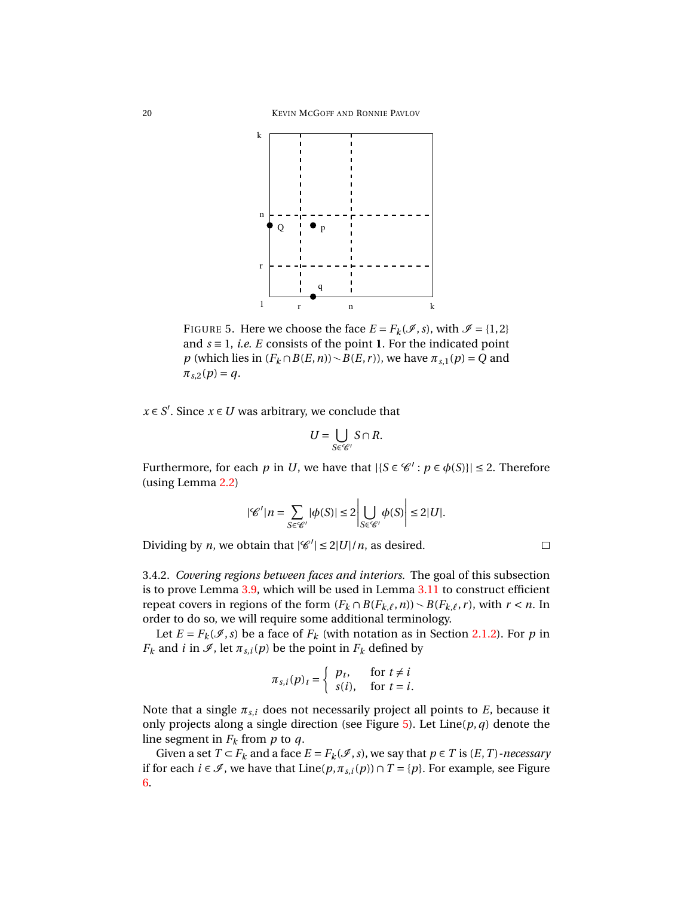

<span id="page-19-0"></span>FIGURE 5. Here we choose the face  $E = F_k(\mathcal{I}, s)$ , with  $\mathcal{I} = \{1, 2\}$ and  $s \equiv 1$ , *i.e. E* consists of the point **1**. For the indicated point *p* (which lies in  $(F_k \cap B(E, n)) \setminus B(E, r)$ ), we have  $\pi_{s,1}(p) = Q$  and  $\pi_{s,2}(p) = q$ .

 $x \in S'$ . Since  $x \in U$  was arbitrary, we conclude that

$$
U=\bigcup_{S\in\mathscr{C}'}S\cap R.
$$

Furthermore, for each *p* in *U*, we have that  $|\{S \in \mathcal{C}' : p \in \phi(S)\}| \leq 2$ . Therefore (using Lemma [2.2\)](#page-7-0)

$$
|\mathcal{C}'|n=\sum_{S\in\mathcal{C}'}|\phi(S)|\leq 2\left|\bigcup_{S\in\mathcal{C}'}\phi(S)\right|\leq 2|U|.
$$

Dividing by *n*, we obtain that  $|C| \le 2|U|/n$ , as desired.

<span id="page-19-1"></span>3.4.2. *Covering regions between faces and interiors.* The goal of this subsection is to prove Lemma [3.9,](#page-20-0) which will be used in Lemma [3.11](#page-22-0) to construct efficient repeat covers in regions of the form  $(F_k \cap B(F_{k,\ell}, n)) \setminus B(F_{k,\ell}, r)$ , with  $r < n$ . In order to do so, we will require some additional terminology.

Let  $E = F_k(\mathcal{I}, s)$  be a face of  $F_k$  (with notation as in Section [2.1.2\)](#page-4-0). For *p* in *F*<sup>*k*</sup> and *i* in  $\mathcal{I}$ , let  $\pi_{s,i}(p)$  be the point in  $F_k$  defined by

$$
\pi_{s,i}(p)_t = \begin{cases} p_t, & \text{for } t \neq i \\ s(i), & \text{for } t = i. \end{cases}
$$

Note that a single  $\pi_{s,i}$  does not necessarily project all points to  $E$ , because it only projects along a single direction (see Figure  $5$ ). Let Line( $p, q$ ) denote the line segment in  $F_k$  from  $p$  to  $q$ .

Given a set  $T \subset F_k$  and a face  $E = F_k(\mathcal{I}, s)$ , we say that  $p \in T$  is  $(E, T)$ *-necessary* if for each *i* ∈  $\mathcal{I}$ , we have that Line( $p, \pi_{s,i}(p)$ ) ∩ *T* = { $p$ }. For example, see Figure [6.](#page-20-1)

$$
\sqcup
$$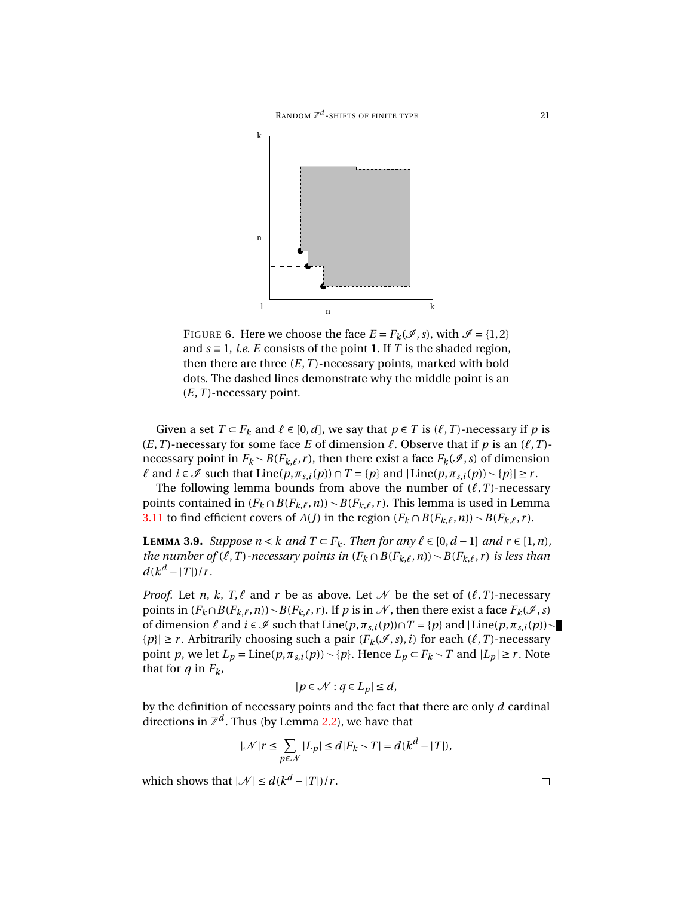

<span id="page-20-1"></span>FIGURE 6. Here we choose the face  $E = F_k(\mathcal{I}, s)$ , with  $\mathcal{I} = \{1, 2\}$ and  $s \equiv 1$ , *i.e. E* consists of the point **1**. If *T* is the shaded region, then there are three  $(E, T)$ -necessary points, marked with bold dots. The dashed lines demonstrate why the middle point is an (*E*,*T* )-necessary point.

Given a set  $T \subset F_k$  and  $\ell \in [0, d]$ , we say that  $p \in T$  is  $(\ell, T)$ -necessary if p is  $(E, T)$ -necessary for some face *E* of dimension  $\ell$ . Observe that if *p* is an  $(\ell, T)$ necessary point in  $F_k \sim B(F_{k,\ell}, r)$ , then there exist a face  $F_k(\mathcal{I}, s)$  of dimension  $\ell$  and  $i \in \mathcal{I}$  such that Line( $p, \pi_{s,i}(p)$ )  $\cap$   $T = \{p\}$  and  $|\text{Line}(p, \pi_{s,i}(p)) \setminus \{p\}| \ge r$ .

The following lemma bounds from above the number of  $(\ell, T)$ -necessary points contained in  $(F_k \cap B(F_{k,\ell}, n)) \setminus B(F_{k,\ell}, r)$ . This lemma is used in Lemma [3.11](#page-22-0) to find efficient covers of *A*(*J*) in the region  $(F_k \cap B(F_{k,\ell}, n)) \setminus B(F_{k,\ell}, r)$ .

<span id="page-20-0"></span>**LEMMA 3.9.** *Suppose*  $n < k$  *and*  $T \subset F_k$ *. Then for any*  $\ell \in [0, d-1]$  *and*  $r \in [1, n)$ *, the number of*  $(\ell, T)$ *-necessary points in*  $(F_k \cap B(F_{k,\ell}, n)) \setminus B(F_{k,\ell}, r)$  *is less than*  $d(k^d - |T|)/r$ .

*Proof.* Let *n*, *k*, *T*, $\ell$  and *r* be as above. Let  $\mathcal{N}$  be the set of  $(\ell, T)$ -necessary points in  $(F_k \cap B(F_{k,\ell}, n)) \setminus B(F_{k,\ell}, r)$ . If *p* is in  $\mathcal N$ , then there exist a face  $F_k(\mathcal I, s)$ of dimension  $\ell$  and  $i \in \mathcal{I}$  such that Line( $p, \pi_{s,i}(p)$ )∩ $T = \{p\}$  and  $|\text{Line}(p, \pi_{s,i}(p))\sim$ { $p$ }| ≥ *r*. Arbitrarily choosing such a pair ( $F_k(\mathcal{I}, s)$ , *i*) for each ( $\ell$ , *T*)-necessary point *p*, we let  $L_p = \text{Line}(p, \pi_{s,i}(p)) \setminus \{p\}$ . Hence  $L_p \subset F_k \setminus T$  and  $|L_p| \ge r$ . Note that for  $q$  in  $F_k$ ,

$$
|p \in \mathcal{N} : q \in L_p| \leq d,
$$

by the definition of necessary points and the fact that there are only *d* cardinal directions in  $\mathbb{Z}^d$  . Thus (by Lemma [2.2\)](#page-7-0), we have that

$$
|\mathcal{N}|r \leq \sum_{p \in \mathcal{N}} |L_p| \leq d|F_k \setminus T| = d(k^d - |T|),
$$

which shows that  $|\mathcal{N}| \le d(k^d - |T|)/r$ .

 $\Box$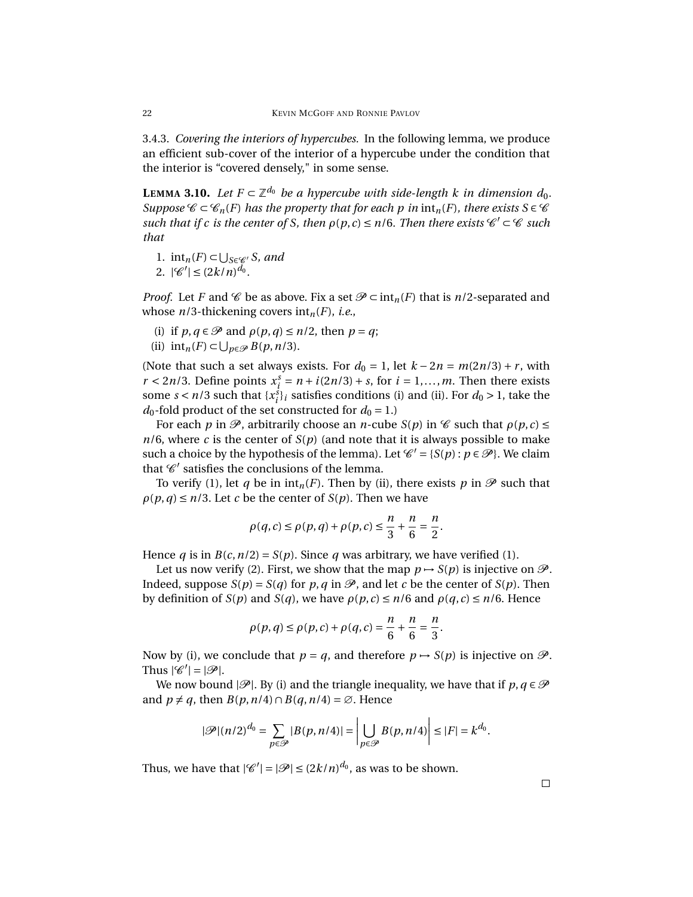<span id="page-21-1"></span>3.4.3. *Covering the interiors of hypercubes.* In the following lemma, we produce an efficient sub-cover of the interior of a hypercube under the condition that the interior is "covered densely," in some sense.

<span id="page-21-0"></span>**LEMMA** 3.10. Let  $F \subset \mathbb{Z}^{d_0}$  be a hypercube with side-length *k* in dimension  $d_0$ . *Suppose*  $\mathscr{C} \subset \mathscr{C}_n(F)$  *has the property that for each p in*  $\text{int}_n(F)$ *, there exists*  $S \in \mathscr{C}$  $such$  that if c is the center of S, then  $\rho(p, c) \le n/6$ . Then there exists  $\mathscr{C}' \subset \mathscr{C}$  such *that*

1.  $int_n(F) \subset \bigcup_{S \in \mathcal{C}'} S$ , and

2. 
$$
|\mathcal{C}'| \leq (2k/n)^{d_0}
$$
.

*Proof.* Let *F* and  $\mathscr C$  be as above. Fix a set  $\mathscr P \subset \text{int}_n(F)$  that is *n*/2-separated and whose *n*/3-thickening covers int*n*(*F*), *i.e.*,

- (i) if  $p, q \in \mathcal{P}$  and  $\rho(p, q) \leq n/2$ , then  $p = q$ ;
- (ii)  $\text{int}_n(F) \subset \bigcup_{p \in \mathcal{P}} B(p, n/3)$ .

(Note that such a set always exists. For  $d_0 = 1$ , let  $k - 2n = m(2n/3) + r$ , with  $r < 2n/3$ . Define points  $x_i^s = n + i(2n/3) + s$ , for  $i = 1,...,m$ . Then there exists some  $s < n/3$  such that  $\{x_i^s\}_i$  satisfies conditions (i) and (ii). For  $d_0 > 1$ , take the  $d_0$ -fold product of the set constructed for  $d_0 = 1$ .)

For each *p* in  $\mathcal{P}$ , arbitrarily choose an *n*-cube *S*(*p*) in  $\mathcal{C}$  such that  $\rho(p,c) \le$  $n/6$ , where *c* is the center of  $S(p)$  (and note that it is always possible to make such a choice by the hypothesis of the lemma). Let  $\mathcal{C}' = \{S(p) : p \in \mathcal{P}\}\)$ . We claim that  $\mathscr{C}'$  satisfies the conclusions of the lemma.

To verify (1), let *q* be in  $\text{int}_n(F)$ . Then by (ii), there exists *p* in  $\mathscr P$  such that  $\rho(p,q) \leq n/3$ . Let *c* be the center of *S*(*p*). Then we have

$$
\rho(q,c) \le \rho(p,q) + \rho(p,c) \le \frac{n}{3} + \frac{n}{6} = \frac{n}{2}.
$$

Hence *q* is in *B*(*c*, *n*/2) = *S*(*p*). Since *q* was arbitrary, we have verified (1).

Let us now verify (2). First, we show that the map  $p \rightarrow S(p)$  is injective on  $\mathcal{P}$ . Indeed, suppose  $S(p) = S(q)$  for p, q in  $\mathcal{P}$ , and let c be the center of  $S(p)$ . Then by definition of *S*(*p*) and *S*(*q*), we have *ρ*(*p*,*c*) ≤ *n*/6 and *ρ*(*q*,*c*) ≤ *n*/6. Hence

$$
\rho(p,q) \le \rho(p,c) + \rho(q,c) = \frac{n}{6} + \frac{n}{6} = \frac{n}{3}.
$$

Now by (i), we conclude that  $p = q$ , and therefore  $p \rightarrow S(p)$  is injective on  $\mathcal{P}$ . Thus  $|\mathscr{C}'| = |\mathscr{P}|$ .

We now bound  $|\mathscr{P}|$ . By (i) and the triangle inequality, we have that if  $p, q \in \mathscr{P}$ and  $p \neq q$ , then  $B(p, n/4) \cap B(q, n/4) = \emptyset$ . Hence

$$
|\mathscr{P}|(n/2)^{d_0} = \sum_{p \in \mathscr{P}} |B(p, n/4)| = \left| \bigcup_{p \in \mathscr{P}} B(p, n/4) \right| \leq |F| = k^{d_0}.
$$

Thus, we have that  $|\mathscr{C}'| = |\mathscr{P}| \leq (2k/n)^{d_0}$ , as was to be shown.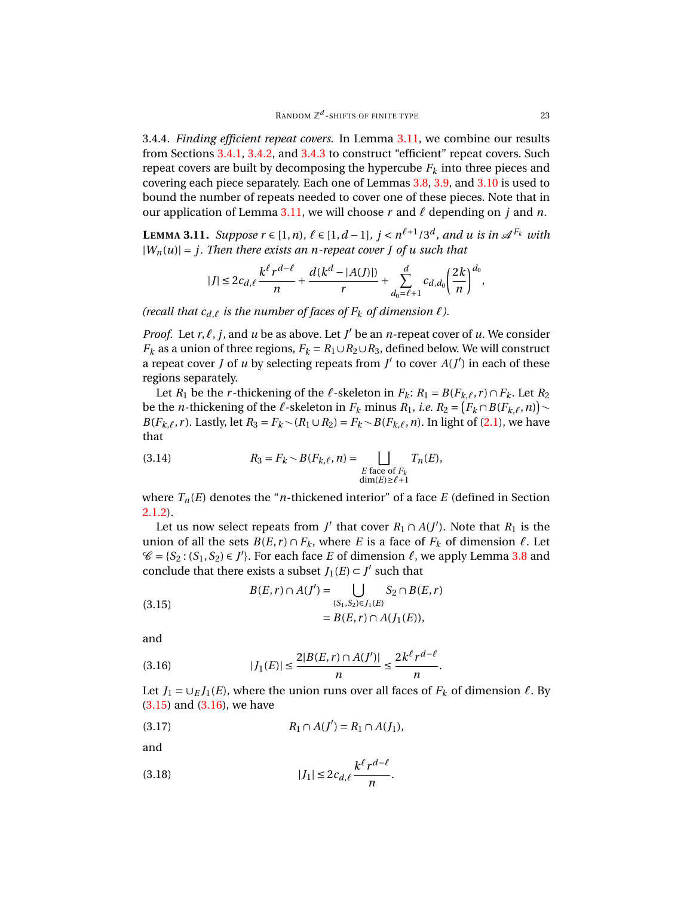3.4.4. *Finding efficient repeat covers.* In Lemma [3.11,](#page-22-0) we combine our results from Sections [3.4.1,](#page-17-2) [3.4.2,](#page-19-1) and [3.4.3](#page-21-1) to construct "efficient" repeat covers. Such repeat covers are built by decomposing the hypercube *F<sup>k</sup>* into three pieces and covering each piece separately. Each one of Lemmas [3.8,](#page-18-0) [3.9,](#page-20-0) and [3.10](#page-21-0) is used to bound the number of repeats needed to cover one of these pieces. Note that in our application of Lemma [3.11,](#page-22-0) we will choose  $r$  and  $\ell$  depending on  $j$  and  $n$ .

<span id="page-22-0"></span>**LEMMA** 3.11. Suppose  $r \in [1, n)$ ,  $\ell \in [1, d-1]$ ,  $j < n^{\ell+1}/3^d$ , and *u* is in  $\mathcal{A}^{F_k}$  with  $|W_n(u)| = j$ . Then there exists an *n*-repeat cover *J* of *u* such that

$$
|J| \leq 2c_{d,\ell} \frac{k^{\ell} r^{d-\ell}}{n} + \frac{d(k^d - |A(J)|)}{r} + \sum_{d_0=\ell+1}^d c_{d,d_0} \left(\frac{2k}{n}\right)^{d_0},
$$

*(recall that*  $c_{d,\ell}$  *is the number of faces of*  $F_k$  *of dimension*  $\ell$ *).* 

*Proof.* Let  $r, \ell, j$ , and  $u$  be as above. Let  $J'$  be an  $n$ -repeat cover of  $u$ . We consider *F*<sup>*k*</sup> as a union of three regions,  $F_k = R_1 ∪ R_2 ∪ R_3$ , defined below. We will construct a repeat cover *J* of *u* by selecting repeats from *J'* to cover  $A(J')$  in each of these regions separately.

Let  $R_1$  be the *r*-thickening of the  $\ell$ -skeleton in  $F_k$ :  $R_1 = B(F_{k,\ell}, r) \cap F_k$ . Let  $R_2$ be the *n*-thickening of the  $\ell$ -skeleton in  $F_k$  minus  $R_1$ , *i.e.*  $R_2 = (F_k \cap B(F_{k,\ell}, n))$ *B*(*F*<sub>*k*, $\ell$ </sub>, *r*). Lastly, let *R*<sub>3</sub> = *F*<sub>*k*</sub> ∕ (*R*<sub>1</sub> ∪ *R*<sub>2</sub>) = *F*<sub>*k*</sub> ∕ *B*(*F*<sub>*k*, $\ell$ </sub>, *n*). In light of [\(2.1\)](#page-4-1), we have that

<span id="page-22-3"></span>(3.14) 
$$
R_3 = F_k \sim B(F_{k,\ell}, n) = \bigsqcup_{\substack{E \text{ face of } F_k \\ \dim(E) \geq \ell+1}} T_n(E),
$$

where  $T_n(E)$  denotes the "*n*-thickened interior" of a face *E* (defined in Section [2.1.2\)](#page-4-0).

Let us now select repeats from *J'* that cover  $R_1 \cap A(J')$ . Note that  $R_1$  is the union of all the sets  $B(E, r) \cap F_k$ , where *E* is a face of  $F_k$  of dimension  $\ell$ . Let  $\mathscr{C} = \{S_2 : (S_1, S_2) \in J'\}$ . For each face *E* of dimension  $\ell$ , we apply Lemma [3.8](#page-18-0) and conclude that there exists a subset  $J_1(E) \subset J'$  such that

<span id="page-22-1"></span>(3.15) 
$$
B(E,r) \cap A(J') = \bigcup_{(S_1, S_2) \in J_1(E)} S_2 \cap B(E,r) = B(E,r) \cap A(J_1(E)),
$$

and

<span id="page-22-2"></span>(3.16) 
$$
|J_1(E)| \le \frac{2|B(E,r) \cap A(J')|}{n} \le \frac{2k^{\ell}r^{d-\ell}}{n}.
$$

Let *J*<sub>1</sub> =  $\cup$ <sub>*E*</sub> *J*<sub>1</sub>(*E*), where the union runs over all faces of *F*<sub>*k*</sub> of dimension  $\ell$ . By  $(3.15)$  and  $(3.16)$ , we have

*d*−*`*

<span id="page-22-4"></span>(3.17) 
$$
R_1 \cap A(J') = R_1 \cap A(J_1),
$$

and

<span id="page-22-5"></span>(3.18) 
$$
|J_1| \leq 2c_{d,\ell} \frac{k^{\ell} r^{d-\ell}}{n}.
$$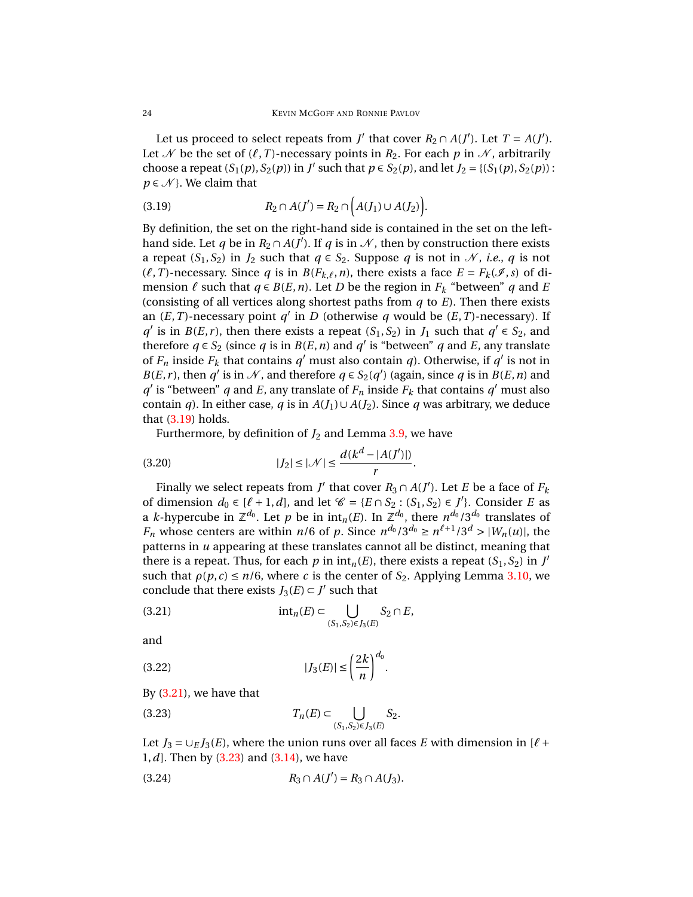Let us proceed to select repeats from *J'* that cover  $R_2 \cap A(J')$ . Let  $T = A(J')$ . Let N be the set of  $(\ell, T)$ -necessary points in  $R_2$ . For each p in N, arbitrarily choose a repeat  $(S_1(p), S_2(p))$  in *J'* such that  $p \in S_2(p)$ , and let  $J_2 = \{(S_1(p), S_2(p))\}$ :  $p \in \mathcal{N}$ . We claim that

<span id="page-23-0"></span>(3.19) 
$$
R_2 \cap A(J') = R_2 \cap (A(J_1) \cup A(J_2)).
$$

By definition, the set on the right-hand side is contained in the set on the lefthand side. Let *q* be in  $R_2 \cap A(J')$ . If *q* is in  $\mathcal N$ , then by construction there exists a repeat  $(S_1, S_2)$  in  $J_2$  such that  $q \in S_2$ . Suppose  $q$  is not in N, *i.e.*,  $q$  is not  $(\ell, T)$ -necessary. Since *q* is in *B*(*F*<sub>*k*, $\ell$ </sub>,*n*), there exists a face *E* = *F*<sub>*k*</sub>( $\mathcal{I}$ ,*s*) of dimension  $\ell$  such that  $q \in B(E, n)$ . Let *D* be the region in  $F_k$  "between" *q* and *E* (consisting of all vertices along shortest paths from *q* to *E*). Then there exists an  $(E, T)$ -necessary point  $q'$  in *D* (otherwise *q* would be  $(E, T)$ -necessary). If *q*<sup>'</sup> is in *B*(*E*, *r*), then there exists a repeat (*S*<sub>1</sub>, *S*<sub>2</sub>) in *J*<sub>1</sub> such that *q*<sup>'</sup>  $\in$  *S*<sub>2</sub>, and therefore  $q \in S_2$  (since *q* is in *B*(*E*, *n*) and *q*' is "between" *q* and *E*, any translate of  $F_n$  inside  $F_k$  that contains  $q'$  must also contain  $q$ ). Otherwise, if  $q'$  is not in *B*(*E*, *r*), then *q*<sup> $\prime$ </sup> is in  $\mathcal{N}$ , and therefore *q* ∈ *S*<sub>2</sub>(*q*<sup> $\prime$ </sup>) (again, since *q* is in *B*(*E*, *n*) and *q*<sup>'</sup> is "between" *q* and *E*, any translate of  $F_n$  inside  $F_k$  that contains *q*<sup>'</sup> must also contain *q*). In either case, *q* is in  $A(J_1) \cup A(J_2)$ . Since *q* was arbitrary, we deduce that  $(3.19)$  holds.

Furthermore, by definition of  $J_2$  and Lemma [3.9,](#page-20-0) we have

<span id="page-23-5"></span>(3.20) 
$$
|J_2| \le |\mathcal{N}| \le \frac{d(k^d - |A(J')|)}{r}.
$$

Finally we select repeats from *J'* that cover  $R_3 \cap A(J')$ . Let *E* be a face of  $F_k$ of dimension  $d_0 \in [\ell + 1, d]$ , and let  $\mathcal{C} = \{E \cap S_2 : (S_1, S_2) \in J'\}$ . Consider *E* as a *k*-hypercube in  $\mathbb{Z}^{d_0}.$  Let  $p$  be in  $\mathrm{int}_n(E).$  In  $\mathbb{Z}^{d_0},$  there  $n^{d_0}/3^{d_0}$  translates of *F<sub>n</sub>* whose centers are within *n*/6 of *p*. Since  $n^{d_0}/3^{d_0} \ge n^{\ell+1}/3^d > |W_n(u)|$ , the patterns in *u* appearing at these translates cannot all be distinct, meaning that there is a repeat. Thus, for each  $p$  in  $int_n(E)$ , there exists a repeat  $(S_1, S_2)$  in  $J'$ such that  $\rho(p, c) \leq n/6$ , where *c* is the center of *S*<sub>2</sub>. Applying Lemma [3.10,](#page-21-0) we conclude that there exists  $J_3(E) \subset J'$  such that

<span id="page-23-1"></span>
$$
(3.21) \quad \text{int}_n(E) \subset \bigcup_{(S_1, S_2) \in J_3(E)} S_2 \cap E,
$$

and

<span id="page-23-3"></span>
$$
(3.22)\qquad \qquad |J_3(E)| \le \left(\frac{2k}{n}\right)^{d_0}.
$$

By [\(3.21\)](#page-23-1), we have that

<span id="page-23-2"></span>(3.23) 
$$
T_n(E) \subset \bigcup_{(S_1, S_2) \in J_3(E)} S_2.
$$

Let  $J_3 = \bigcup_E J_3(E)$ , where the union runs over all faces *E* with dimension in [ $\ell$  + 1,*d*]. Then by [\(3.23\)](#page-23-2) and [\(3.14\)](#page-22-3), we have

<span id="page-23-4"></span>
$$
(3.24) \t R_3 \cap A(J') = R_3 \cap A(J_3).
$$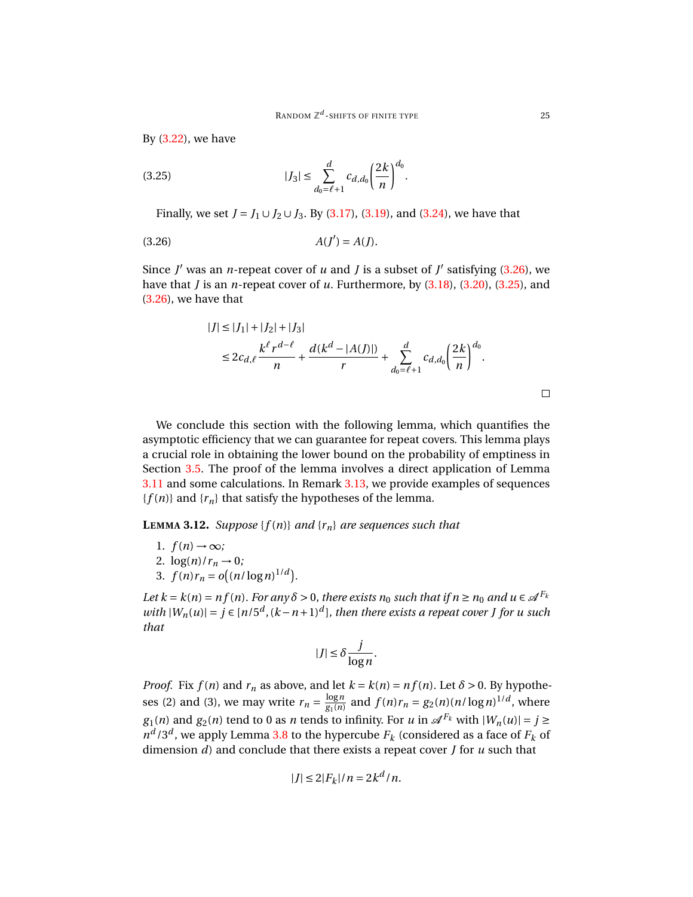By [\(3.22\)](#page-23-3), we have

<span id="page-24-2"></span>(3.25) 
$$
|J_3| \leq \sum_{d_0=\ell+1}^d c_{d,d_0} \left(\frac{2k}{n}\right)^{d_0}.
$$

Finally, we set *J* = *J*<sub>1</sub> ∪ *J*<sub>2</sub> ∪ *J*<sub>3</sub>. By [\(3.17\)](#page-22-4), [\(3.19\)](#page-23-0), and [\(3.24\)](#page-23-4), we have that

<span id="page-24-1"></span>
$$
(3.26)\qquad \qquad A(J') = A(J).
$$

Since  $J'$  was an *n*-repeat cover of  $u$  and  $J$  is a subset of  $J'$  satisfying [\(3.26\)](#page-24-1), we have that *J* is an *n*-repeat cover of *u*. Furthermore, by [\(3.18\)](#page-22-5), [\(3.20\)](#page-23-5), [\(3.25\)](#page-24-2), and [\(3.26\)](#page-24-1), we have that

$$
|J| \le |J_1| + |J_2| + |J_3|
$$
  
\n
$$
\le 2c_{d,\ell} \frac{k^{\ell} r^{d-\ell}}{n} + \frac{d(k^d - |A(J)|)}{r} + \sum_{d_0=\ell+1}^d c_{d,d_0} \left(\frac{2k}{n}\right)^{d_0}.
$$

We conclude this section with the following lemma, which quantifies the asymptotic efficiency that we can guarantee for repeat covers. This lemma plays a crucial role in obtaining the lower bound on the probability of emptiness in Section [3.5.](#page-26-0) The proof of the lemma involves a direct application of Lemma [3.11](#page-22-0) and some calculations. In Remark [3.13,](#page-26-1) we provide examples of sequences  ${f(n)}$  and  ${r_n}$  that satisfy the hypotheses of the lemma.

<span id="page-24-0"></span>**LEMMA 3.12.** *Suppose*  $\{f(n)\}$  *and*  $\{r_n\}$  *are sequences such that* 

- 1.  $f(n) \rightarrow \infty$ ;
- 2.  $\log(n)/r_n \to 0$ ;
- 3.  $f(n)r_n = o((n/\log n)^{1/d}).$

*Let*  $k = k(n) = nf(n)$ *. For any*  $\delta > 0$ *, there exists*  $n_0$  *such that if*  $n \ge n_0$  *and*  $u \in \mathcal{A}^{F_k}$ *with*  $|W_n(u)| = j \in [n/5^d, (k-n+1)^d]$ , then there exists a repeat cover *J* for *u* such *that*

$$
|J| \leq \delta \frac{j}{\log n}.
$$

*Proof.* Fix  $f(n)$  and  $r_n$  as above, and let  $k = k(n) = nf(n)$ . Let  $\delta > 0$ . By hypotheses (2) and (3), we may write  $r_n = \frac{\log n}{g_1(n)}$  $\frac{\log n}{g_1(n)}$  and  $f(n)r_n = g_2(n)(n/\log n)^{1/d}$ , where *g*<sub>1</sub>(*n*) and *g*<sub>2</sub>(*n*) tend to 0 as *n* tends to infinity. For *u* in  $\mathcal{A}^{F_k}$  with  $|W_n(u)| = j \ge$  $n^d/3^d$ , we apply Lemma [3.8](#page-18-0) to the hypercube  $F_k$  (considered as a face of  $F_k$  of dimension *d*) and conclude that there exists a repeat cover *J* for *u* such that

$$
|J| \le 2|F_k|/n = 2k^d/n.
$$

 $\Box$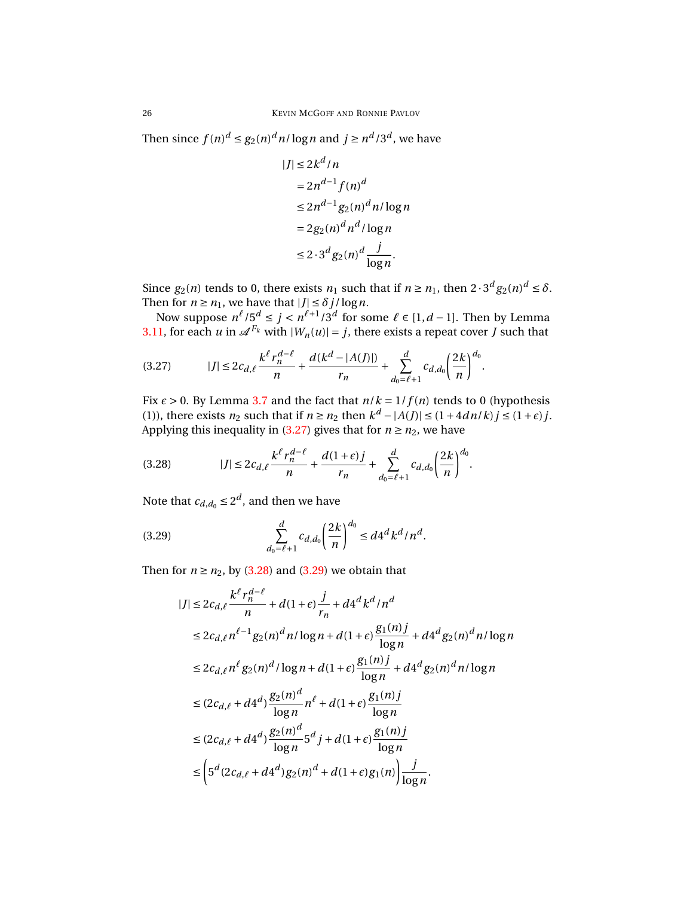Then since  $f(n)^d \le g_2(n)^d n/\log n$  and  $j \ge n^d/3^d$ , we have

$$
|J| \leq 2k^d/n
$$
  
=  $2n^{d-1}f(n)^d$   

$$
\leq 2n^{d-1}g_2(n)^d n/\log n
$$
  
=  $2g_2(n)^d n^d/\log n$   

$$
\leq 2 \cdot 3^d g_2(n)^d \frac{j}{\log n}.
$$

Since  $g_2(n)$  tends to 0, there exists  $n_1$  such that if  $n \ge n_1$ , then  $2 \cdot 3^d g_2(n)^d \le \delta$ . Then for  $n \ge n_1$ , we have that  $|J| \le \delta j / \log n$ .

Now suppose  $n^{\ell}/5^d \le j < n^{\ell+1}/3^d$  for some  $\ell \in [1, d-1]$ . Then by Lemma [3.11,](#page-22-0) for each *u* in  $\mathscr{A}^{F_k}$  with  $|W_n(u)| = j$ , there exists a repeat cover *J* such that

<span id="page-25-0"></span>
$$
(3.27) \t|J| \leq 2c_{d,\ell} \frac{k^{\ell} r_n^{d-\ell}}{n} + \frac{d(k^d - |A(J)|)}{r_n} + \sum_{d_0=\ell+1}^d c_{d,d_0} \left(\frac{2k}{n}\right)^{d_0}.
$$

Fix  $\epsilon > 0$ . By Lemma [3.7](#page-15-3) and the fact that  $n/k = 1/f(n)$  tends to 0 (hypothesis (1)), there exists  $n_2$  such that if  $n \ge n_2$  then  $k^d - |A(J)| \le (1 + 4dn/k)j \le (1 + \varepsilon)j$ . Applying this inequality in [\(3.27\)](#page-25-0) gives that for  $n \ge n_2$ , we have

<span id="page-25-1"></span>(3.28) 
$$
|J| \leq 2c_{d,\ell} \frac{k^{\ell} r_n^{d-\ell}}{n} + \frac{d(1+\epsilon)j}{r_n} + \sum_{d_0=\ell+1}^d c_{d,d_0} \left(\frac{2k}{n}\right)^{d_0}.
$$

Note that  $c_{d,d_0} \leq 2^d$ , and then we have

<span id="page-25-2"></span>(3.29) 
$$
\sum_{d_0=\ell+1}^d c_{d,d_0} \left(\frac{2k}{n}\right)^{d_0} \leq d4^d k^d / n^d.
$$

Then for  $n \ge n_2$ , by [\(3.28\)](#page-25-1) and [\(3.29\)](#page-25-2) we obtain that

$$
|J| \le 2c_{d,\ell} \frac{k^{\ell} r_n^{d-\ell}}{n} + d(1+\epsilon) \frac{j}{r_n} + d4^d k^d / n^d
$$
  
\n
$$
\le 2c_{d,\ell} n^{\ell-1} g_2(n)^d n / \log n + d(1+\epsilon) \frac{g_1(n)j}{\log n} + d4^d g_2(n)^d n / \log n
$$
  
\n
$$
\le 2c_{d,\ell} n^{\ell} g_2(n)^d / \log n + d(1+\epsilon) \frac{g_1(n)j}{\log n} + d4^d g_2(n)^d n / \log n
$$
  
\n
$$
\le (2c_{d,\ell} + d4^d) \frac{g_2(n)^d}{\log n} n^{\ell} + d(1+\epsilon) \frac{g_1(n)j}{\log n}
$$
  
\n
$$
\le (2c_{d,\ell} + d4^d) \frac{g_2(n)^d}{\log n} 5^d j + d(1+\epsilon) \frac{g_1(n)j}{\log n}
$$
  
\n
$$
\le \left( 5^d (2c_{d,\ell} + d4^d) g_2(n)^d + d(1+\epsilon) g_1(n) \right) \frac{j}{\log n}.
$$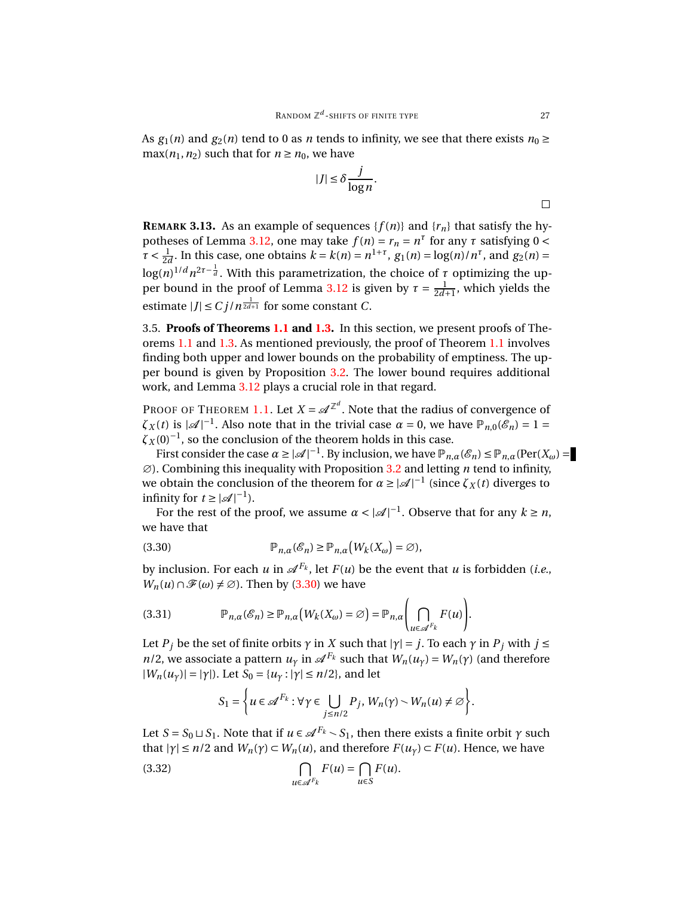As  $g_1(n)$  and  $g_2(n)$  tend to 0 as *n* tends to infinity, we see that there exists  $n_0 \ge$  $max(n_1, n_2)$  such that for  $n \ge n_0$ , we have

$$
|J| \le \delta \frac{j}{\log n}.
$$

<span id="page-26-1"></span>**REMARK 3.13.** As an example of sequences { $f(n)$ } and { $r<sub>n</sub>$ } that satisfy the hy-potheses of Lemma [3.12,](#page-24-0) one may take  $f(n) = r_n = n^{\tau}$  for any  $\tau$  satisfying  $0 <$  $\tau < \frac{1}{2d}$ . In this case, one obtains  $k = k(n) = n^{1+\tau}$ ,  $g_1(n) = \log(n)/n^{\tau}$ , and  $g_2(n) =$ 2*d*  $\log(n)^{1/d} n^{2\tau-\frac{1}{d}}$ . With this parametrization, the choice of  $\tau$  optimizing the up-per bound in the proof of Lemma [3.12](#page-24-0) is given by  $\tau = \frac{1}{2d+1}$ , which yields the estimate  $|J| \le C j / n^{\frac{1}{2d+1}}$  for some constant *C*.

<span id="page-26-0"></span>3.5. **Proofs of Theorems [1.1](#page-1-0) and [1.3.](#page-2-1)** In this section, we present proofs of Theorems [1.1](#page-1-0) and [1.3.](#page-2-1) As mentioned previously, the proof of Theorem [1.1](#page-1-0) involves finding both upper and lower bounds on the probability of emptiness. The upper bound is given by Proposition [3.2.](#page-9-0) The lower bound requires additional work, and Lemma [3.12](#page-24-0) plays a crucial role in that regard.

PROOF OF THEOREM [1.1.](#page-1-0) Let  $X = \mathcal{A}^{\mathbb{Z}^d}$ . Note that the radius of convergence of  $\zeta_X(t)$  is  $|\mathcal{A}|^{-1}$ . Also note that in the trivial case  $\alpha = 0$ , we have  $\mathbb{P}_{n,0}(\mathscr{E}_n) = 1$  $\zeta_X(0)^{-1}$ , so the conclusion of the theorem holds in this case.

First consider the case  $\alpha \ge |\mathcal{A}|^{-1}$ . By inclusion, we have  $\mathbb{P}_{n,\alpha}(\mathcal{E}_n) \le \mathbb{P}_{n,\alpha}(\text{Per}(X_\omega))$ ∅). Combining this inequality with Proposition [3.2](#page-9-0) and letting *n* tend to infinity, we obtain the conclusion of the theorem for  $\alpha \ge |\mathcal{A}|^{-1}$  (since  $\zeta_X(t)$  diverges to infinity for  $t \geq |\mathcal{A}|^{-1}$ ).

For the rest of the proof, we assume  $\alpha < |\mathcal{A}|^{-1}$ . Observe that for any  $k \ge n$ , we have that

<span id="page-26-2"></span>(3.30) 
$$
\mathbb{P}_{n,\alpha}(\mathscr{E}_n) \geq \mathbb{P}_{n,\alpha}\big(W_k(X_{\omega}) = \varnothing\big),
$$

by inclusion. For each  $u$  in  $\mathscr{A}^{F_k}$ , let  $F(u)$  be the event that  $u$  is forbidden (*i.e.*, *W<sub>n</sub>*(*u*)∩ $\mathcal{F}(\omega) \neq \emptyset$ ). Then by [\(3.30\)](#page-26-2) we have

<span id="page-26-3"></span>(3.31) 
$$
\mathbb{P}_{n,\alpha}(\mathscr{E}_n) \geq \mathbb{P}_{n,\alpha}\big(W_k(X_\omega) = \varnothing\big) = \mathbb{P}_{n,\alpha}\Bigg(\bigcap_{u \in \mathscr{A}^{F_k}} F(u)\Bigg).
$$

Let *P*<sup>*j*</sup> be the set of finite orbits  $\gamma$  in *X* such that  $|\gamma| = j$ . To each  $\gamma$  in  $P_j$  with  $j \leq$ *n*/2, we associate a pattern  $u_\gamma$  in  $\mathscr{A}^{F_k}$  such that  $W_n(u_\gamma) = W_n(\gamma)$  (and therefore  $|W_n(u_\gamma)| = |\gamma|$ . Let  $S_0 = \{u_\gamma : |\gamma| \leq n/2\}$ , and let

$$
S_1 = \left\{ u \in \mathscr{A}^{F_k} : \forall \gamma \in \bigcup_{j \le n/2} P_j, W_n(\gamma) \setminus W_n(u) \neq \varnothing \right\}.
$$

Let  $S = S_0 \sqcup S_1$ . Note that if  $u \in \mathcal{A}^{F_k} \setminus S_1$ , then there exists a finite orbit  $\gamma$  such that  $|\gamma| \leq n/2$  and  $W_n(\gamma) \subset W_n(u)$ , and therefore  $F(u_\gamma) \subset F(u)$ . Hence, we have

<span id="page-26-4"></span>(3.32) 
$$
\bigcap_{u \in \mathscr{A}^{F_k}} F(u) = \bigcap_{u \in S} F(u).
$$

 $\Box$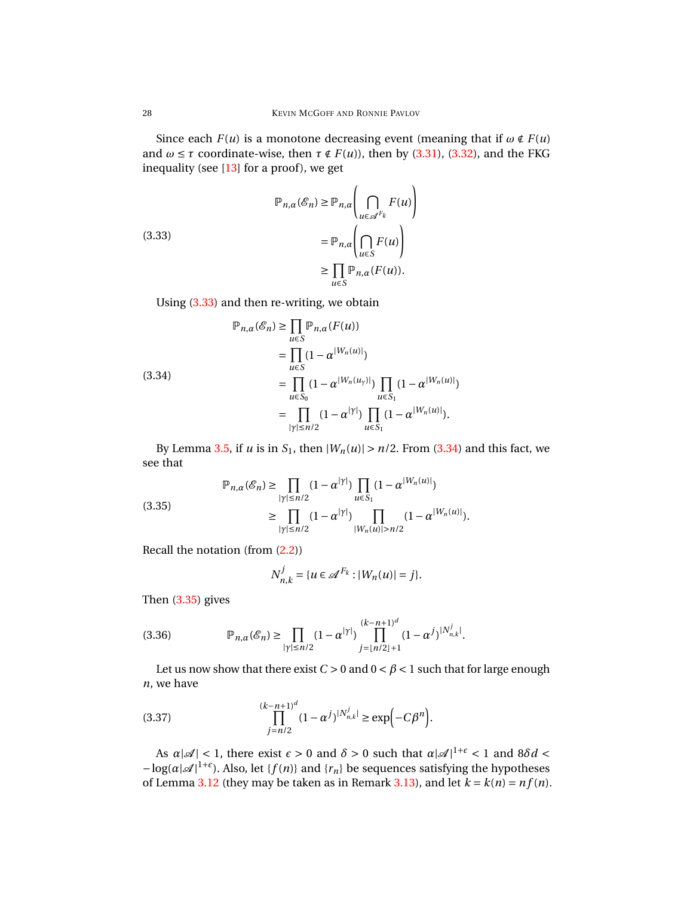Since each  $F(u)$  is a monotone decreasing event (meaning that if  $\omega \notin F(u)$ and  $\omega \leq \tau$  coordinate-wise, then  $\tau \notin F(u)$ , then by [\(3.31\)](#page-26-3), [\(3.32\)](#page-26-4), and the FKG inequality (see  $[13]$  for a proof), we get

<span id="page-27-0"></span>(3.33)  
\n
$$
\mathbb{P}_{n,\alpha}(\mathscr{E}_n) \ge \mathbb{P}_{n,\alpha} \left( \bigcap_{u \in \mathscr{A}^{F_k}} F(u) \right)
$$
\n
$$
= \mathbb{P}_{n,\alpha} \left( \bigcap_{u \in S} F(u) \right)
$$
\n
$$
\ge \prod_{u \in S} \mathbb{P}_{n,\alpha}(F(u)).
$$

Using [\(3.33\)](#page-27-0) and then re-writing, we obtain

<span id="page-27-1"></span>(3.34)  
\n
$$
\mathbb{P}_{n,\alpha}(\mathscr{E}_n) \geq \prod_{u \in S} \mathbb{P}_{n,\alpha}(F(u))
$$
\n
$$
= \prod_{u \in S} (1 - \alpha^{|W_n(u)|})
$$
\n
$$
= \prod_{u \in S_0} (1 - \alpha^{|W_n(u_\gamma)|}) \prod_{u \in S_1} (1 - \alpha^{|W_n(u)|})
$$
\n
$$
= \prod_{|\gamma| \leq n/2} (1 - \alpha^{|\gamma|}) \prod_{u \in S_1} (1 - \alpha^{|W_n(u)|}).
$$

By Lemma [3.5,](#page-13-0) if *u* is in  $S_1$ , then  $|W_n(u)| > n/2$ . From [\(3.34\)](#page-27-1) and this fact, we see that

<span id="page-27-2"></span>(3.35)  

$$
\mathbb{P}_{n,\alpha}(\mathcal{E}_n) \ge \prod_{|\gamma| \le n/2} (1 - \alpha^{|\gamma|}) \prod_{u \in S_1} (1 - \alpha^{|W_n(u)|})
$$

$$
\ge \prod_{|\gamma| \le n/2} (1 - \alpha^{|\gamma|}) \prod_{|W_n(u)| > n/2} (1 - \alpha^{|W_n(u)|}).
$$

Recall the notation (from [\(2.2\)](#page-6-0))

$$
N_{n,k}^j = \{ u \in \mathcal{A}^{F_k} : |W_n(u)| = j \}.
$$

Then [\(3.35\)](#page-27-2) gives

<span id="page-27-4"></span>(3.36) 
$$
\mathbb{P}_{n,\alpha}(\mathcal{E}_n) \geq \prod_{|\gamma| \leq n/2} (1 - \alpha^{|\gamma|}) \prod_{j=\lfloor n/2 \rfloor+1}^{(k-n+1)^d} (1 - \alpha^j)^{|N_{n,k}^j|}.
$$

Let us now show that there exist  $C > 0$  and  $0 < \beta < 1$  such that for large enough *n*, we have

<span id="page-27-3"></span>(3.37) 
$$
\prod_{j=n/2}^{(k-n+1)^d} (1-\alpha^j)^{|N_{n,k}^j|} \geq \exp(-C\beta^n).
$$

As  $\alpha |\mathcal{A}| < 1$ , there exist  $\epsilon > 0$  and  $\delta > 0$  such that  $\alpha |\mathcal{A}|^{1+\epsilon} < 1$  and  $8\delta d <$  $-\log(\alpha |\mathcal{A}|^{1+\epsilon})$ . Also, let {*f*(*n*)} and {*r*<sub>*n*</sub>} be sequences satisfying the hypotheses of Lemma [3.12](#page-24-0) (they may be taken as in Remark [3.13\)](#page-26-1), and let  $k = k(n) = nf(n)$ .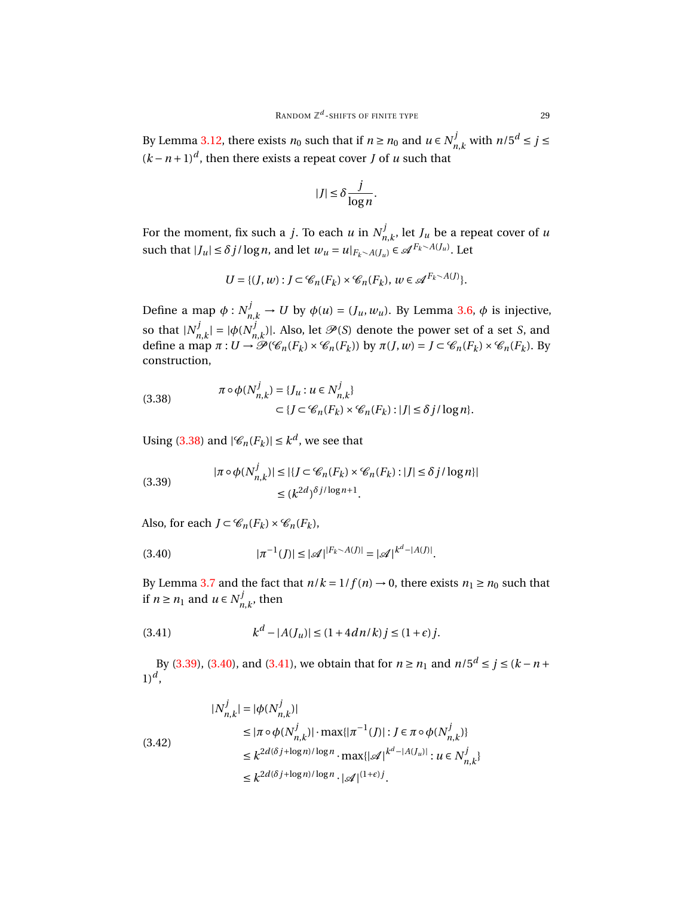By Lemma [3.12,](#page-24-0) there exists  $n_0$  such that if  $n \ge n_0$  and  $u \in N_n^j$  $n, k$  with  $n/5^d \le j \le k$  $(k - n + 1)<sup>d</sup>$ , then there exists a repeat cover *J* of *u* such that

$$
|J| \leq \delta \frac{j}{\log n}.
$$

For the moment, fix such a *j*. To each *u* in  $N_n^j$  $\int_{n,k}^{J}$ , let  $J_u$  be a repeat cover of *u* such that  $|J_u| \le \delta j / \log n$ , and let  $w_u = u|_{F_k \setminus A(J_u)} \in \mathcal{A}^{F_k \setminus A(J_u)}$ . Let

$$
U = \{ (J, w) : J \subset \mathcal{C}_n(F_k) \times \mathcal{C}_n(F_k), w \in \mathcal{A}^{F_k \setminus A(J)} \}.
$$

Define a map  $\phi: N_{n,k}^j \to U$  by  $\phi(u) = (J_u, w_u)$ . By Lemma [3.6,](#page-14-1)  $\phi$  is injective, so that  $|N^j_{\nu}|$  $|m,k| = |\phi(N_n^j)|$  $\mathcal{P}^{J}_{n,k}$ )|. Also, let  $\mathcal{P}(S)$  denote the power set of a set *S*, and define a map  $\pi: U \to \mathcal{P}(\mathcal{C}_n(F_k) \times \mathcal{C}_n(F_k))$  by  $\pi(J, w) = J \subset \mathcal{C}_n(F_k) \times \mathcal{C}_n(F_k)$ . By construction,

<span id="page-28-0"></span>(3.38) 
$$
\pi \circ \phi(N_{n,k}^j) = \{J_u : u \in N_{n,k}^j\} \subset \{J \subset \mathcal{C}_n(F_k) \times \mathcal{C}_n(F_k) : |J| \le \delta j/\log n\}.
$$

Using [\(3.38\)](#page-28-0) and  $|\mathcal{C}_n(F_k)| \leq k^d$ , we see that

<span id="page-28-1"></span>(3.39) 
$$
|\pi \circ \phi(N_{n,k}^j)| \leq |\{J \subset \mathcal{C}_n(F_k) \times \mathcal{C}_n(F_k) : |J| \leq \delta j/\log n\}|
$$

$$
\leq (k^{2d})^{\delta j/\log n + 1}.
$$

Also, for each  $J \subset \mathcal{C}_n(F_k) \times \mathcal{C}_n(F_k)$ ,

<span id="page-28-2"></span>
$$
(3.40) \t\t |\pi^{-1}(J)| \leq |\mathcal{A}|^{|F_k \sim A(J)|} = |\mathcal{A}|^{|k^d - |A(J)|}.
$$

By Lemma [3.7](#page-15-3) and the fact that  $n/k = 1/f(n) \rightarrow 0$ , there exists  $n_1 \ge n_0$  such that if  $n \geq n_1$  and  $u \in N_n^j$  $n_{n,k}^{\prime}$ , then

<span id="page-28-3"></span>(3.41) 
$$
k^d - |A(J_u)| \le (1 + 4dn/k) j \le (1 + \epsilon) j.
$$

By [\(3.39\)](#page-28-1), [\(3.40\)](#page-28-2), and [\(3.41\)](#page-28-3), we obtain that for *n* ≥ *n*<sub>1</sub> and  $n/5^d$  ≤ *j* ≤ (*k* − *n* + 1)*<sup>d</sup>* ,

<span id="page-28-4"></span>
$$
|N_{n,k}^{j}| = |\phi(N_{n,k}^{j})|
$$
  
\n
$$
\leq |\pi \circ \phi(N_{n,k}^{j})| \cdot \max\{|\pi^{-1}(J)| : J \in \pi \circ \phi(N_{n,k}^{j})\}
$$
  
\n
$$
\leq k^{2d(\delta j + \log n)/\log n} \cdot \max\{|\mathcal{A}|^{k^{d} - |A(J_{u})|} : u \in N_{n,k}^{j}\}
$$
  
\n
$$
\leq k^{2d(\delta j + \log n)/\log n} \cdot |\mathcal{A}|^{(1+\epsilon)j}.
$$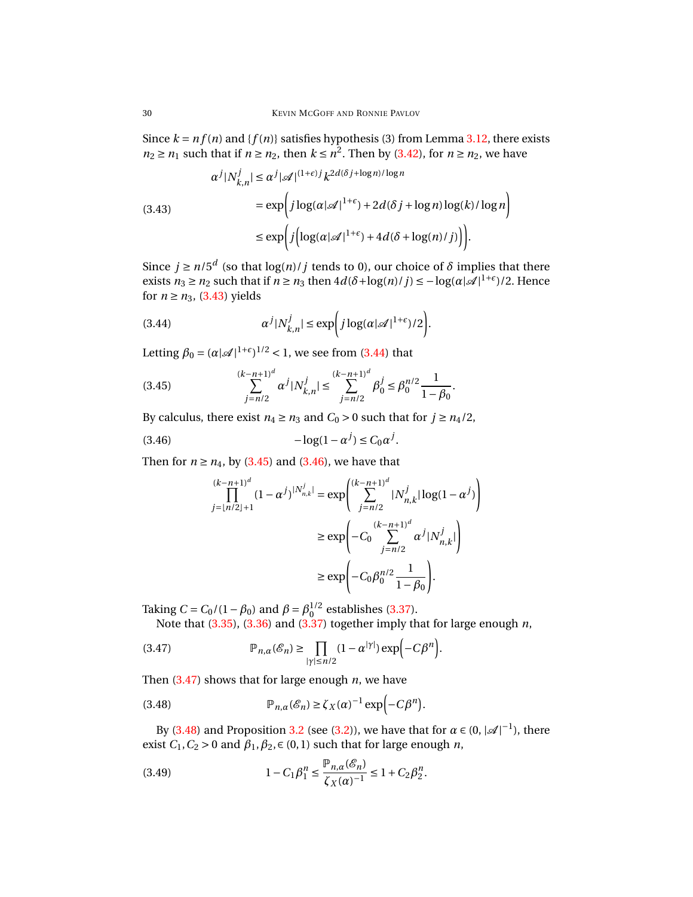Since  $k = nf(n)$  and  $\{f(n)\}$  satisfies hypothesis (3) from Lemma [3.12,](#page-24-0) there exists  $n_2 \ge n_1$  such that if  $n \ge n_2$ , then  $k \le n^2$ . Then by [\(3.42\)](#page-28-4), for  $n \ge n_2$ , we have

<span id="page-29-0"></span>(3.43)  

$$
\alpha^{j} |N_{k,n}^{j}| \leq \alpha^{j} |\mathcal{A}|^{(1+\epsilon)j} k^{2d(\delta j + \log n)/\log n}
$$

$$
= \exp \left( j \log(\alpha |\mathcal{A}|^{1+\epsilon}) + 2d(\delta j + \log n) \log(k) / \log n \right)
$$

$$
\leq \exp \left( j \left( \log(\alpha |\mathcal{A}|^{1+\epsilon}) + 4d(\delta + \log(n) / j) \right) \right).
$$

Since  $j \ge n/5^d$  (so that  $\log(n)/j$  tends to 0), our choice of  $\delta$  implies that there exists *n*<sub>3</sub> ≥ *n*<sub>2</sub> such that if *n* ≥ *n*<sub>3</sub> then  $4d(δ + log(n)/j) ≤ -log(α|α|^{1+ε})/2$ . Hence for  $n \ge n_3$ , [\(3.43\)](#page-29-0) yields

<span id="page-29-1"></span>(3.44) 
$$
\alpha^j |N_{k,n}^j| \le \exp\biggl(j \log(\alpha |\mathscr{A}|^{1+\epsilon})/2\biggr).
$$

Letting  $\beta_0 = (\alpha |\mathcal{A}|^{1+\epsilon})^{1/2} < 1$ , we see from [\(3.44\)](#page-29-1) that

<span id="page-29-2"></span>(3.45) 
$$
\sum_{j=n/2}^{(k-n+1)^d} \alpha^j |N_{k,n}^j| \leq \sum_{j=n/2}^{(k-n+1)^d} \beta_0^j \leq \beta_0^{n/2} \frac{1}{1-\beta_0}.
$$

By calculus, there exist  $n_4 \ge n_3$  and  $C_0 > 0$  such that for  $j \ge n_4/2$ ,

<span id="page-29-3"></span>
$$
(3.46)\qquad \qquad -\log(1-\alpha^j) \le C_0 \alpha^j.
$$

Then for  $n \ge n_4$ , by [\(3.45\)](#page-29-2) and [\(3.46\)](#page-29-3), we have that

$$
\prod_{j=\lfloor n/2\rfloor+1}^{(k-n+1)^d} (1-\alpha^j)^{|N_{n,k}^j|} = \exp\left(\sum_{j=n/2}^{(k-n+1)^d} |N_{n,k}^j| \log(1-\alpha^j)\right)
$$
  

$$
\geq \exp\left(-C_0 \sum_{j=n/2}^{(k-n+1)^d} \alpha^j |N_{n,k}^j|\right)
$$
  

$$
\geq \exp\left(-C_0 \beta_0^{n/2} \frac{1}{1-\beta_0}\right).
$$

Taking  $C = C_0/(1 - \beta_0)$  and  $\beta = \beta_0^{1/2}$  establishes [\(3.37\)](#page-27-3).

Note that [\(3.35\)](#page-27-2), [\(3.36\)](#page-27-4) and [\(3.37\)](#page-27-3) together imply that for large enough *n*,

<span id="page-29-4"></span>(3.47) 
$$
\mathbb{P}_{n,\alpha}(\mathscr{E}_n) \geq \prod_{|\gamma| \leq n/2} (1 - \alpha^{|\gamma|}) \exp(-C\beta^n).
$$

Then [\(3.47\)](#page-29-4) shows that for large enough *n*, we have

<span id="page-29-5"></span>(3.48) 
$$
\mathbb{P}_{n,\alpha}(\mathscr{E}_n) \ge \zeta_X(\alpha)^{-1} \exp(-C\beta^n).
$$

By [\(3.48\)](#page-29-5) and Proposition [3.2](#page-9-0) (see [\(3.2\)](#page-10-1)), we have that for  $\alpha \in (0, |\mathcal{A}|^{-1})$ , there exist  $C_1$ ,  $C_2 > 0$  and  $\beta_1$ ,  $\beta_2$ ,  $\in (0, 1)$  such that for large enough *n*,

<span id="page-29-6"></span>(3.49) 
$$
1 - C_1 \beta_1^n \leq \frac{\mathbb{P}_{n,\alpha}(\mathcal{E}_n)}{\zeta_X(\alpha)^{-1}} \leq 1 + C_2 \beta_2^n.
$$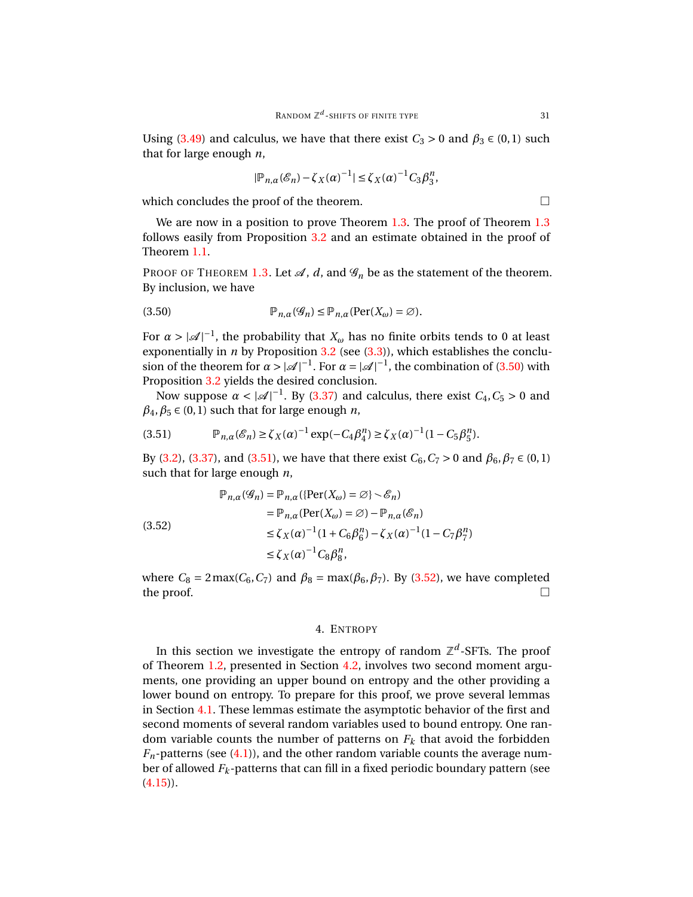$$
|\mathbb{P}_{n,\alpha}(\mathcal{E}_n) - \zeta_X(\alpha)^{-1}| \le \zeta_X(\alpha)^{-1} C_3 \beta_3^n,
$$

which concludes the proof of the theorem.  $\Box$ 

We are now in a position to prove Theorem [1.3.](#page-2-1) The proof of Theorem [1.3](#page-2-1) follows easily from Proposition [3.2](#page-9-0) and an estimate obtained in the proof of Theorem [1.1.](#page-1-0)

PROOF OF THEOREM [1.3.](#page-2-1) Let  $\mathcal{A}$ ,  $d$ , and  $\mathcal{G}_n$  be as the statement of the theorem. By inclusion, we have

<span id="page-30-1"></span>(3.50) 
$$
\mathbb{P}_{n,\alpha}(\mathscr{G}_n) \leq \mathbb{P}_{n,\alpha}(\text{Per}(X_{\omega}) = \emptyset).
$$

For  $\alpha > |\mathcal{A}|^{-1}$ , the probability that  $X_\omega$  has no finite orbits tends to 0 at least exponentially in  $n$  by Proposition [3.2](#page-9-0) (see  $(3.3)$ ), which establishes the conclusion of the theorem for  $\alpha > |\mathcal{A}|^{-1}$ . For  $\alpha = |\mathcal{A}|^{-1}$ , the combination of [\(3.50\)](#page-30-1) with Proposition [3.2](#page-9-0) yields the desired conclusion.

Now suppose  $\alpha < |\mathcal{A}|^{-1}$ . By [\(3.37\)](#page-27-3) and calculus, there exist  $C_4$ ,  $C_5 > 0$  and  $\beta_4$ ,  $\beta_5 \in (0, 1)$  such that for large enough *n*,

<span id="page-30-2"></span>(3.51) 
$$
\mathbb{P}_{n,\alpha}(\mathcal{E}_n) \ge \zeta_X(\alpha)^{-1} \exp(-C_4 \beta_4^n) \ge \zeta_X(\alpha)^{-1} (1 - C_5 \beta_5^n).
$$

By [\(3.2\)](#page-10-1), [\(3.37\)](#page-27-3), and [\(3.51\)](#page-30-2), we have that there exist *C*<sub>6</sub>, *C*<sub>7</sub> > 0 and  $β_6$ ,  $β_7$  ∈ (0, 1) such that for large enough *n*,

<span id="page-30-3"></span>
$$
\mathbb{P}_{n,\alpha}(\mathcal{G}_n) = \mathbb{P}_{n,\alpha}(\{\text{Per}(X_{\omega}) = \varnothing\} \setminus \mathcal{E}_n)
$$
  
\n
$$
= \mathbb{P}_{n,\alpha}(\text{Per}(X_{\omega}) = \varnothing) - \mathbb{P}_{n,\alpha}(\mathcal{E}_n)
$$
  
\n
$$
\leq \zeta_X(\alpha)^{-1}(1 + C_6 \beta_6^n) - \zeta_X(\alpha)^{-1}(1 - C_7 \beta_7^n)
$$
  
\n
$$
\leq \zeta_X(\alpha)^{-1} C_8 \beta_8^n,
$$

where  $C_8 = 2 \max(C_6, C_7)$  and  $\beta_8 = \max(\beta_6, \beta_7)$ . By [\(3.52\)](#page-30-3), we have completed the proof.  $\Box$ 

# 4. ENTROPY

<span id="page-30-0"></span>In this section we investigate the entropy of random  $\mathbb{Z}^d$ -SFTs. The proof of Theorem [1.2,](#page-2-0) presented in Section [4.2,](#page-39-0) involves two second moment arguments, one providing an upper bound on entropy and the other providing a lower bound on entropy. To prepare for this proof, we prove several lemmas in Section [4.1.](#page-31-0) These lemmas estimate the asymptotic behavior of the first and second moments of several random variables used to bound entropy. One random variable counts the number of patterns on  $F_k$  that avoid the forbidden  $F_n$ -patterns (see  $(4.1)$ ), and the other random variable counts the average number of allowed *F<sup>k</sup>* -patterns that can fill in a fixed periodic boundary pattern (see  $(4.15)$ .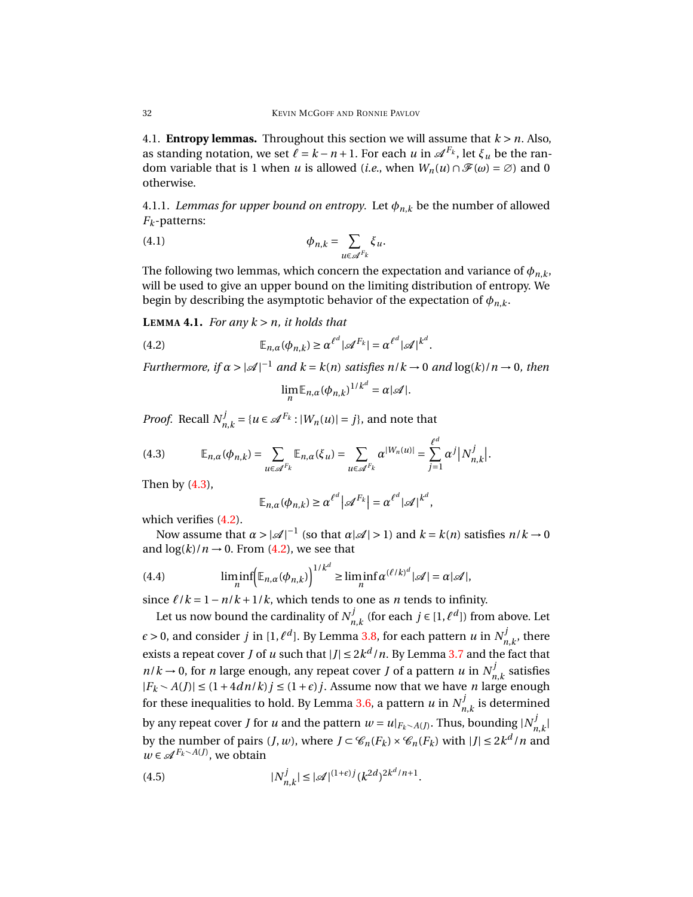<span id="page-31-0"></span>4.1. **Entropy lemmas.** Throughout this section we will assume that  $k > n$ . Also, as standing notation, we set  $\ell = k - n + 1$ . For each  $u$  in  $\mathscr{A}^{F_k}$ , let  $\xi_u$  be the random variable that is 1 when *u* is allowed (*i.e.*, when  $W_n(u) \cap \mathcal{F}(w) = \emptyset$ ) and 0 otherwise.

4.1.1. *Lemmas for upper bound on entropy*. Let  $\phi_{n,k}$  be the number of allowed *F<sup>k</sup>* -patterns:

<span id="page-31-1"></span>(4.1) 
$$
\phi_{n,k} = \sum_{u \in \mathscr{A}^F} \xi_u.
$$

The following two lemmas, which concern the expectation and variance of  $\phi_{n,k}$ , will be used to give an upper bound on the limiting distribution of entropy. We begin by describing the asymptotic behavior of the expectation of  $\phi_{n,k}$ .

<span id="page-31-6"></span>**LEMMA 4.1.** *For any*  $k > n$ *, it holds that* 

<span id="page-31-3"></span>(4.2) 
$$
\mathbb{E}_{n,\alpha}(\phi_{n,k}) \geq \alpha^{\ell^d} |\mathscr{A}^{F_k}| = \alpha^{\ell^d} |\mathscr{A}|^{k^d}.
$$

*Furthermore, if*  $\alpha > |\mathcal{A}|^{-1}$  *and*  $k = k(n)$  *satisfies*  $n/k \to 0$  *and*  $\log(k)/n \to 0$ *, then* 

$$
\lim_{n} \mathbb{E}_{n,\alpha}(\phi_{n,k})^{1/k^d} = \alpha |\mathscr{A}|.
$$

*Proof.* Recall *N j*  $m_{n,k}$ <sup>*=*{</sup> $u \in \mathcal{A}^{F_k}$  : | $W_n(u)$ | = *j*}, and note that

<span id="page-31-2"></span>
$$
(4.3) \qquad \mathbb{E}_{n,\alpha}(\phi_{n,k}) = \sum_{u \in \mathscr{A}^{F_k}} \mathbb{E}_{n,\alpha}(\xi_u) = \sum_{u \in \mathscr{A}^{F_k}} \alpha^{|W_n(u)|} = \sum_{j=1}^{\ell^d} \alpha^j |N_{n,k}^j|.
$$

Then by [\(4.3\)](#page-31-2),

$$
\mathbb{E}_{n,\alpha}(\phi_{n,k}) \geq \alpha^{\ell^d} |\mathscr{A}^{F_k}| = \alpha^{\ell^d} |\mathscr{A}|^{k^d},
$$

which verifies [\(4.2\)](#page-31-3).

Now assume that  $\alpha > |\mathcal{A}|^{-1}$  (so that  $\alpha |\mathcal{A}| > 1$ ) and  $k = k(n)$  satisfies  $n/k \to 0$ and  $log(k)/n \rightarrow 0$ . From [\(4.2\)](#page-31-3), we see that

<span id="page-31-5"></span>(4.4) 
$$
\liminf_{n} \left( \mathbb{E}_{n,\alpha}(\phi_{n,k}) \right)^{1/k^d} \geq \liminf_{n} \alpha^{(\ell/k)^d} |\mathscr{A}| = \alpha |\mathscr{A}|,
$$

since  $\ell/k = 1 - n/k + 1/k$ , which tends to one as *n* tends to infinity.

Let us now bound the cardinality of  $N_n^j$ *n*<sup>*k*</sup></sup> (for each *j* ∈ [1,  $\ell$ <sup>*d*</sup>]) from above. Let  $\epsilon$  > 0, and consider *j* in [1,  $\ell^d$ ]. By Lemma [3.8,](#page-18-0) for each pattern *u* in  $N^j_n$  $n_{n,k}^{\prime}$ , there exists a repeat cover *J* of *u* such that  $|J| \leq 2k^d/n$ . By Lemma [3.7](#page-15-3) and the fact that  $n/k \to 0$ , for *n* large enough, any repeat cover *J* of a pattern *u* in  $N_n^j$  $n_{n,k}^{\prime}$  satisfies  $|F_k \setminus A(J)| \leq (1 + 4dn/k) j \leq (1 + \epsilon) j$ . Assume now that we have *n* large enough for these inequalities to hold. By Lemma [3.6,](#page-14-1) a pattern  $u$  in  $N_u^j$  $n_{n,k}^{\prime}$  is determined by any repeat cover *J* for *u* and the pattern  $w = u|_{F_k \sim A(J)}$ . Thus, bounding  $|N^j_n|$ *n*,*k* | by the number of pairs  $(J, w)$ , where  $J \subset \mathcal{C}_n(F_k) \times \mathcal{C}_n(F_k)$  with  $|J| \leq 2k^d/n$  and  $w \in \mathcal{A}^{F_k \setminus A(J)}$ , we obtain

<span id="page-31-4"></span>(4.5) 
$$
|N_{n,k}^{j}| \leq |\mathcal{A}|^{(1+\epsilon)j} (k^{2d})^{2k^{d}/n+1}.
$$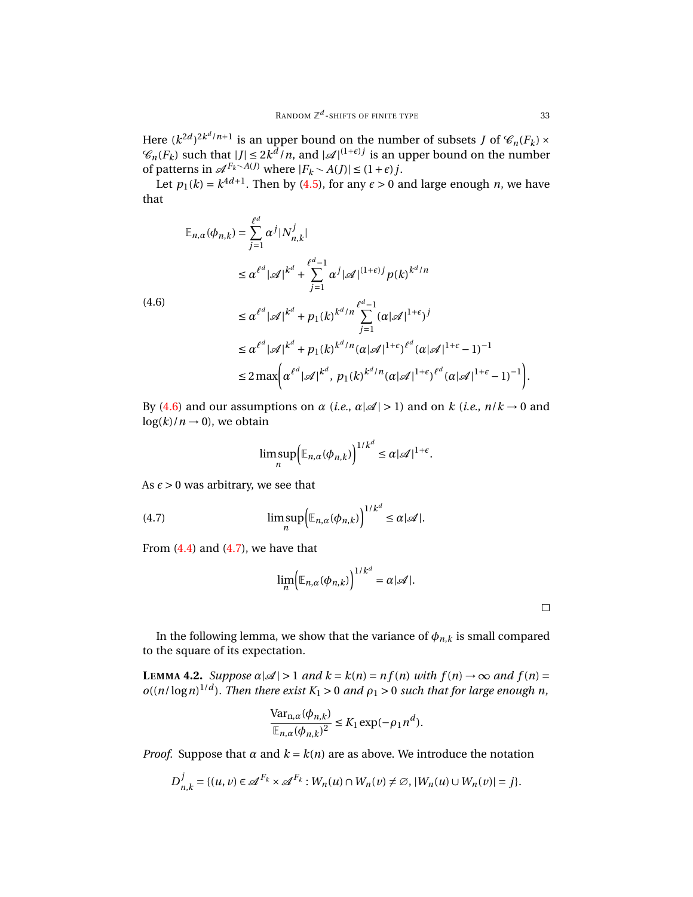Here  $(k^{2d})^{2k^d/n+1}$  is an upper bound on the number of subsets *J* of  $\mathscr{C}_n(F_k) \times$  $\mathscr{C}_n(F_k)$  such that  $|J| \leq 2k^{\frac{d}{d}}/n$ , and  $|\mathscr{A}|^{(1+\epsilon)j}$  is an upper bound on the number of patterns in  $\mathscr{A}^{F_k \sim A(J)}$  where  $|F_k \sim A(J)| \leq (1+\epsilon)j$ .

Let  $p_1(k) = k^{4d+1}$ . Then by [\(4.5\)](#page-31-4), for any  $\epsilon > 0$  and large enough *n*, we have that

$$
\mathbb{E}_{n,\alpha}(\phi_{n,k}) = \sum_{j=1}^{\ell^d} \alpha^j |N_{n,k}^j|
$$
  
\n
$$
\leq \alpha^{\ell^d} |\mathscr{A}|^{k^d} + \sum_{j=1}^{\ell^d-1} \alpha^j |\mathscr{A}|^{(1+\epsilon)j} p(k)^{k^d/n}
$$
  
\n
$$
\leq \alpha^{\ell^d} |\mathscr{A}|^{k^d} + p_1(k)^{k^d/n} \sum_{j=1}^{\ell^d-1} (\alpha |\mathscr{A}|^{1+\epsilon})^j
$$
  
\n
$$
\leq \alpha^{\ell^d} |\mathscr{A}|^{k^d} + p_1(k)^{k^d/n} (\alpha |\mathscr{A}|^{1+\epsilon})^{\ell^d} (\alpha |\mathscr{A}|^{1+\epsilon} - 1)^{-1}
$$
  
\n
$$
\leq 2 \max \bigg( \alpha^{\ell^d} |\mathscr{A}|^{k^d}, p_1(k)^{k^d/n} (\alpha |\mathscr{A}|^{1+\epsilon})^{\ell^d} (\alpha |\mathscr{A}|^{1+\epsilon} - 1)^{-1} \bigg).
$$

By [\(4.6\)](#page-32-0) and our assumptions on  $\alpha$  (*i.e.*,  $\alpha|\mathcal{A}| > 1$ ) and on  $k$  (*i.e.*,  $n/k \rightarrow 0$  and  $log(k)/n \rightarrow 0$ , we obtain

$$
\limsup_n \Bigl(\mathbb{E}_{n,\alpha}(\phi_{n,k})\Bigr)^{1/k^d} \leq \alpha |\mathcal{A}|^{1+\epsilon}.
$$

As  $\epsilon$  > 0 was arbitrary, we see that

<span id="page-32-0"></span>(4.6)

<span id="page-32-1"></span>(4.7) 
$$
\limsup_{n} \Bigl(\mathbb{E}_{n,\alpha}(\phi_{n,k})\Bigr)^{1/k^d} \leq \alpha |\mathcal{A}|.
$$

From  $(4.4)$  and  $(4.7)$ , we have that

$$
\lim_{n} \Bigl( \mathbb{E}_{n,\alpha}(\phi_{n,k}) \Bigr)^{1/k^d} = \alpha |\mathscr{A}|.
$$

In the following lemma, we show that the variance of  $\phi_{n,k}$  is small compared to the square of its expectation.

<span id="page-32-2"></span>**LEMMA 4.2.** *Suppose*  $\alpha |A| > 1$  *and*  $k = k(n) = nf(n)$  *with*  $f(n) \rightarrow \infty$  *and*  $f(n) =$  $o((n/\log n)^{1/d})$ . Then there exist  $K_1 > 0$  and  $\rho_1 > 0$  such that for large enough n,

$$
\frac{\text{Var}_{n,\alpha}(\phi_{n,k})}{\mathbb{E}_{n,\alpha}(\phi_{n,k})^2} \le K_1 \exp(-\rho_1 n^d).
$$

*Proof.* Suppose that  $\alpha$  and  $k = k(n)$  are as above. We introduce the notation

$$
D_{n,k}^j = \{(u,v) \in \mathcal{A}^{F_k} \times \mathcal{A}^{F_k} : W_n(u) \cap W_n(v) \neq \emptyset, |W_n(u) \cup W_n(v)| = j\}.
$$

 $\Box$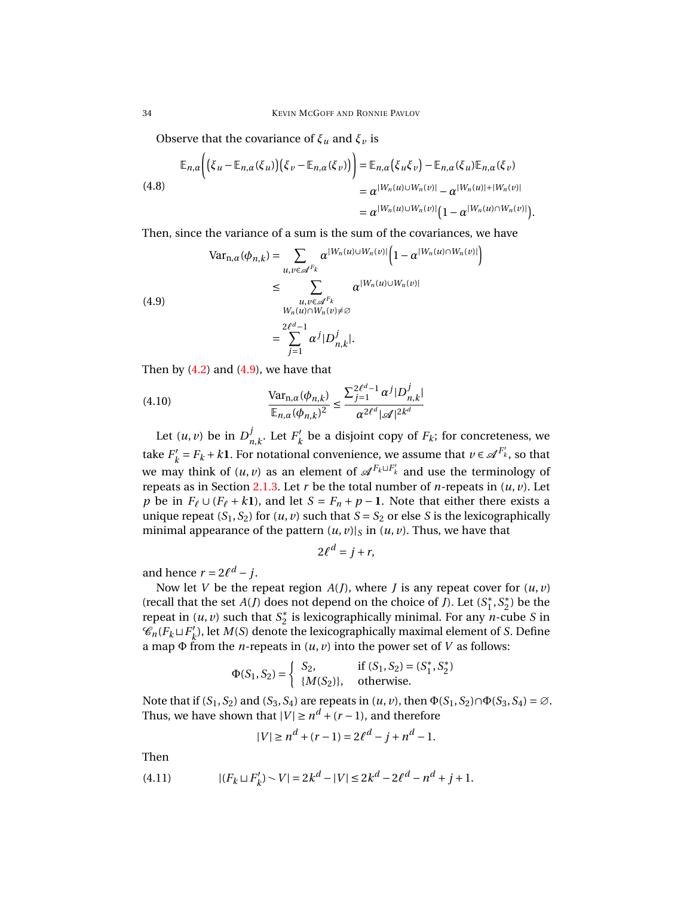Observe that the covariance of  $\xi_u$  and  $\xi_v$  is

<span id="page-33-3"></span>
$$
\mathbb{E}_{n,\alpha}\Big(\big(\xi_u-\mathbb{E}_{n,\alpha}(\xi_u)\big)\big(\xi_v-\mathbb{E}_{n,\alpha}(\xi_v)\big)\Big)=\mathbb{E}_{n,\alpha}\big(\xi_u\xi_v\big)-\mathbb{E}_{n,\alpha}(\xi_u)\mathbb{E}_{n,\alpha}(\xi_v)
$$
\n
$$
=\alpha^{|W_n(u)\cup W_n(v)|}-\alpha^{|W_n(u)|+|W_n(v)|}
$$
\n
$$
=\alpha^{|W_n(u)\cup W_n(v)|}\big(1-\alpha^{|W_n(u)\cap W_n(v)|}\big).
$$

Then, since the variance of a sum is the sum of the covariances, we have

<span id="page-33-0"></span>(4.9)  
\n
$$
\operatorname{Var}_{n,\alpha}(\phi_{n,k}) = \sum_{u,v \in \mathscr{A}^{F_k}} \alpha^{|W_n(u) \cup W_n(v)|} \left(1 - \alpha^{|W_n(u) \cap W_n(v)|}\right)
$$
\n
$$
\leq \sum_{\substack{u,v \in \mathscr{A}^{F_k} \\ W_n(u) \cap W_n(v) \neq \emptyset}} \alpha^{|W_n(u) \cup W_n(v)|}
$$
\n
$$
= \sum_{j=1}^{2\ell^d - 1} \alpha^j |D^j_{n,k}|.
$$

Then by  $(4.2)$  and  $(4.9)$ , we have that

<span id="page-33-2"></span>(4.10) 
$$
\frac{\text{Var}_{n,\alpha}(\phi_{n,k})}{\mathbb{E}_{n,\alpha}(\phi_{n,k})^2} \le \frac{\sum_{j=1}^{2\ell^d-1} \alpha^j |D_{n,k}^j|}{\alpha^{2\ell^d} |\mathscr{A}|^{2k^d}}
$$

Let  $(u, v)$  be in  $D^j$  $_{n,k}^j$ . Let  $F'_k$  $k_{k}^{\prime}$  be a disjoint copy of  $F_{k}$ ; for concreteness, we take  $F'_{l}$  $k' = F_k + k$ **1**. For notational convenience, we assume that  $v \in \mathcal{A}^{F_k}$ , so that we may think of  $(u, v)$  as an element of  $\mathscr{A}^{F_k \sqcup F'_k}$  and use the terminology of repeats as in Section [2.1.3.](#page-5-1) Let  $r$  be the total number of  $n$ -repeats in  $(u, v)$ . Let *p* be in  $F_\ell \cup (F_\ell + k\mathbf{1})$ , and let  $S = F_n + p - \mathbf{1}$ . Note that either there exists a unique repeat  $(S_1, S_2)$  for  $(u, v)$  such that  $S = S_2$  or else *S* is the lexicographically minimal appearance of the pattern  $(u, v)|_S$  in  $(u, v)$ . Thus, we have that

*<sup>d</sup>*−1

$$
2\ell^d = j + r,
$$

and hence  $r = 2\ell^d - j$ .

Now let *V* be the repeat region  $A(J)$ , where *J* is any repeat cover for  $(u, v)$ (recall that the set  $A(J)$  does not depend on the choice of *J*). Let  $(S_1^*$ 1 ,*S* ∗  $_2^*$ ) be the repeat in  $(u, v)$  such that  $S_2^*$ 2 is lexicographically minimal. For any *n*-cube *S* in  $\mathscr{C}_n$ <sup>*C<sub>k</sub>*  $\sqcup$   $F'_k$ </sup> *k* ), let *M*(*S*) denote the lexicographically maximal element of *S*. Define a map  $\Phi$  from the *n*-repeats in  $(u, v)$  into the power set of *V* as follows:

$$
\Phi(S_1, S_2) = \begin{cases} S_2, & \text{if } (S_1, S_2) = (S_1^*, S_2^*) \\ \{M(S_2)\}, & \text{otherwise.} \end{cases}
$$

Note that if  $(S_1, S_2)$  and  $(S_3, S_4)$  are repeats in  $(u, v)$ , then  $\Phi(S_1, S_2) \cap \Phi(S_3, S_4) = \emptyset$ . Thus, we have shown that  $|V| \ge n^d + (r-1)$ , and therefore

$$
|V| \ge n^d + (r - 1) = 2\ell^d - j + n^d - 1.
$$

Then

<span id="page-33-1"></span>(4.11) 
$$
|(F_k \sqcup F'_k) \smallsetminus V| = 2k^d - |V| \leq 2k^d - 2\ell^d - n^d + j + 1.
$$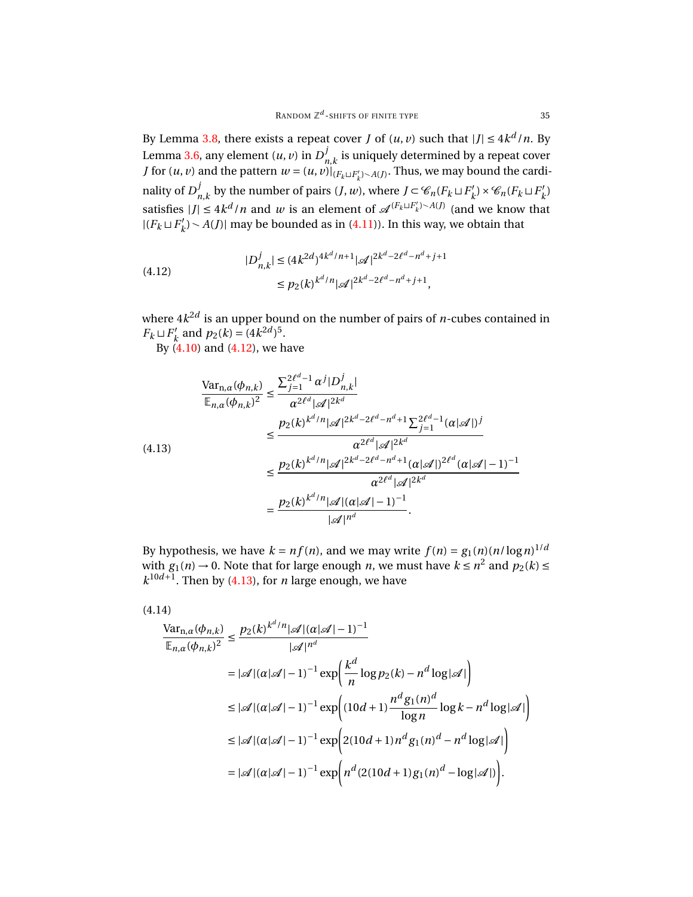By Lemma [3.8,](#page-18-0) there exists a repeat cover *J* of  $(u, v)$  such that  $|J| \leq 4k^d/n$ . By Lemma [3.6,](#page-14-1) any element  $(u, v)$  in  $D^j$  $\sum_{n,k}$  is uniquely determined by a repeat cover *J* for  $(u, v)$  and the pattern  $w = (u, v)|_{(F_k \cup F'_k) \setminus A(J)}$ . Thus, we may bound the cardinality of  $D^j_{\boldsymbol{\cdot}}$  $\sum_{n,k}^{j}$  by the number of pairs  $(J, w)$ , where  $J \subset \mathscr{C}_n(F_k \sqcup F'_k)$  $K_k$ <sup>*y*</sup>  $\times$   $\mathcal{C}_n$  ( $F_k \sqcup F'_k$ *k* ) satisfies  $|J| \leq 4k^d/n$  and *w* is an element of  $\mathcal{A}^{(F_k \sqcup F'_k) \sim A(J)}$  (and we know that  $|(F_k \sqcup F'_k)$  $k'$ <sub>k</sub> $)$   $\sim$  *A*(*J*)| may be bounded as in [\(4.11\)](#page-33-1)). In this way, we obtain that

<span id="page-34-0"></span>(4.12) 
$$
|D_{n,k}^{j}| \le (4k^{2d})^{4k^d/n+1} |\mathcal{A}|^{2k^d - 2\ell^d - n^d + j + 1}
$$

$$
\le p_2(k)^{k^d/n} |\mathcal{A}|^{2k^d - 2\ell^d - n^d + j + 1},
$$

where  $4k^{2d}$  is an upper bound on the number of pairs of *n*-cubes contained in  $F_k \sqcup F'_k$  $p_2(k) = (4k^{2d})^5$ .

By [\(4.10\)](#page-33-2) and [\(4.12\)](#page-34-0), we have

<span id="page-34-1"></span>
$$
\frac{\text{Var}_{n,\alpha}(\phi_{n,k})}{\mathbb{E}_{n,\alpha}(\phi_{n,k})^2} \leq \frac{\sum_{j=1}^{2\ell^d-1} \alpha^j |D_{n,k}^j|}{\alpha^{2\ell^d} |\mathcal{A}|^{2k^d}}
$$
\n
$$
\leq \frac{p_2(k)^{k^d/n} |\mathcal{A}|^{2k^d-2\ell^d-n^d+1} \sum_{j=1}^{2\ell^d-1} (\alpha|\mathcal{A}|)^j}{\alpha^{2\ell^d} |\mathcal{A}|^{2k^d}}
$$
\n
$$
\leq \frac{p_2(k)^{k^d/n} |\mathcal{A}|^{2k^d-2\ell^d-n^d+1} (\alpha|\mathcal{A}|)^{2\ell^d} (\alpha|\mathcal{A}|-1)^{-1}}{\alpha^{2\ell^d} |\mathcal{A}|^{2k^d}}
$$
\n
$$
= \frac{p_2(k)^{k^d/n} |\mathcal{A}| (\alpha|\mathcal{A}|-1)^{-1}}{|\mathcal{A}|^{n^d}}.
$$

By hypothesis, we have  $k = nf(n)$ , and we may write  $f(n) = g_1(n)(n/\log n)^{1/d}$ with  $g_1(n) \to 0$ . Note that for large enough *n*, we must have  $k \le n^2$  and  $p_2(k) \le$  $k^{10d+1}$ . Then by [\(4.13\)](#page-34-1), for *n* large enough, we have

<span id="page-34-2"></span>
$$
(4.14)
$$

$$
\frac{\text{Var}_{n,\alpha}(\phi_{n,k})}{\mathbb{E}_{n,\alpha}(\phi_{n,k})^2} \le \frac{p_2(k)^{k^d/n} |\mathcal{A}| (\alpha|\mathcal{A}| - 1)^{-1}}{|\mathcal{A}|^{n^d}}
$$
\n
$$
= |\mathcal{A}| (\alpha|\mathcal{A}| - 1)^{-1} \exp\left(\frac{k^d}{n} \log p_2(k) - n^d \log |\mathcal{A}|\right)
$$
\n
$$
\le |\mathcal{A}| (\alpha|\mathcal{A}| - 1)^{-1} \exp\left((10d + 1)\frac{n^d g_1(n)^d}{\log n} \log k - n^d \log |\mathcal{A}|\right)
$$
\n
$$
\le |\mathcal{A}| (\alpha|\mathcal{A}| - 1)^{-1} \exp\left(2(10d + 1)n^d g_1(n)^d - n^d \log |\mathcal{A}|\right)
$$
\n
$$
= |\mathcal{A}| (\alpha|\mathcal{A}| - 1)^{-1} \exp\left(n^d (2(10d + 1)g_1(n)^d - \log |\mathcal{A}|)\right).
$$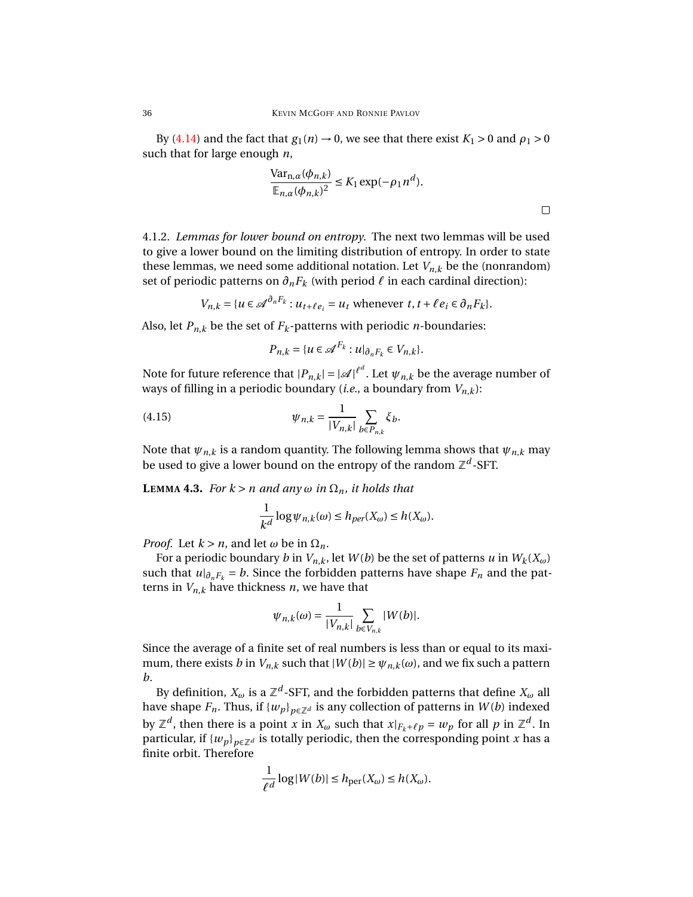By [\(4.14\)](#page-34-2) and the fact that  $g_1(n) \rightarrow 0$ , we see that there exist  $K_1 > 0$  and  $\rho_1 > 0$ such that for large enough *n*,

$$
\frac{\text{Var}_{n,\alpha}(\phi_{n,k})}{\mathbb{E}_{n,\alpha}(\phi_{n,k})^2} \le K_1 \exp(-\rho_1 n^d).
$$

4.1.2. *Lemmas for lower bound on entropy.* The next two lemmas will be used to give a lower bound on the limiting distribution of entropy. In order to state these lemmas, we need some additional notation. Let  $V_{n,k}$  be the (nonrandom) set of periodic patterns on  $\partial_n F_k$  (with period  $\ell$  in each cardinal direction):

$$
V_{n,k} = \{ u \in \mathcal{A}^{\partial_n F_k} : u_{t+\ell e_i} = u_t \text{ whenever } t, t+\ell e_i \in \partial_n F_k \}.
$$

Also, let  $P_{n,k}$  be the set of  $F_k$ -patterns with periodic *n*-boundaries:

$$
P_{n,k} = \{ u \in \mathcal{A}^{F_k} : u|_{\partial_n F_k} \in V_{n,k} \}.
$$

Note for future reference that  $|P_{n,k}| = |\mathscr{A}|^{\ell^d}.$  Let  $\psi_{n,k}$  be the average number of ways of filling in a periodic boundary (*i.e.*, a boundary from *Vn*,*<sup>k</sup>* ):

<span id="page-35-0"></span>(4.15) 
$$
\psi_{n,k} = \frac{1}{|V_{n,k}|} \sum_{b \in P_{n,k}} \xi_b.
$$

Note that  $\psi_{n,k}$  is a random quantity. The following lemma shows that  $\psi_{n,k}$  may be used to give a lower bound on the entropy of the random ℤ<sup>d</sup>-SFT.

<span id="page-35-1"></span>**LEMMA 4.3.** *For*  $k > n$  *and any*  $\omega$  *in*  $\Omega_n$ *, it holds that* 

$$
\frac{1}{k^d} \log \psi_{n,k}(\omega) \le h_{per}(X_\omega) \le h(X_\omega).
$$

*Proof.* Let  $k > n$ , and let  $\omega$  be in  $\Omega_n$ .

For a periodic boundary *b* in  $V_{n,k}$ , let  $W(b)$  be the set of patterns  $u$  in  $W_k(X_\omega)$ such that  $u|_{\partial_n F_k} = b$ . Since the forbidden patterns have shape  $F_n$  and the patterns in  $V_{n,k}$  have thickness *n*, we have that

$$
\psi_{n,k}(\omega) = \frac{1}{|V_{n,k}|} \sum_{b \in V_{n,k}} |W(b)|.
$$

Since the average of a finite set of real numbers is less than or equal to its maximum, there exists *b* in  $V_{n,k}$  such that  $|W(b)| \ge \psi_{n,k}(\omega)$ , and we fix such a pattern *b*.

By definition,  $X_\omega$  is a  $\mathbb{Z}^d$ -SFT, and the forbidden patterns that define  $X_\omega$  all have shape  $F_n$ . Thus, if  $\{w_p\}_{p \in \mathbb{Z}^d}$  is any collection of patterns in  $W(b)$  indexed by  $\mathbb{Z}^d$ , then there is a point *x* in  $X_\omega$  such that  $x|_{F_k+\ell p} = w_p$  for all  $p$  in  $\mathbb{Z}^d$ . In particular, if  ${w_p}_{p \in \mathbb{Z}^d}$  is totally periodic, then the corresponding point *x* has a finite orbit. Therefore

$$
\frac{1}{\ell^d} \log |W(b)| \le h_{\text{per}}(X_\omega) \le h(X_\omega).
$$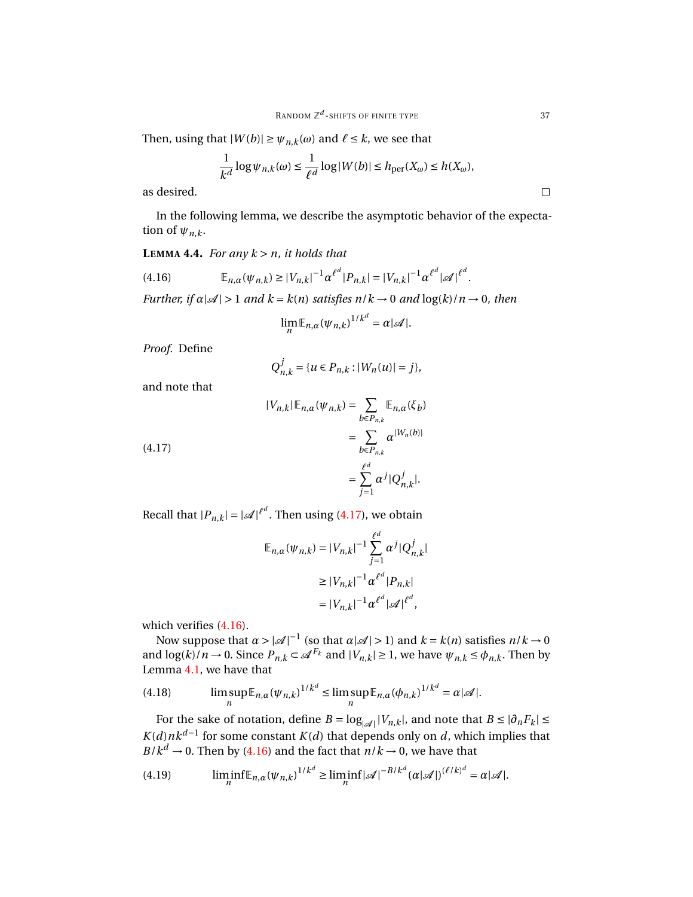Then, using that  $|W(b)| \ge \psi_{n,k}(\omega)$  and  $\ell \le k$ , we see that

$$
\frac{1}{k^d}\log \psi_{n,k}(\omega) \leq \frac{1}{\ell^d}\log |W(b)| \leq h_{\text{per}}(X_\omega) \leq h(X_\omega),
$$

as desired.

In the following lemma, we describe the asymptotic behavior of the expectation of  $\psi_{n,k}$ .

### <span id="page-36-4"></span>**LEMMA 4.4.** *For any*  $k > n$ *, it holds that*

<span id="page-36-1"></span>(4.16) 
$$
\mathbb{E}_{n,\alpha}(\psi_{n,k}) \geq |V_{n,k}|^{-1} \alpha^{\ell^d} |P_{n,k}| = |V_{n,k}|^{-1} \alpha^{\ell^d} |\mathcal{A}|^{\ell^d}.
$$

*Further, if*  $\alpha |A| > 1$  *and*  $k = k(n)$  *satisfies*  $n/k \rightarrow 0$  *and*  $\log(k)/n \rightarrow 0$ *, then* 

$$
\lim_{n} \mathbb{E}_{n,\alpha}(\psi_{n,k})^{1/k^d} = \alpha |\mathscr{A}|.
$$

*Proof.* Define

$$
Q_{n,k}^j = \{u \in P_{n,k} : |W_n(u)| = j\},\
$$

and note that

<span id="page-36-0"></span>(4.17) 
$$
|V_{n,k}| \mathbb{E}_{n,\alpha}(\psi_{n,k}) = \sum_{b \in P_{n,k}} \mathbb{E}_{n,\alpha}(\xi_b)
$$

$$
= \sum_{b \in P_{n,k}} \alpha^{|W_n(b)|}
$$

$$
= \sum_{j=1}^{\ell^d} \alpha^j |Q_{n,k}^j|.
$$

Recall that  $|P_{n,k}| = |\mathcal{A}|^{\ell^d}$ . Then using [\(4.17\)](#page-36-0), we obtain

$$
\mathbb{E}_{n,\alpha}(\psi_{n,k}) = |V_{n,k}|^{-1} \sum_{j=1}^{\ell^d} \alpha^j |Q_{n,k}^j|
$$
  
\n
$$
\geq |V_{n,k}|^{-1} \alpha^{\ell^d} |P_{n,k}|
$$
  
\n
$$
= |V_{n,k}|^{-1} \alpha^{\ell^d} |\mathscr{A}|^{\ell^d},
$$

which verifies  $(4.16)$ .

Now suppose that  $\alpha > |\mathcal{A}|^{-1}$  (so that  $\alpha | \mathcal{A} | > 1$ ) and  $k = k(n)$  satisfies  $n/k \to 0$ and  $\log(k)/n \to 0$ . Since  $P_{n,k} \subset \mathcal{A}^{F_k}$  and  $|V_{n,k}| \ge 1$ , we have  $\psi_{n,k} \le \phi_{n,k}$ . Then by Lemma [4.1,](#page-31-6) we have that

<span id="page-36-2"></span>(4.18) 
$$
\limsup_{n} \mathbb{E}_{n,\alpha}(\psi_{n,k})^{1/k^d} \leq \limsup_{n} \mathbb{E}_{n,\alpha}(\phi_{n,k})^{1/k^d} = \alpha |\mathscr{A}|.
$$

For the sake of notation, define  $B = \log_{|\mathcal{A}|} |V_{n,k}|$ , and note that  $B \leq |\partial_n F_k| \leq$  $K(d) n k^{d-1}$  for some constant  $K(d)$  that depends only on *d*, which implies that  $B/k^d \to 0$ . Then by [\(4.16\)](#page-36-1) and the fact that  $n/k \to 0$ , we have that

<span id="page-36-3"></span>(4.19) 
$$
\liminf_{n} \mathbb{E}_{n,\alpha}(\psi_{n,k})^{1/k^d} \geq \liminf_{n} |\mathcal{A}|^{-B/k^d} (\alpha|\mathcal{A}|)^{(\ell/k)^d} = \alpha|\mathcal{A}|.
$$

 $\Box$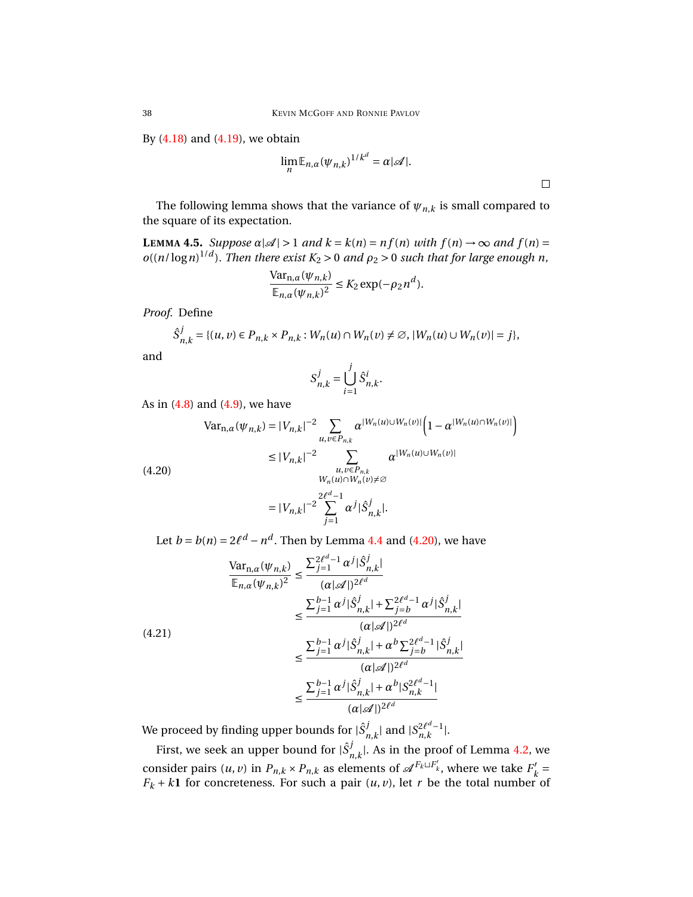By  $(4.18)$  and  $(4.19)$ , we obtain

$$
\lim_{n} \mathbb{E}_{n,\alpha}(\psi_{n,k})^{1/k^d} = \alpha |\mathscr{A}|.
$$

 $\Box$ 

The following lemma shows that the variance of  $\psi_{n,k}$  is small compared to the square of its expectation.

<span id="page-37-2"></span>**LEMMA 4.5.** *Suppose*  $\alpha |A| > 1$  *and*  $k = k(n) = nf(n)$  *with*  $f(n) \rightarrow \infty$  *and*  $f(n) =$  $o((n/\log n)^{1/d})$ . Then there exist  $K_2 > 0$  and  $\rho_2 > 0$  such that for large enough n,

$$
\frac{\text{Var}_{n,\alpha}(\psi_{n,k})}{\mathbb{E}_{n,\alpha}(\psi_{n,k})^2} \le K_2 \exp(-\rho_2 n^d).
$$

*Proof.* Define

$$
\hat{S}_{n,k}^j = \{(u, v) \in P_{n,k} \times P_{n,k} : W_n(u) \cap W_n(v) \neq \emptyset, |W_n(u) \cup W_n(v)| = j\},\
$$

$$
S_{n,k}^j = \bigcup_{i=1}^j \hat{S}_{n,k}^i.
$$

*W<sub>n</sub>*(*u*)∩*W<sub>n</sub>*(*v*)≠∅

As in (4.8) and (4.9), we have  
\n
$$
\text{Var}_{n,\alpha}(\psi_{n,k}) = |V_{n,k}|^{-2} \sum_{u,v \in P_{n,k}} \alpha^{|W_n(u) \cup W_n(v)|} \Big( 1 - \alpha^{|W_n(u) \cap W_n(v)|} \Big)
$$
\n
$$
\leq |V_{n,k}|^{-2} \sum_{u,v \in P_{n,k}} \alpha^{|W_n(u) \cup W_n(v)|}
$$
\n(4.20)

<span id="page-37-0"></span>(4.20)

and

$$
= |V_{n,k}|^{-2} \sum_{j=1}^{2\ell^d - 1} \alpha^j |\hat{S}_{n,k}^j|.
$$

Let *b* = *b*(*n*) =  $2\ell^d - n^d$ . Then by Lemma [4.4](#page-36-4) and [\(4.20\)](#page-37-0), we have

<span id="page-37-1"></span>
$$
\frac{\text{Var}_{n,\alpha}(\psi_{n,k})}{\mathbb{E}_{n,\alpha}(\psi_{n,k})^2} \le \frac{\sum_{j=1}^{2\ell^d - 1} \alpha^j |\hat{S}_{n,k}^j|}{(\alpha|\mathscr{A}|)^{2\ell^d}} \\
\le \frac{\sum_{j=1}^{b-1} \alpha^j |\hat{S}_{n,k}^j| + \sum_{j=b}^{2\ell^d - 1} \alpha^j |\hat{S}_{n,k}^j|}{(\alpha|\mathscr{A}|)^{2\ell^d}} \\
\le \frac{\sum_{j=1}^{b-1} \alpha^j |\hat{S}_{n,k}^j| + \alpha^b \sum_{j=b}^{2\ell^d - 1} |\hat{S}_{n,k}^j|}{(\alpha|\mathscr{A}|)^{2\ell^d}} \\
\le \frac{\sum_{j=1}^{b-1} \alpha^j |\hat{S}_{n,k}^j| + \alpha^b |S_{n,k}^{2\ell^d - 1}|}{(\alpha|\mathscr{A}|)^{2\ell^d}}
$$

We proceed by finding upper bounds for  $|\hat{S}^j_{i}\rangle$  $\sum_{n,k}$ | and |*S*<sup>2 $\ell^{d}$ −1</sup>  $\frac{2\ell^a-1}{n,k}$ .

First, we seek an upper bound for  $|\hat{S}^j_{\nu}\rangle$  $_{n,k}^J$ . As in the proof of Lemma [4.2,](#page-32-2) we consider pairs  $(u, v)$  in  $P_{n,k} \times P_{n,k}$  as elements of  $\mathscr{A}^{F_k \sqcup F'_k}$ , where we take  $F'_k$  $\frac{h}{k}$  $F_k + k\mathbf{1}$  for concreteness. For such a pair  $(u, v)$ , let *r* be the total number of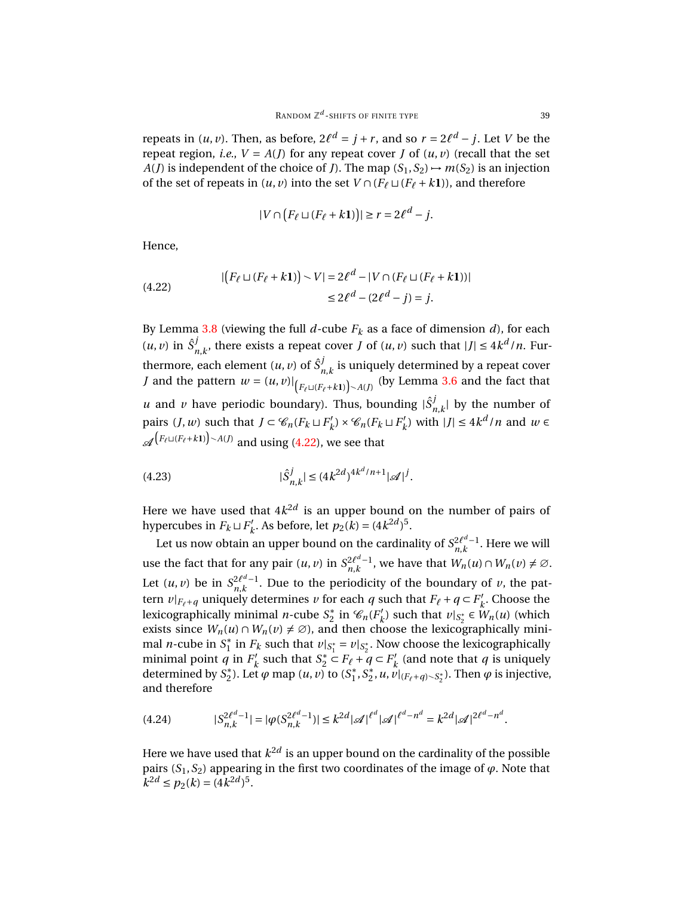repeats in  $(u, v)$ . Then, as before,  $2\ell^d = j + r$ , and so  $r = 2\ell^d - j$ . Let *V* be the repeat region, *i.e.*,  $V = A(J)$  for any repeat cover *J* of  $(u, v)$  (recall that the set *A*(*J*) is independent of the choice of *J*). The map  $(S_1, S_2) \rightarrow m(S_2)$  is an injection of the set of repeats in  $(u, v)$  into the set  $V \cap (F_\ell \sqcup (F_\ell + k\mathbf{1}))$ , and therefore

$$
|V \cap (F_{\ell} \sqcup (F_{\ell} + k\mathbf{1}))| \geq r = 2\ell^d - j.
$$

Hence,

<span id="page-38-0"></span>(4.22) 
$$
| (F_{\ell} \sqcup (F_{\ell} + k\mathbf{1})) \setminus V | = 2\ell^{d} - |V \cap (F_{\ell} \sqcup (F_{\ell} + k\mathbf{1}))|
$$

$$
\leq 2\ell^{d} - (2\ell^{d} - j) = j.
$$

By Lemma [3.8](#page-18-0) (viewing the full  $d$ -cube  $F_k$  as a face of dimension  $d$ ), for each  $(u, v)$  in  $\hat{S}^j$ *n*<sub>*k*</sub>, there exists a repeat cover *J* of  $(u, v)$  such that  $|J| \leq 4k^d/n$ . Furthermore, each element  $(u, v)$  of  $\hat{S}^j$  $n_{n,k}$  is uniquely determined by a repeat cover *J* and the pattern  $w = (u, v)|_{F_{\ell} \sqcup (F_{\ell} + k\mathbf{1}) > A(J)}$  (by Lemma [3.6](#page-14-1) and the fact that *u* and *v* have periodic boundary). Thus, bounding  $|\hat{S}^j$ ,  $\int_{n,k}^{J}$  by the number of pairs  $(J, w)$  such that  $J \subset \mathcal{C}_n(F_k \sqcup F'_k)$  $K_k'$ ) ×  $\mathcal{C}_n(F_k \sqcup F'_k)$ *k*<sup>*l*</sup> with  $|J|$  ≤ 4*k<sup>d</sup> / n* and *w* ∈  $\mathscr{A}^{\left(F_{\ell} \sqcup \left(F_{\ell}+k\mathbf{1}\right)\right)\smallsetminus A\left(J\right)}$  and using [\(4.22\)](#page-38-0), we see that

<span id="page-38-1"></span>(4.23) 
$$
|\hat{S}_{n,k}^j| \le (4k^{2d})^{4k^d/n+1} |\mathcal{A}|^j.
$$

Here we have used that  $4k^{2d}$  is an upper bound on the number of pairs of hypercubes in  $F_k \sqcup F'_k$  $h'_{k}$ . As before, let  $p_2(k) = (4k^{2d})^5$ .

Let us now obtain an upper bound on the cardinality of  $S_{n,k}^{2\ell^d-1}$  $\sum_{n,k}$ <sup>2 $\ell^{\alpha-1}$ . Here we will</sup> use the fact that for any pair  $(u, v)$  in  $S_{n,k}^{2\ell^d-1}$  $\frac{2\ell^d-1}{n,k}$ , we have that  $W_n(u) \cap W_n(v) \neq \emptyset$ . Let  $(u, v)$  be in  $S_{n,k}^{2\ell^d-1}$  $2e^{2x-1}$ . Due to the periodicity of the boundary of *v*, the pattern  $v|_{F_{\ell}+q}$  uniquely determines *v* for each *q* such that  $F_{\ell}+q \subset F'_{\ell}$  $k'$ . Choose the lexicographically minimal *n*-cube *S* ∗ <sup>\*</sup><sub>2</sub> in  $\mathcal{C}_n(F'_k)$  $w'$ <sub>*k*</sub>) such that *v*|<sub>*S*<sup>\*</sup></sup><sub>2</sub></sub> ∈  $W_n(u)$  (which exists since  $W_n(u) \cap W_n(v) \neq \emptyset$ , and then choose the lexicographically minimal *n*-cube in  $S_1^*$ <sup>\*</sup><sub>1</sub> in *F<sub>k</sub>* such that  $v|_{S_1^*} = v|_{S_2^*}$ . Now choose the lexicographically minimal point  $\overrightarrow{q}$  in  $F'_l$  $S_k^*$  such that  $S_2^* \subset F_\ell + q \subset F'_k$  $k_{k}^{\prime}$  (and note that  $q$  is uniquely determined by  $S_2^*$  $\sum_{2}^{k}$ ). Let  $\varphi$  map  $(u, v)$  to  $(S_1^*)$  $\frac{1}{1}$ ,  $S_2^*$  $\sum_{i=1}^{n} u_i \widetilde{v}|_{(F_{\ell}+q)\sim S_2^*}$ ). Then  $\varphi$  is injective, and therefore

<span id="page-38-2"></span>
$$
(4.24) \t|S_{n,k}^{2\ell^d-1}| = |\varphi(S_{n,k}^{2\ell^d-1})| \le k^{2d} |\mathcal{A}|^{\ell^d} |\mathcal{A}|^{\ell^d-n^d} = k^{2d} |\mathcal{A}|^{2\ell^d-n^d}.
$$

Here we have used that  $k^{2d}$  is an upper bound on the cardinality of the possible pairs  $(S_1, S_2)$  appearing in the first two coordinates of the image of  $\varphi$ . Note that  $k^{2d} \le p_2(k) = (4k^{2d})^5$ .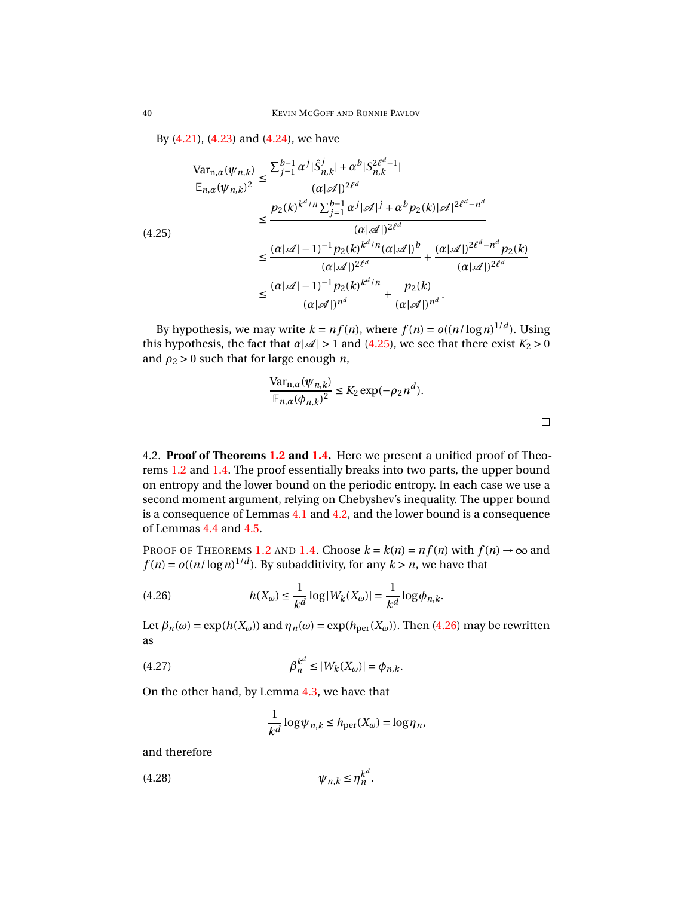By [\(4.21\)](#page-37-1), [\(4.23\)](#page-38-1) and [\(4.24\)](#page-38-2), we have

<span id="page-39-1"></span>
$$
\frac{\text{Var}_{n,\alpha}(\psi_{n,k})}{\mathbb{E}_{n,\alpha}(\psi_{n,k})^2} \leq \frac{\sum_{j=1}^{b-1} \alpha^j |\hat{S}_{n,k}^j| + \alpha^b |S_{n,k}^{2\ell^d - 1}|}{(\alpha |\mathscr{A}|)^{2\ell^d}}
$$
\n
$$
\leq \frac{p_2(k)^{k^d/n} \sum_{j=1}^{b-1} \alpha^j |\mathscr{A}|^j + \alpha^b p_2(k) |\mathscr{A}|^{2\ell^d - n^d}}{(\alpha |\mathscr{A}|)^{2\ell^d}}
$$
\n
$$
\leq \frac{(\alpha |\mathscr{A}| - 1)^{-1} p_2(k)^{k^d/n} (\alpha |\mathscr{A}|)^b}{(\alpha |\mathscr{A}|)^{2\ell^d}} + \frac{(\alpha |\mathscr{A}|)^{2\ell^d - n^d} p_2(k)}{(\alpha |\mathscr{A}|)^{2\ell^d}}
$$
\n
$$
\leq \frac{(\alpha |\mathscr{A}| - 1)^{-1} p_2(k)^{k^d/n}}{(\alpha |\mathscr{A}|)^{n^d}} + \frac{p_2(k)}{(\alpha |\mathscr{A}|)^{n^d}}.
$$

By hypothesis, we may write  $k = nf(n)$ , where  $f(n) = o((n/\log n)^{1/d})$ . Using this hypothesis, the fact that  $\alpha |A| > 1$  and [\(4.25\)](#page-39-1), we see that there exist  $K_2 > 0$ and  $\rho_2 > 0$  such that for large enough *n*,

$$
\frac{\text{Var}_{n,\alpha}(\psi_{n,k})}{\mathbb{E}_{n,\alpha}(\phi_{n,k})^2} \le K_2 \exp(-\rho_2 n^d).
$$

<span id="page-39-0"></span>4.2. **Proof of Theorems [1.2](#page-2-0) and [1.4.](#page-3-1)** Here we present a unified proof of Theorems [1.2](#page-2-0) and [1.4.](#page-3-1) The proof essentially breaks into two parts, the upper bound on entropy and the lower bound on the periodic entropy. In each case we use a second moment argument, relying on Chebyshev's inequality. The upper bound is a consequence of Lemmas [4.1](#page-31-6) and [4.2,](#page-32-2) and the lower bound is a consequence of Lemmas [4.4](#page-36-4) and [4.5.](#page-37-2)

PROOF OF THEOREMS [1.2](#page-2-0) AND [1.4.](#page-3-1) Choose  $k = k(n) = nf(n)$  with  $f(n) \rightarrow \infty$  and  $f(n) = o((n/\log n)^{1/d})$ . By subadditivity, for any  $k > n$ , we have that

<span id="page-39-2"></span>(4.26) 
$$
h(X_{\omega}) \leq \frac{1}{k^{d}} \log |W_{k}(X_{\omega})| = \frac{1}{k^{d}} \log \phi_{n,k}.
$$

Let  $\beta_n(\omega) = \exp(h(X_\omega))$  and  $\eta_n(\omega) = \exp(h_{\text{per}}(X_\omega))$ . Then [\(4.26\)](#page-39-2) may be rewritten as

<span id="page-39-3"></span>(4.27) 
$$
\beta_n^{k^d} \le |W_k(X_\omega)| = \phi_{n,k}.
$$

On the other hand, by Lemma [4.3,](#page-35-1) we have that

$$
\frac{1}{k^d} \log \psi_{n,k} \le h_{\text{per}}(X_\omega) = \log \eta_n,
$$

and therefore

<span id="page-39-4"></span>
$$
(4.28)\t\t\t \psi_{n,k} \le \eta_n^{k^d}.
$$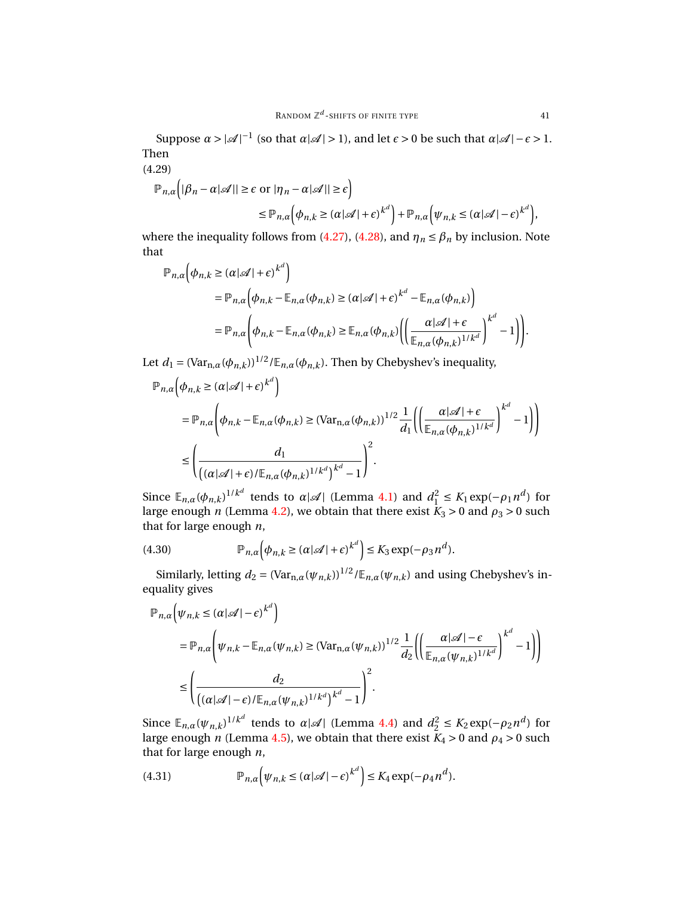Suppose  $\alpha > |\mathcal{A}|^{-1}$  (so that  $\alpha |\mathcal{A}| > 1$ ), and let  $\epsilon > 0$  be such that  $\alpha |\mathcal{A}| - \epsilon > 1$ . Then

<span id="page-40-0"></span>(4.29)

$$
\mathbb{P}_{n,\alpha} \Big( |\beta_n - \alpha| \mathscr{A}|| \ge \epsilon \text{ or } |\eta_n - \alpha| \mathscr{A}|| \ge \epsilon \Big) \le \mathbb{P}_{n,\alpha} \Big( \phi_{n,k} \ge (\alpha|\mathscr{A}| + \epsilon)^{k^d} \Big) + \mathbb{P}_{n,\alpha} \Big( \psi_{n,k} \le (\alpha|\mathscr{A}| - \epsilon)^{k^d} \Big),
$$

where the inequality follows from [\(4.27\)](#page-39-3), [\(4.28\)](#page-39-4), and  $\eta_n \leq \beta_n$  by inclusion. Note that

$$
\mathbb{P}_{n,\alpha}(\phi_{n,k} \geq (\alpha | \mathcal{A}| + \epsilon)^{k^d})
$$
  
= 
$$
\mathbb{P}_{n,\alpha}(\phi_{n,k} - \mathbb{E}_{n,\alpha}(\phi_{n,k}) \geq (\alpha | \mathcal{A}| + \epsilon)^{k^d} - \mathbb{E}_{n,\alpha}(\phi_{n,k})
$$
  
= 
$$
\mathbb{P}_{n,\alpha}(\phi_{n,k} - \mathbb{E}_{n,\alpha}(\phi_{n,k}) \geq \mathbb{E}_{n,\alpha}(\phi_{n,k}) \Big( \Big( \frac{\alpha | \mathcal{A}| + \epsilon}{\mathbb{E}_{n,\alpha}(\phi_{n,k})^{1/k^d}} \Big)^{k^d} - 1 \Big) \Big).
$$

Let  $d_1 = (\text{Var}_{n,\alpha}(\phi_{n,k}))^{1/2}/\mathbb{E}_{n,\alpha}(\phi_{n,k})$ . Then by Chebyshev's inequality,

$$
\mathbb{P}_{n,\alpha} \left( \phi_{n,k} \geq (\alpha | \mathcal{A}| + \epsilon)^{k^d} \right)
$$
  
\n
$$
= \mathbb{P}_{n,\alpha} \left( \phi_{n,k} - \mathbb{E}_{n,\alpha} (\phi_{n,k}) \geq (\text{Var}_{n,\alpha} (\phi_{n,k}))^{1/2} \frac{1}{d_1} \left( \left( \frac{\alpha | \mathcal{A}| + \epsilon}{\mathbb{E}_{n,\alpha} (\phi_{n,k})^{1/k^d}} \right)^{k^d} - 1 \right) \right)
$$
  
\n
$$
\leq \left( \frac{d_1}{\left( (\alpha | \mathcal{A}| + \epsilon) / \mathbb{E}_{n,\alpha} (\phi_{n,k})^{1/k^d} \right)^{k^d} - 1} \right)^2.
$$

Since  $\mathbb{E}_{n,\alpha}(\phi_{n,k})^{1/k^d}$  tends to  $\alpha|\mathcal{A}|$  (Lemma [4.1\)](#page-31-6) and  $d_1^2 \le K_1 \exp(-\rho_1 n^d)$  for large enough *n* (Lemma [4.2\)](#page-32-2), we obtain that there exist  $K_3 > 0$  and  $\rho_3 > 0$  such that for large enough *n*,

<span id="page-40-1"></span>(4.30) 
$$
\mathbb{P}_{n,\alpha}\left(\phi_{n,k}\geq (\alpha|\mathscr{A}|+\epsilon)^{k^d}\right)\leq K_3 \exp(-\rho_3 n^d).
$$

Similarly, letting  $d_2 = (\text{Var}_{n,a}(\psi_{n,k}))^{1/2}/\mathbb{E}_{n,a}(\psi_{n,k})$  and using Chebyshev's inequality gives

$$
\mathbb{P}_{n,\alpha}\left(\psi_{n,k} \leq (\alpha|\mathcal{A}| - \epsilon)^{k^d}\right)
$$
\n
$$
= \mathbb{P}_{n,\alpha}\left(\psi_{n,k} - \mathbb{E}_{n,\alpha}(\psi_{n,k}) \geq (\text{Var}_{n,\alpha}(\psi_{n,k}))^{1/2} \frac{1}{d_2} \left(\left(\frac{\alpha|\mathcal{A}| - \epsilon}{\mathbb{E}_{n,\alpha}(\psi_{n,k})^{1/k^d}}\right)^{k^d} - 1\right)\right)
$$
\n
$$
\leq \left(\frac{d_2}{\left((\alpha|\mathcal{A}| - \epsilon) / \mathbb{E}_{n,\alpha}(\psi_{n,k})^{1/k^d}\right)^{k^d} - 1}\right)^2.
$$

Since  $\mathbb{E}_{n,\alpha}(\psi_{n,k})^{1/k^d}$  tends to  $\alpha|\mathcal{A}|$  (Lemma [4.4\)](#page-36-4) and  $d_2^2 \leq K_2 \exp(-\rho_2 n^d)$  for large enough *n* (Lemma [4.5\)](#page-37-2), we obtain that there exist  $K_4 > 0$  and  $\rho_4 > 0$  such that for large enough *n*,

<span id="page-40-2"></span>(4.31) 
$$
\mathbb{P}_{n,\alpha}\Big(\psi_{n,k} \leq (\alpha|\mathscr{A}| - \epsilon)^{k^d}\Big) \leq K_4 \exp(-\rho_4 n^d).
$$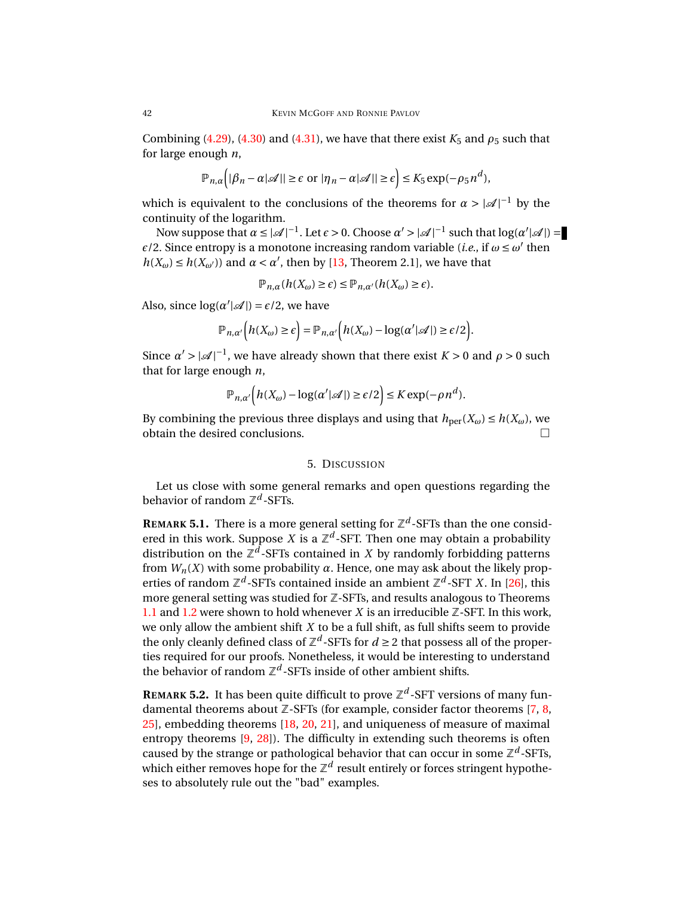Combining [\(4.29\)](#page-40-0), [\(4.30\)](#page-40-1) and [\(4.31\)](#page-40-2), we have that there exist  $K_5$  and  $\rho_5$  such that for large enough *n*,

$$
\mathbb{P}_{n,\alpha}\Big(|\beta_n - \alpha| \mathcal{A}|| \geq \epsilon \text{ or } |\eta_n - \alpha| \mathcal{A}|| \geq \epsilon\Big) \leq K_5 \exp(-\rho_5 n^d),
$$

which is equivalent to the conclusions of the theorems for  $\alpha > |\mathcal{A}|^{-1}$  by the continuity of the logarithm.

Now suppose that *α* ≤ |  $\mathcal{A}$ |<sup>-1</sup>. Let *ε* > 0. Choose *α'* > |  $\mathcal{A}$ |<sup>-1</sup> such that log(*α'*|  $\mathcal{A}$ |) =  $\epsilon/2$ . Since entropy is a monotone increasing random variable (*i.e.*, if  $\omega \leq \omega'$  then  $h(X_\omega) \le h(X_{\omega'})$  and  $\alpha < \alpha'$ , then by [\[13,](#page-43-12) Theorem 2.1], we have that

$$
\mathbb{P}_{n,\alpha}(h(X_{\omega}) \geq \epsilon) \leq \mathbb{P}_{n,\alpha'}(h(X_{\omega}) \geq \epsilon).
$$

Also, since  $log(\alpha'|\mathcal{A}|) = \epsilon/2$ , we have

$$
\mathbb{P}_{n,\alpha'}\Big(h(X_{\omega})\geq \epsilon\Big)=\mathbb{P}_{n,\alpha'}\Big(h(X_{\omega})-\log(\alpha'|\mathscr{A}|)\geq \epsilon/2\Big).
$$

Since  $\alpha' > |\mathcal{A}|^{-1}$ , we have already shown that there exist  $K > 0$  and  $\rho > 0$  such that for large enough *n*,

$$
\mathbb{P}_{n,\alpha'}\Big(h(X_{\omega})-\log(\alpha'|\mathcal{A}|)\geq \epsilon/2\Big)\leq K\exp(-\rho n^d).
$$

By combining the previous three displays and using that  $h_{\text{per}}(X_\omega) \le h(X_\omega)$ , we obtain the desired conclusions.

### 5. DISCUSSION

<span id="page-41-0"></span>Let us close with some general remarks and open questions regarding the behavior of random Z *d* -SFTs.

**REMARK 5.1.** There is a more general setting for  $\mathbb{Z}^d$ -SFTs than the one considered in this work. Suppose *X* is a  $\mathbb{Z}^d$ -SFT. Then one may obtain a probability distribution on the  $\mathbb{Z}^d$ -SFTs contained in *X* by randomly forbidding patterns from  $W_n(X)$  with some probability  $\alpha$ . Hence, one may ask about the likely properties of random  $\mathbb{Z}^d$ -SFTs contained inside an ambient  $\mathbb{Z}^d$ -SFT *X*. In [\[26\]](#page-43-0), this more general setting was studied for Z-SFTs, and results analogous to Theorems [1.1](#page-1-0) and [1.2](#page-2-0) were shown to hold whenever  $X$  is an irreducible  $\mathbb{Z}$ -SFT. In this work, we only allow the ambient shift *X* to be a full shift, as full shifts seem to provide the only cleanly defined class of  $\mathbb{Z}^d$ -SFTs for  $d \geq 2$  that possess all of the properties required for our proofs. Nonetheless, it would be interesting to understand the behavior of random  $\mathbb{Z}^d$ -SFTs inside of other ambient shifts.

**REMARK 5.2.** It has been quite difficult to prove  $\mathbb{Z}^d$ -SFT versions of many fundamental theorems about  $Z$ -SFTs (for example, consider factor theorems [\[7,](#page-42-11) [8,](#page-42-8) [25\]](#page-43-13), embedding theorems [\[18,](#page-43-14) [20,](#page-43-15) [21\]](#page-43-16), and uniqueness of measure of maximal entropy theorems [\[9,](#page-42-9) [28\]](#page-43-17)). The difficulty in extending such theorems is often caused by the strange or pathological behavior that can occur in some  $\mathbb{Z}^d$ -SFTs, which either removes hope for the  $\mathbb{Z}^d$  result entirely or forces stringent hypotheses to absolutely rule out the "bad" examples.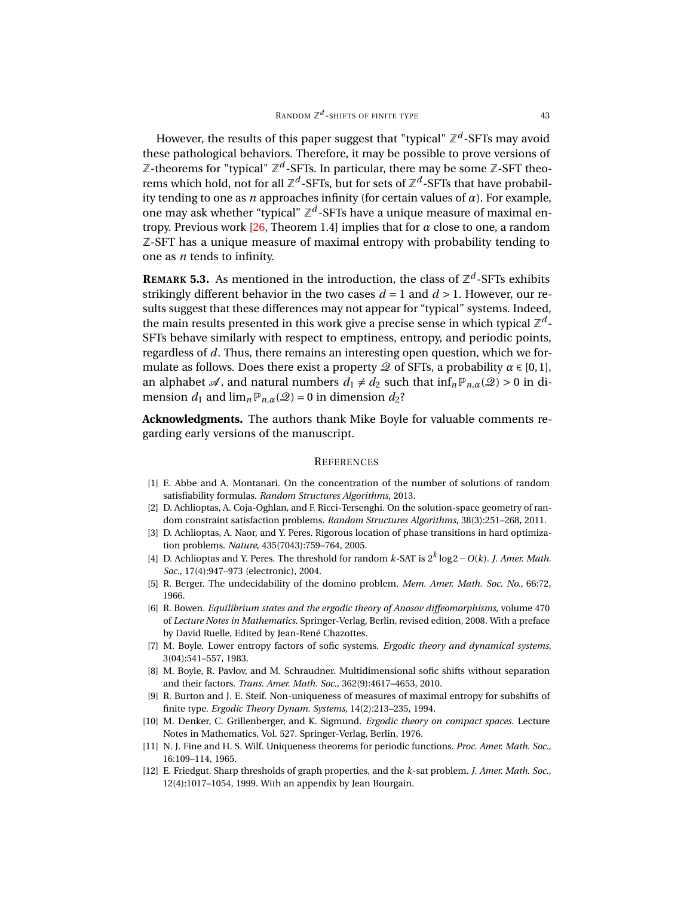However, the results of this paper suggest that "typical" Z<sup>d</sup>-SFTs may avoid these pathological behaviors. Therefore, it may be possible to prove versions of  $\mathbb Z$ -theorems for "typical"  $\mathbb Z^d$ -SFTs. In particular, there may be some  $\mathbb Z$ -SFT theorems which hold, not for all  $\mathbb{Z}^d$ -SFTs, but for sets of  $\mathbb{Z}^d$ -SFTs that have probability tending to one as *n* approaches infinity (for certain values of *α*). For example, one may ask whether "typical"  $\mathbb{Z}^d$ -SFTs have a unique measure of maximal entropy. Previous work  $[26,$  Theorem 1.4] implies that for  $\alpha$  close to one, a random Z-SFT has a unique measure of maximal entropy with probability tending to one as *n* tends to infinity.

**REMARK 5.3.** As mentioned in the introduction, the class of  $\mathbb{Z}^d$ -SFTs exhibits strikingly different behavior in the two cases  $d = 1$  and  $d > 1$ . However, our results suggest that these differences may not appear for "typical" systems. Indeed, the main results presented in this work give a precise sense in which typical  $\mathbb{Z}^d$ -SFTs behave similarly with respect to emptiness, entropy, and periodic points, regardless of *d*. Thus, there remains an interesting open question, which we formulate as follows. Does there exist a property  $\mathcal Q$  of SFTs, a probability  $\alpha \in [0,1]$ , an alphabet  $\mathcal{A}$ , and natural numbers  $d_1 \neq d_2$  such that  $\inf_n \mathbb{P}_{n,\alpha}(\mathcal{Q}) > 0$  in dimension  $d_1$  and  $\lim_{n \to \infty} P_{n,\alpha}(\mathcal{Q}) = 0$  in dimension  $d_2$ ?

**Acknowledgments.** The authors thank Mike Boyle for valuable comments regarding early versions of the manuscript.

#### **REFERENCES**

- <span id="page-42-2"></span>[1] E. Abbe and A. Montanari. On the concentration of the number of solutions of random satisfiability formulas. *Random Structures Algorithms*, 2013.
- <span id="page-42-3"></span>[2] D. Achlioptas, A. Coja-Oghlan, and F. Ricci-Tersenghi. On the solution-space geometry of random constraint satisfaction problems. *Random Structures Algorithms*, 38(3):251–268, 2011.
- <span id="page-42-4"></span>[3] D. Achlioptas, A. Naor, and Y. Peres. Rigorous location of phase transitions in hard optimization problems. *Nature*, 435(7043):759–764, 2005.
- <span id="page-42-5"></span>[4] D. Achlioptas and Y. Peres. The threshold for random *k*-SAT is 2*<sup>k</sup>* log2−*O*(*k*). *J. Amer. Math. Soc.*, 17(4):947–973 (electronic), 2004.
- <span id="page-42-7"></span>[5] R. Berger. The undecidability of the domino problem. *Mem. Amer. Math. Soc. No.*, 66:72, 1966.
- <span id="page-42-0"></span>[6] R. Bowen. *Equilibrium states and the ergodic theory of Anosov diffeomorphisms*, volume 470 of *Lecture Notes in Mathematics*. Springer-Verlag, Berlin, revised edition, 2008. With a preface by David Ruelle, Edited by Jean-René Chazottes.
- <span id="page-42-11"></span>[7] M. Boyle. Lower entropy factors of sofic systems. *Ergodic theory and dynamical systems*, 3(04):541–557, 1983.
- <span id="page-42-8"></span>[8] M. Boyle, R. Pavlov, and M. Schraudner. Multidimensional sofic shifts without separation and their factors. *Trans. Amer. Math. Soc.*, 362(9):4617–4653, 2010.
- <span id="page-42-9"></span>[9] R. Burton and J. E. Steif. Non-uniqueness of measures of maximal entropy for subshifts of finite type. *Ergodic Theory Dynam. Systems*, 14(2):213–235, 1994.
- <span id="page-42-1"></span>[10] M. Denker, C. Grillenberger, and K. Sigmund. *Ergodic theory on compact spaces*. Lecture Notes in Mathematics, Vol. 527. Springer-Verlag, Berlin, 1976.
- <span id="page-42-10"></span>[11] N. J. Fine and H. S. Wilf. Uniqueness theorems for periodic functions. *Proc. Amer. Math. Soc.*, 16:109–114, 1965.
- <span id="page-42-6"></span>[12] E. Friedgut. Sharp thresholds of graph properties, and the *k*-sat problem. *J. Amer. Math. Soc.*, 12(4):1017–1054, 1999. With an appendix by Jean Bourgain.